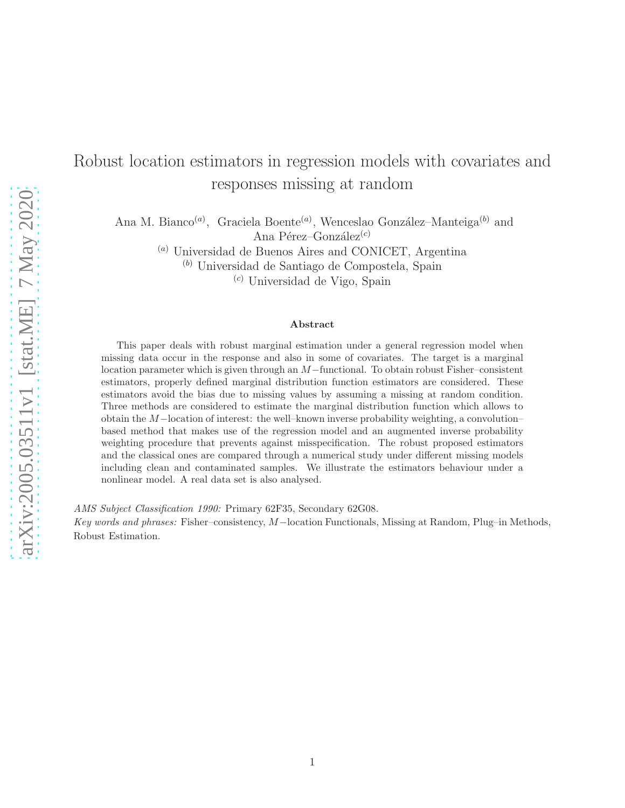# Robust location estimators in regression models with covariates and responses missing at random

Ana M. Bianco<sup>(a)</sup>, Graciela Boente<sup>(a)</sup>, Wenceslao González–Manteiga<sup>(b)</sup> and Ana Pérez–González<sup>(c)</sup>

 $^{(a)}$  Universidad de Buenos Aires and CONICET, Argentina

(b) Universidad de Santiago de Compostela, Spain

(c) Universidad de Vigo, Spain

#### Abstract

This paper deals with robust marginal estimation under a general regression model when missing data occur in the response and also in some of covariates. The target is a marginal location parameter which is given through an M−functional. To obtain robust Fisher–consistent estimators, properly defined marginal distribution function estimators are considered. These estimators avoid the bias due to missing values by assuming a missing at random condition. Three methods are considered to estimate the marginal distribution function which allows to obtain the M−location of interest: the well–known inverse probability weighting, a convolution– based method that makes use of the regression model and an augmented inverse probability weighting procedure that prevents against misspecification. The robust proposed estimators and the classical ones are compared through a numerical study under different missing models including clean and contaminated samples. We illustrate the estimators behaviour under a nonlinear model. A real data set is also analysed.

AMS Subject Classification 1990: Primary 62F35, Secondary 62G08.

Key words and phrases: Fisher–consistency, M−location Functionals, Missing at Random, Plug–in Methods, Robust Estimation.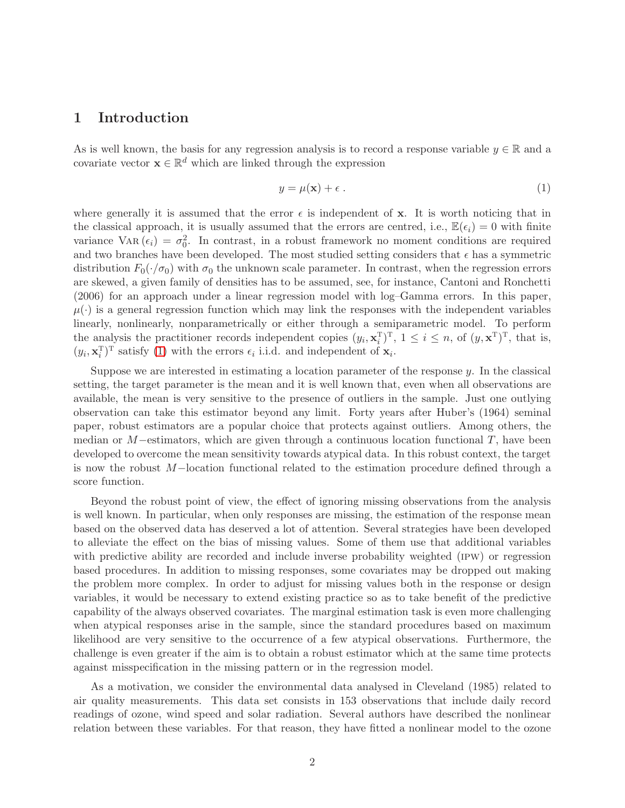#### 1 Introduction

As is well known, the basis for any regression analysis is to record a response variable  $y \in \mathbb{R}$  and a covariate vector  $\mathbf{x} \in \mathbb{R}^d$  which are linked through the expression

$$
y = \mu(\mathbf{x}) + \epsilon \tag{1}
$$

where generally it is assumed that the error  $\epsilon$  is independent of x. It is worth noticing that in the classical approach, it is usually assumed that the errors are centred, i.e.,  $\mathbb{E}(\epsilon_i) = 0$  with finite variance VAR $(\epsilon_i) = \sigma_0^2$ . In contrast, in a robust framework no moment conditions are required and two branches have been developed. The most studied setting considers that  $\epsilon$  has a symmetric distribution  $F_0(\cdot/\sigma_0)$  with  $\sigma_0$  the unknown scale parameter. In contrast, when the regression errors are skewed, a given family of densities has to be assumed, see, for instance, Cantoni and Ronchetti (2006) for an approach under a linear regression model with log–Gamma errors. In this paper,  $\mu(\cdot)$  is a general regression function which may link the responses with the independent variables linearly, nonlinearly, nonparametrically or either through a semiparametric model. To perform the analysis the practitioner records independent copies  $(y_i, \mathbf{x}_i^T)$  $\int_i^T$ T,  $1 \leq i \leq n$ , of  $(y, \mathbf{x}^T)^T$ , that is,  $(y_i, \mathbf{x}_i^{\mathrm{T}})$  $\int_{i}^{T}$ )<sup>T</sup> satisfy [\(1\)](#page-28-0) with the errors  $\epsilon_i$  i.i.d. and independent of  $\mathbf{x}_i$ .

Suppose we are interested in estimating a location parameter of the response  $y$ . In the classical setting, the target parameter is the mean and it is well known that, even when all observations are available, the mean is very sensitive to the presence of outliers in the sample. Just one outlying observation can take this estimator beyond any limit. Forty years after Huber's (1964) seminal paper, robust estimators are a popular choice that protects against outliers. Among others, the median or  $M$ –estimators, which are given through a continuous location functional T, have been developed to overcome the mean sensitivity towards atypical data. In this robust context, the target is now the robust M−location functional related to the estimation procedure defined through a score function.

Beyond the robust point of view, the effect of ignoring missing observations from the analysis is well known. In particular, when only responses are missing, the estimation of the response mean based on the observed data has deserved a lot of attention. Several strategies have been developed to alleviate the effect on the bias of missing values. Some of them use that additional variables with predictive ability are recorded and include inverse probability weighted (ipw) or regression based procedures. In addition to missing responses, some covariates may be dropped out making the problem more complex. In order to adjust for missing values both in the response or design variables, it would be necessary to extend existing practice so as to take benefit of the predictive capability of the always observed covariates. The marginal estimation task is even more challenging when atypical responses arise in the sample, since the standard procedures based on maximum likelihood are very sensitive to the occurrence of a few atypical observations. Furthermore, the challenge is even greater if the aim is to obtain a robust estimator which at the same time protects against misspecification in the missing pattern or in the regression model.

As a motivation, we consider the environmental data analysed in Cleveland (1985) related to air quality measurements. This data set consists in 153 observations that include daily record readings of ozone, wind speed and solar radiation. Several authors have described the nonlinear relation between these variables. For that reason, they have fitted a nonlinear model to the ozone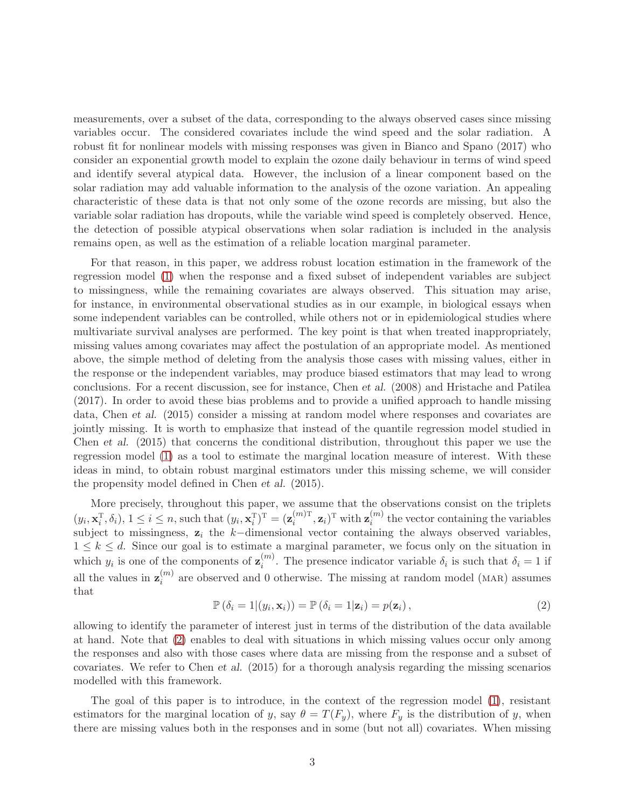measurements, over a subset of the data, corresponding to the always observed cases since missing variables occur. The considered covariates include the wind speed and the solar radiation. A robust fit for nonlinear models with missing responses was given in Bianco and Spano (2017) who consider an exponential growth model to explain the ozone daily behaviour in terms of wind speed and identify several atypical data. However, the inclusion of a linear component based on the solar radiation may add valuable information to the analysis of the ozone variation. An appealing characteristic of these data is that not only some of the ozone records are missing, but also the variable solar radiation has dropouts, while the variable wind speed is completely observed. Hence, the detection of possible atypical observations when solar radiation is included in the analysis remains open, as well as the estimation of a reliable location marginal parameter.

For that reason, in this paper, we address robust location estimation in the framework of the regression model [\(1\)](#page-28-0) when the response and a fixed subset of independent variables are subject to missingness, while the remaining covariates are always observed. This situation may arise, for instance, in environmental observational studies as in our example, in biological essays when some independent variables can be controlled, while others not or in epidemiological studies where multivariate survival analyses are performed. The key point is that when treated inappropriately, missing values among covariates may affect the postulation of an appropriate model. As mentioned above, the simple method of deleting from the analysis those cases with missing values, either in the response or the independent variables, may produce biased estimators that may lead to wrong conclusions. For a recent discussion, see for instance, Chen et al. (2008) and Hristache and Patilea (2017). In order to avoid these bias problems and to provide a unified approach to handle missing data, Chen et al. (2015) consider a missing at random model where responses and covariates are jointly missing. It is worth to emphasize that instead of the quantile regression model studied in Chen et al. (2015) that concerns the conditional distribution, throughout this paper we use the regression model [\(1\)](#page-28-0) as a tool to estimate the marginal location measure of interest. With these ideas in mind, to obtain robust marginal estimators under this missing scheme, we will consider the propensity model defined in Chen et al. (2015).

More precisely, throughout this paper, we assume that the observations consist on the triplets  $(y_i, \mathbf{x}_i^{\mathrm{T}})$  $(i^{\text{T}}, \delta_i), 1 \leq i \leq n$ , such that  $(y_i, \mathbf{x}_i^{\text{T}})$  $\left(\mathbf{z}_i^{\left(m\right)\text{T}}\right)^\text{T}=\left(\mathbf{z}_i^{\left(m\right)\text{T}}\right)$  $_{i}^{(m)\mathrm{T}}, \mathbf{z}_{i})^{\mathrm{T}}$  with  $\mathbf{z}_{i}^{(m)}$  $i^{(m)}$  the vector containing the variables subject to missingness,  $z_i$  the k-dimensional vector containing the always observed variables,  $1 \leq k \leq d$ . Since our goal is to estimate a marginal parameter, we focus only on the situation in which  $y_i$  is one of the components of  $\mathbf{z}_i^{(m)}$  $i^{(m)}$ . The presence indicator variable  $\delta_i$  is such that  $\delta_i = 1$  if all the values in  $\mathbf{z}_i^{(m)}$  $\binom{m}{i}$  are observed and 0 otherwise. The missing at random model (MAR) assumes that

$$
\mathbb{P}\left(\delta_{i}=1\vert (y_{i},\mathbf{x}_{i})\right)=\mathbb{P}\left(\delta_{i}=1\vert \mathbf{z}_{i}\right)=p(\mathbf{z}_{i}),\qquad (2)
$$

allowing to identify the parameter of interest just in terms of the distribution of the data available at hand. Note that [\(2\)](#page-30-0) enables to deal with situations in which missing values occur only among the responses and also with those cases where data are missing from the response and a subset of covariates. We refer to Chen et al. (2015) for a thorough analysis regarding the missing scenarios modelled with this framework.

The goal of this paper is to introduce, in the context of the regression model [\(1\)](#page-28-0), resistant estimators for the marginal location of y, say  $\theta = T(F_y)$ , where  $F_y$  is the distribution of y, when there are missing values both in the responses and in some (but not all) covariates. When missing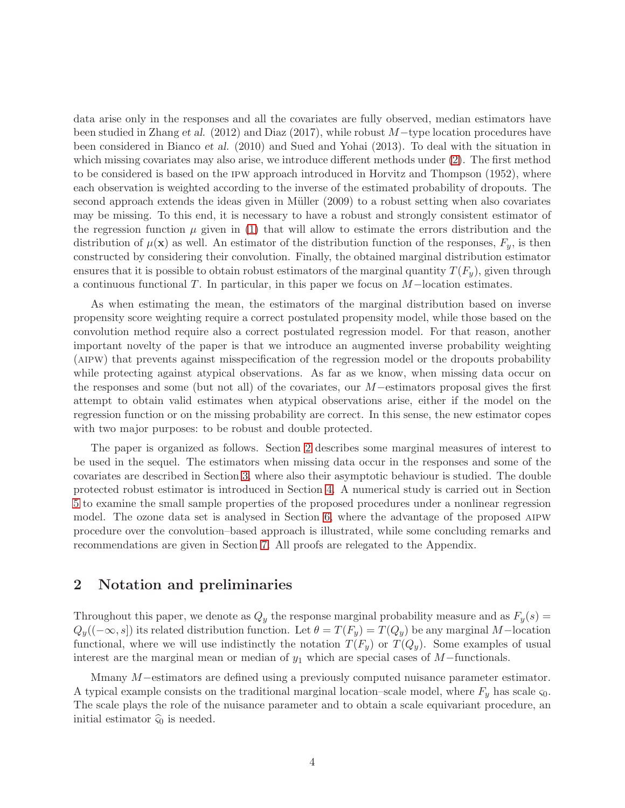data arise only in the responses and all the covariates are fully observed, median estimators have been studied in Zhang et al. (2012) and Diaz (2017), while robust M−type location procedures have been considered in Bianco et al. (2010) and Sued and Yohai (2013). To deal with the situation in which missing covariates may also arise, we introduce different methods under [\(2\)](#page-30-0). The first method to be considered is based on the ipw approach introduced in Horvitz and Thompson (1952), where each observation is weighted according to the inverse of the estimated probability of dropouts. The second approach extends the ideas given in Müller (2009) to a robust setting when also covariates may be missing. To this end, it is necessary to have a robust and strongly consistent estimator of the regression function  $\mu$  given in [\(1\)](#page-28-0) that will allow to estimate the errors distribution and the distribution of  $\mu(\mathbf{x})$  as well. An estimator of the distribution function of the responses,  $F_y$ , is then constructed by considering their convolution. Finally, the obtained marginal distribution estimator ensures that it is possible to obtain robust estimators of the marginal quantity  $T(F_n)$ , given through a continuous functional T. In particular, in this paper we focus on M−location estimates.

As when estimating the mean, the estimators of the marginal distribution based on inverse propensity score weighting require a correct postulated propensity model, while those based on the convolution method require also a correct postulated regression model. For that reason, another important novelty of the paper is that we introduce an augmented inverse probability weighting (aipw) that prevents against misspecification of the regression model or the dropouts probability while protecting against atypical observations. As far as we know, when missing data occur on the responses and some (but not all) of the covariates, our M−estimators proposal gives the first attempt to obtain valid estimates when atypical observations arise, either if the model on the regression function or on the missing probability are correct. In this sense, the new estimator copes with two major purposes: to be robust and double protected.

The paper is organized as follows. Section [2](#page-3-0) describes some marginal measures of interest to be used in the sequel. The estimators when missing data occur in the responses and some of the covariates are described in Section [3,](#page-5-0) where also their asymptotic behaviour is studied. The double protected robust estimator is introduced in Section [4.](#page-12-0) A numerical study is carried out in Section [5](#page-13-0) to examine the small sample properties of the proposed procedures under a nonlinear regression model. The ozone data set is analysed in Section [6,](#page-22-0) where the advantage of the proposed aipw procedure over the convolution–based approach is illustrated, while some concluding remarks and recommendations are given in Section [7.](#page-24-0) All proofs are relegated to the Appendix.

## <span id="page-3-0"></span>2 Notation and preliminaries

Throughout this paper, we denote as  $Q_y$  the response marginal probability measure and as  $F_y(s) =$  $Q_y((-\infty, s])$  its related distribution function. Let  $\theta = T(F_y) = T(Q_y)$  be any marginal M-location functional, where we will use indistinctly the notation  $T(F_y)$  or  $T(Q_y)$ . Some examples of usual interest are the marginal mean or median of  $y_1$  which are special cases of  $M$ -functionals.

Mmany M−estimators are defined using a previously computed nuisance parameter estimator. A typical example consists on the traditional marginal location–scale model, where  $F_y$  has scale  $\varsigma_0$ . The scale plays the role of the nuisance parameter and to obtain a scale equivariant procedure, an initial estimator  $\widehat{\varsigma}_0$  is needed.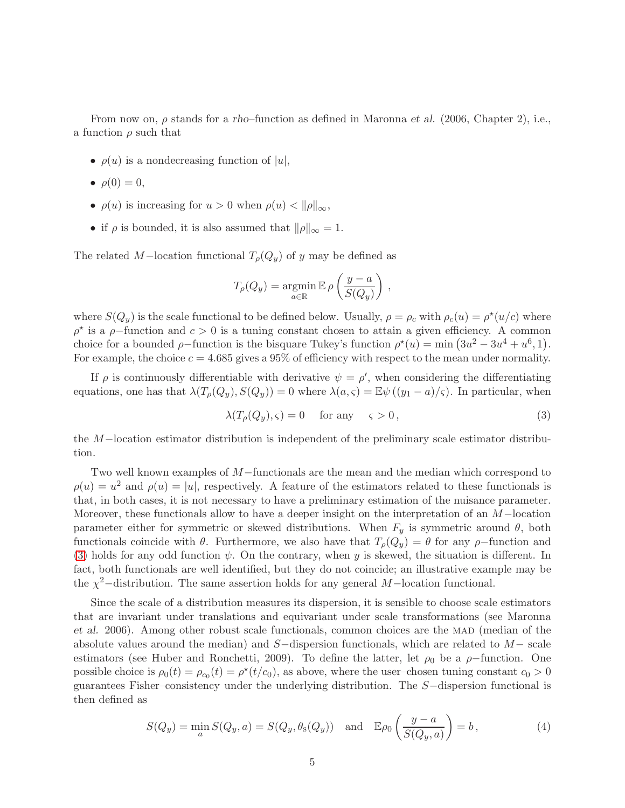From now on,  $\rho$  stands for a rho–function as defined in Maronna *et al.* (2006, Chapter 2), i.e., a function  $\rho$  such that

- $\rho(u)$  is a nondecreasing function of  $|u|$ ,
- $\rho(0) = 0$ ,
- $\rho(u)$  is increasing for  $u > 0$  when  $\rho(u) < ||\rho||_{\infty}$ ,
- if  $\rho$  is bounded, it is also assumed that  $\|\rho\|_{\infty} = 1$ .

The related M–location functional  $T_{\rho}(Q_y)$  of y may be defined as

$$
T_{\rho}(Q_y) = \underset{a \in \mathbb{R}}{\operatorname{argmin}} \mathbb{E} \rho \left( \frac{y - a}{S(Q_y)} \right) ,
$$

where  $S(Q_y)$  is the scale functional to be defined below. Usually,  $\rho = \rho_c$  with  $\rho_c(u) = \rho^*(u/c)$  where  $\rho^*$  is a  $\rho$ -function and  $c > 0$  is a tuning constant chosen to attain a given efficiency. A common choice for a bounded  $\rho$ -function is the bisquare Tukey's function  $\rho^*(u) = \min (3u^2 - 3u^4 + u^6, 1)$ . For example, the choice  $c = 4.685$  gives a 95% of efficiency with respect to the mean under normality.

If  $\rho$  is continuously differentiable with derivative  $\psi = \rho'$ , when considering the differentiating equations, one has that  $\lambda(T_\rho(Q_y), S(Q_y)) = 0$  where  $\lambda(a, \varsigma) = \mathbb{E}\psi((y_1 - a)/\varsigma)$ . In particular, when

<span id="page-4-0"></span>
$$
\lambda(T_{\rho}(Q_y), \varsigma) = 0 \quad \text{for any} \quad \varsigma > 0, \tag{3}
$$

the M−location estimator distribution is independent of the preliminary scale estimator distribution.

Two well known examples of M−functionals are the mean and the median which correspond to  $\rho(u) = u^2$  and  $\rho(u) = |u|$ , respectively. A feature of the estimators related to these functionals is that, in both cases, it is not necessary to have a preliminary estimation of the nuisance parameter. Moreover, these functionals allow to have a deeper insight on the interpretation of an M−location parameter either for symmetric or skewed distributions. When  $F_y$  is symmetric around  $\theta$ , both functionals coincide with  $\theta$ . Furthermore, we also have that  $T_{\rho}(Q_y) = \theta$  for any  $\rho$ -function and [\(3\)](#page-4-0) holds for any odd function  $\psi$ . On the contrary, when y is skewed, the situation is different. In fact, both functionals are well identified, but they do not coincide; an illustrative example may be the  $\chi^2$ -distribution. The same assertion holds for any general M-location functional.

Since the scale of a distribution measures its dispersion, it is sensible to choose scale estimators that are invariant under translations and equivariant under scale transformations (see Maronna et al. 2006). Among other robust scale functionals, common choices are the MAD (median of the absolute values around the median) and  $S-$ dispersion functionals, which are related to  $M-$  scale estimators (see Huber and Ronchetti, 2009). To define the latter, let  $\rho_0$  be a  $\rho$ -function. One possible choice is  $\rho_0(t) = \rho_{c_0}(t) = \rho^*(t/c_0)$ , as above, where the user-chosen tuning constant  $c_0 > 0$ guarantees Fisher–consistency under the underlying distribution. The S−dispersion functional is then defined as

<span id="page-4-1"></span>
$$
S(Q_y) = \min_a S(Q_y, a) = S(Q_y, \theta_s(Q_y)) \quad \text{and} \quad \mathbb{E}\rho_0\left(\frac{y-a}{S(Q_y, a)}\right) = b,
$$
 (4)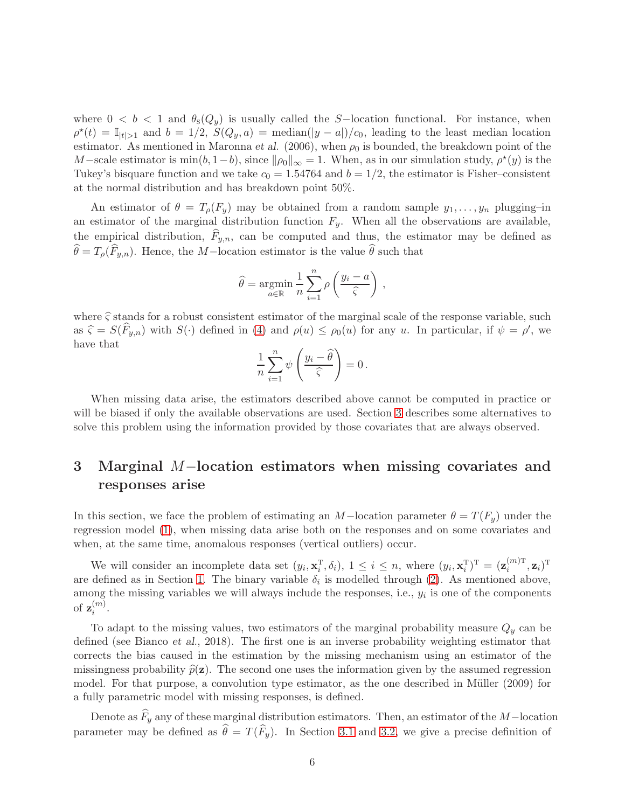where  $0 < b < 1$  and  $\theta_{s}(Q_y)$  is usually called the S-location functional. For instance, when  $\rho^*(t) = \mathbb{I}_{|t|>1}$  and  $b = 1/2$ ,  $S(Q_y, a) = \text{median}(|y - a|)/c_0$ , leading to the least median location estimator. As mentioned in Maronna et al. (2006), when  $\rho_0$  is bounded, the breakdown point of the M-scale estimator is  $\min(b, 1-b)$ , since  $\|\rho_0\|_{\infty} = 1$ . When, as in our simulation study,  $\rho^*(y)$  is the Tukey's bisquare function and we take  $c_0 = 1.54764$  and  $b = 1/2$ , the estimator is Fisher–consistent at the normal distribution and has breakdown point 50%.

An estimator of  $\theta = T_{\rho}(F_y)$  may be obtained from a random sample  $y_1, \ldots, y_n$  plugging–in an estimator of the marginal distribution function  $F_y$ . When all the observations are available, the empirical distribution,  $F_{y,n}$ , can be computed and thus, the estimator may be defined as  $\widehat{\theta} = T_{\rho}(\widehat{F}_{y,n}).$  Hence, the M−location estimator is the value  $\widehat{\theta}$  such that

$$
\widehat{\theta} = \underset{a \in \mathbb{R}}{\operatorname{argmin}} \frac{1}{n} \sum_{i=1}^{n} \rho \left( \frac{y_i - a}{\widehat{\varsigma}} \right),
$$

where  $\hat{\varsigma}$  stands for a robust consistent estimator of the marginal scale of the response variable, such as  $\hat{\zeta} = S(\hat{F}_{y,n})$  with  $S(\cdot)$  defined in [\(4\)](#page-4-1) and  $\rho(u) \leq \rho_0(u)$  for any u. In particular, if  $\psi = \rho'$ , we have that

$$
\frac{1}{n}\sum_{i=1}^n\psi\left(\frac{y_i-\widehat{\theta}}{\widehat{\varsigma}}\right)=0.
$$

When missing data arise, the estimators described above cannot be computed in practice or will be biased if only the available observations are used. Section [3](#page-5-0) describes some alternatives to solve this problem using the information provided by those covariates that are always observed.

# <span id="page-5-0"></span>3 Marginal <sup>M</sup>−location estimators when missing covariates and responses arise

In this section, we face the problem of estimating an M-location parameter  $\theta = T(F_u)$  under the regression model [\(1\)](#page-28-0), when missing data arise both on the responses and on some covariates and when, at the same time, anomalous responses (vertical outliers) occur.

We will consider an incomplete data set  $(y_i, \mathbf{x}_i^T)$  $(\mathbf{x}_i^{\mathrm{T}}, \delta_i), 1 \leq i \leq n$ , where  $(y_i, \mathbf{x}_i^{\mathrm{T}})$  $(\mathbf{z}_i^{\mathrm{T}})^{\mathrm{T}} = (\mathbf{z}_i^{(m)\mathrm{T}})$  $_{i}^{(m)\text{T}}, \mathbf{z}_{i})^{\text{T}}$ are defined as in Section [1.](#page-26-0) The binary variable  $\delta_i$  is modelled through [\(2\)](#page-30-0). As mentioned above, among the missing variables we will always include the responses, i.e.,  $y_i$  is one of the components of  $\mathbf{z}_{i}^{(m)}$  $\binom{m}{i}$ .

To adapt to the missing values, two estimators of the marginal probability measure  $Q_y$  can be defined (see Bianco et al., 2018). The first one is an inverse probability weighting estimator that corrects the bias caused in the estimation by the missing mechanism using an estimator of the missingness probability  $\hat{p}(\mathbf{z})$ . The second one uses the information given by the assumed regression model. For that purpose, a convolution type estimator, as the one described in Müller (2009) for a fully parametric model with missing responses, is defined.

Denote as  $F_y$  any of these marginal distribution estimators. Then, an estimator of the M−location parameter may be defined as  $\theta = T(F_y)$ . In Section [3.1](#page-6-0) and [3.2,](#page-9-0) we give a precise definition of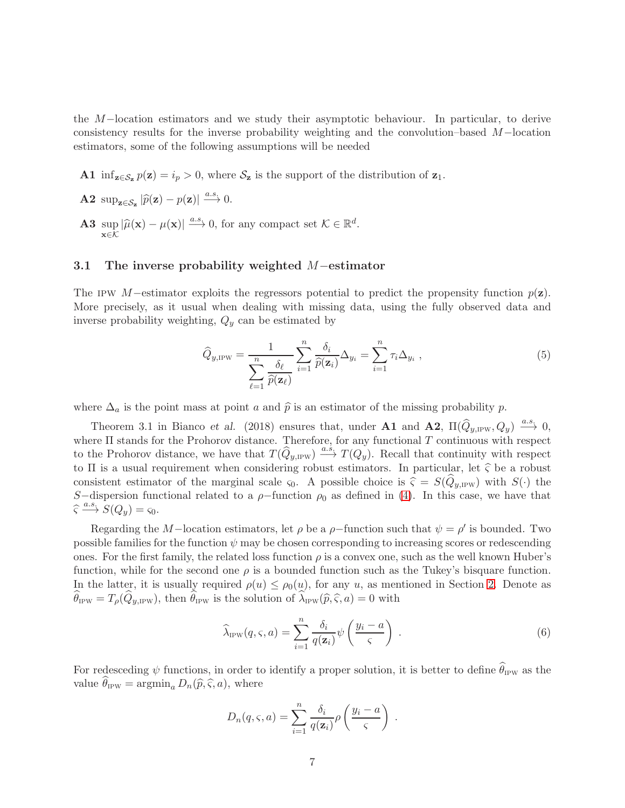the M−location estimators and we study their asymptotic behaviour. In particular, to derive consistency results for the inverse probability weighting and the convolution–based M−location estimators, some of the following assumptions will be needed

A1 inf<sub>z∈Sz</sub>  $p(z) = i_p > 0$ , where S<sub>z</sub> is the support of the distribution of z<sub>1</sub>.

- **A2** sup<sub> $z \in S_z$ </sub> $|\widehat{p}(\mathbf{z}) p(\mathbf{z})| \stackrel{a.s.}{\longrightarrow} 0.$
- A3 sup  $\sup_{\mathbf{x}\in\mathcal{K}}|\widehat{\mu}(\mathbf{x})-\mu(\mathbf{x})|\xrightarrow{a.s.} 0$ , for any compact set  $\mathcal{K}\in\mathbb{R}^d$ .

#### <span id="page-6-0"></span>3.1 The inverse probability weighted <sup>M</sup>−estimator

The IPW M−estimator exploits the regressors potential to predict the propensity function  $p(z)$ . More precisely, as it usual when dealing with missing data, using the fully observed data and inverse probability weighting,  $Q_y$  can be estimated by

$$
\widehat{Q}_{y,\text{IPW}} = \frac{1}{\sum_{\ell=1}^{n} \frac{\delta_{\ell}}{\widehat{p}(\mathbf{z}_{\ell})}} \sum_{i=1}^{n} \frac{\delta_{i}}{\widehat{p}(\mathbf{z}_{i})} \Delta_{y_{i}} = \sum_{i=1}^{n} \tau_{i} \Delta_{y_{i}} , \qquad (5)
$$

where  $\Delta_a$  is the point mass at point a and  $\hat{p}$  is an estimator of the missing probability p.

Theorem 3.1 in Bianco et al. (2018) ensures that, under **A1** and **A2**,  $\Pi(\hat{Q}_{y, \text{IPW}}, Q_y) \stackrel{a.s.}{\longrightarrow} 0$ , where  $\Pi$  stands for the Prohorov distance. Therefore, for any functional  $T$  continuous with respect to the Prohorov distance, we have that  $T(\widehat{Q}_{y,\mathrm{IPW}}) \xrightarrow{a.s} T(Q_y)$ . Recall that continuity with respect to  $\Pi$  is a usual requirement when considering robust estimators. In particular, let  $\hat{\zeta}$  be a robust consistent estimator of the marginal scale  $\varsigma_0$ . A possible choice is  $\widehat{\varsigma} = S(Q_{\nu,\text{IPW}})$  with  $S(\cdot)$  the S-dispersion functional related to a  $\rho$ -function  $\rho_0$  as defined in [\(4\)](#page-4-1). In this case, we have that  $\widehat{\varsigma} \xrightarrow{a.s.} S(Q_y) = \varsigma_0.$ 

Regarding the M–location estimators, let  $\rho$  be a  $\rho$ –function such that  $\psi = \rho'$  is bounded. Two possible families for the function  $\psi$  may be chosen corresponding to increasing scores or redescending ones. For the first family, the related loss function  $\rho$  is a convex one, such as the well known Huber's function, while for the second one  $\rho$  is a bounded function such as the Tukey's bisquare function. In the latter, it is usually required  $\rho(u) \leq \rho_0(u)$ , for any u, as mentioned in Section [2.](#page-3-0) Denote as  $\theta_{\text{IPW}} = T_{\rho}(Q_{y,\text{IPW}})$ , then  $\theta_{\text{IPW}}$  is the solution of  $\lambda_{\text{IPW}}(\widehat{p}, \widehat{\varsigma}, a) = 0$  with

$$
\widehat{\lambda}_{\text{IPW}}(q,\varsigma,a) = \sum_{i=1}^{n} \frac{\delta_i}{q(\mathbf{z}_i)} \psi\left(\frac{y_i - a}{\varsigma}\right) . \tag{6}
$$

For redesceding  $\psi$  functions, in order to identify a proper solution, it is better to define  $\theta_{\rm IPW}$  as the value  $\theta_{IPW} = \operatorname{argmin}_a D_n(\widehat{p}, \widehat{\varsigma}, a)$ , where

$$
D_n(q,\varsigma,a) = \sum_{i=1}^n \frac{\delta_i}{q(\mathbf{z}_i)} \rho\left(\frac{y_i-a}{\varsigma}\right) .
$$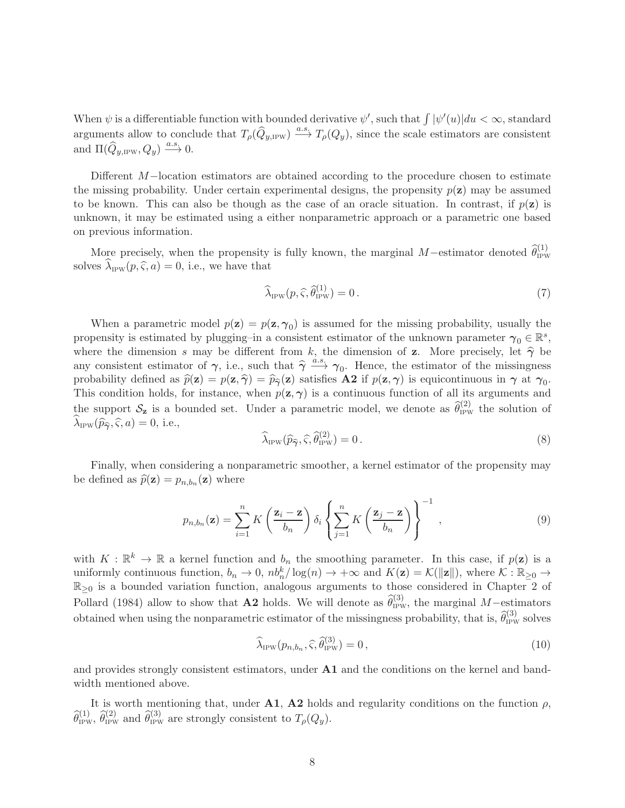When  $\psi$  is a differentiable function with bounded derivative  $\psi'$ , such that  $\int |\psi'(u)|du < \infty$ , standard arguments allow to conclude that  $T_{\rho}(\widehat{Q}_{y,\text{IPW}}) \stackrel{a.s.}{\longrightarrow} T_{\rho}(Q_y)$ , since the scale estimators are consistent and  $\Pi(\widehat{Q}_{y,IPW}, Q_y) \stackrel{a.s.}{\longrightarrow} 0.$ 

Different M−location estimators are obtained according to the procedure chosen to estimate the missing probability. Under certain experimental designs, the propensity  $p(z)$  may be assumed to be known. This can also be though as the case of an oracle situation. In contrast, if  $p(\mathbf{z})$  is unknown, it may be estimated using a either nonparametric approach or a parametric one based on previous information.

More precisely, when the propensity is fully known, the marginal  $M$ –estimator denoted  $\hat{\theta}_{IPW}^{(1)}$ solves  $\lambda_{\text{IPW}}(p, \hat{\varsigma}, a) = 0$ , i.e., we have that

<span id="page-7-0"></span>
$$
\widehat{\lambda}_{\text{IPW}}(p,\widehat{\varsigma},\widehat{\theta}_{\text{IPW}}^{(1)})=0\,. \tag{7}
$$

When a parametric model  $p(\mathbf{z}) = p(\mathbf{z}, \gamma_0)$  is assumed for the missing probability, usually the propensity is estimated by plugging–in a consistent estimator of the unknown parameter  $\gamma_0 \in \mathbb{R}^s$ , where the dimension s may be different from k, the dimension of z. More precisely, let  $\hat{\gamma}$  be any consistent estimator of  $\gamma$ , i.e., such that  $\hat{\gamma} \xrightarrow{a.s} \gamma_0$ . Hence, the estimator of the missingness probability defined as  $\widehat{p}(\mathbf{z}) = p(\mathbf{z}, \widehat{\boldsymbol{\gamma}}) = \widehat{p}_{\widehat{\boldsymbol{\gamma}}}(\mathbf{z})$  satisfies  $\mathbf{A2}$  if  $p(\mathbf{z}, \boldsymbol{\gamma})$  is equicontinuous in  $\boldsymbol{\gamma}$  at  $\boldsymbol{\gamma}_0$ . This condition holds, for instance, when  $p(\mathbf{z}, \gamma)$  is a continuous function of all its arguments and the support  $S_z$  is a bounded set. Under a parametric model, we denote as  $\hat{\theta}_{IPW}^{(2)}$  the solution of  $\lambda_{\text{IPW}}(\widehat{p}_{\widehat{\boldsymbol{\gamma}}}, \widehat{\varsigma}, a) = 0$ , i.e.,

<span id="page-7-1"></span>
$$
\widehat{\lambda}_{IPW}(\widehat{p}_{\widehat{\gamma}}, \widehat{\varsigma}, \widehat{\theta}_{IPW}^{(2)}) = 0.
$$
\n(8)

Finally, when considering a nonparametric smoother, a kernel estimator of the propensity may be defined as  $\hat{p}(\mathbf{z}) = p_{n,b_n}(\mathbf{z})$  where

<span id="page-7-2"></span>
$$
p_{n,b_n}(\mathbf{z}) = \sum_{i=1}^n K\left(\frac{\mathbf{z}_i - \mathbf{z}}{b_n}\right) \delta_i \left\{ \sum_{j=1}^n K\left(\frac{\mathbf{z}_j - \mathbf{z}}{b_n}\right) \right\}^{-1},\tag{9}
$$

with  $K : \mathbb{R}^k \to \mathbb{R}$  a kernel function and  $b_n$  the smoothing parameter. In this case, if  $p(\mathbf{z})$  is a uniformly continuous function,  $b_n \to 0$ ,  $nb_n^k / \log(n) \to +\infty$  and  $K(\mathbf{z}) = \mathcal{K}(\|\mathbf{z}\|)$ , where  $\mathcal{K} : \mathbb{R}_{\geq 0} \to$  $\mathbb{R}_{\geq 0}$  is a bounded variation function, analogous arguments to those considered in Chapter 2 of Pollard (1984) allow to show that **A2** holds. We will denote as  $\hat{\theta}_{IPW}^{(3)}$ , the marginal M–estimators obtained when using the nonparametric estimator of the missingness probability, that is,  $\hat{\theta}_{IPW}^{(3)}$  solves

<span id="page-7-3"></span>
$$
\widehat{\lambda}_{\text{IPW}}(p_{n,b_n}, \widehat{\varsigma}, \widehat{\theta}_{\text{IPW}}^{(3)}) = 0, \tag{10}
$$

and provides strongly consistent estimators, under A1 and the conditions on the kernel and bandwidth mentioned above.

It is worth mentioning that, under **A1, A2** holds and regularity conditions on the function  $\rho$ ,  $\hat{\theta}_{IPW}^{(1)}$ ,  $\hat{\theta}_{IPW}^{(2)}$  and  $\hat{\theta}_{IPW}^{(3)}$  are strongly consistent to  $T_{\rho}(Q_y)$ .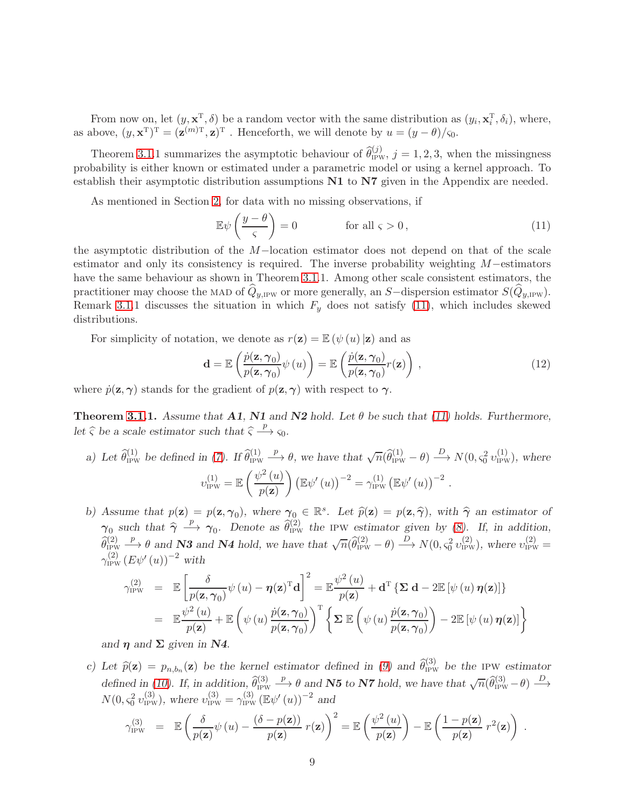From now on, let  $(y, \mathbf{x}^T, \delta)$  be a random vector with the same distribution as  $(y_i, \mathbf{x}_i^T)$  $_i^{\mathrm{T}}, \delta_i$ , where, as above,  $(y, \mathbf{x}^T)^T = (\mathbf{z}^{(m)T}, \mathbf{z})^T$ . Henceforth, we will denote by  $u = (y - \theta)/\varsigma_0$ .

Theorem [3.1.](#page-6-0)1 summarizes the asymptotic behaviour of  $\hat{\theta}_{IPW}^{(j)}$ ,  $j = 1, 2, 3$ , when the missingness probability is either known or estimated under a parametric model or using a kernel approach. To establish their asymptotic distribution assumptions  $N1$  to  $N7$  given in the Appendix are needed.

As mentioned in Section [2,](#page-3-0) for data with no missing observations, if

<span id="page-8-0"></span>
$$
\mathbb{E}\psi\left(\frac{y-\theta}{\varsigma}\right) = 0 \quad \text{for all } \varsigma > 0,
$$
\n(11)

the asymptotic distribution of the M−location estimator does not depend on that of the scale estimator and only its consistency is required. The inverse probability weighting M−estimators have the same behaviour as shown in Theorem [3.1.](#page-6-0)1. Among other scale consistent estimators, the practitioner may choose the MAD of  $\hat{Q}_{y,IPW}$  or more generally, an S−dispersion estimator  $S(\hat{Q}_{y,IPW})$ . Remark [3.1.](#page-6-0)1 discusses the situation in which  $F_y$  does not satisfy [\(11\)](#page-8-0), which includes skewed distributions.

For simplicity of notation, we denote as  $r(\mathbf{z}) = \mathbb{E}(\psi(u)|\mathbf{z})$  and as

$$
\mathbf{d} = \mathbb{E}\left(\frac{\dot{p}(\mathbf{z},\boldsymbol{\gamma}_0)}{p(\mathbf{z},\boldsymbol{\gamma}_0)}\psi(u)\right) = \mathbb{E}\left(\frac{\dot{p}(\mathbf{z},\boldsymbol{\gamma}_0)}{p(\mathbf{z},\boldsymbol{\gamma}_0)}r(\mathbf{z})\right),\tag{12}
$$

where  $\dot{p}(\mathbf{z}, \boldsymbol{\gamma})$  stands for the gradient of  $p(\mathbf{z}, \boldsymbol{\gamma})$  with respect to  $\boldsymbol{\gamma}$ .

**Theorem [3.1.](#page-6-0)1.** Assume that A1, N1 and N2 hold. Let  $\theta$  be such that [\(11\)](#page-8-0) holds. Furthermore, let  $\hat{\varsigma}$  be a scale estimator such that  $\hat{\varsigma} \stackrel{p}{\longrightarrow} \varsigma_0$ .

- a) Let  $\hat{\theta}_{IPW}^{(1)}$  be defined in [\(7\)](#page-7-0). If  $\hat{\theta}_{IPW}^{(1)} \stackrel{p}{\longrightarrow} \theta$ , we have that  $\sqrt{n}(\hat{\theta}_{IPW}^{(1)} \theta) \stackrel{D}{\longrightarrow} N(0, \varsigma_0^2 v_{IPW}^{(1)})$ , where  $v_{\text{IPW}}^{(1)} = \mathbb{E}\left(\frac{\psi^2(u)}{\sqrt{u}}\right)$  $p(\mathbf{z})$  $\int (\mathbb{E} \psi'(u))^{-2} = \gamma_{\text{IPW}}^{(1)} (\mathbb{E} \psi'(u))^{-2}.$
- b) Assume that  $p(\mathbf{z}) = p(\mathbf{z}, \gamma_0)$ , where  $\gamma_0 \in \mathbb{R}^s$ . Let  $\widehat{p}(\mathbf{z}) = p(\mathbf{z}, \widehat{\gamma})$ , with  $\widehat{\gamma}$  an estimator of  $\gamma_0$  such that  $\hat{\gamma} \stackrel{p}{\longrightarrow} \gamma_0$ . Denote as  $\hat{\theta}_{\text{IPW}}^{(2)}$  the IPW estimator given by [\(8\)](#page-7-1). If, in addition,  $\widehat{\theta}_{IPW}^{(2)} \stackrel{p}{\longrightarrow} \theta$  and **N3** and **N4** hold, we have that  $\sqrt{n}(\widehat{\theta}_{IPW}^{(2)} - \theta) \stackrel{D}{\longrightarrow} N(0, s_0^2 v_{IPW}^{(2)})$ , where  $v_{IPW}^{(2)} =$  $\gamma^{(2)}_{\rm IPW}\left(E\psi'\left(u\right)\right)^{-2}$  with

$$
\gamma_{\text{IPW}}^{(2)} = \mathbb{E} \left[ \frac{\delta}{p(\mathbf{z}, \gamma_0)} \psi(u) - \eta(\mathbf{z})^{\text{T}} \mathbf{d} \right]^2 = \mathbb{E} \frac{\psi^2(u)}{p(\mathbf{z})} + \mathbf{d}^{\text{T}} \left\{ \mathbf{\Sigma} \mathbf{d} - 2 \mathbb{E} \left[ \psi(u) \eta(\mathbf{z}) \right] \right\}
$$
  
\n
$$
= \mathbb{E} \frac{\psi^2(u)}{p(\mathbf{z})} + \mathbb{E} \left( \psi(u) \frac{\dot{p}(\mathbf{z}, \gamma_0)}{p(\mathbf{z}, \gamma_0)} \right)^{\text{T}} \left\{ \mathbf{\Sigma} \mathbb{E} \left( \psi(u) \frac{\dot{p}(\mathbf{z}, \gamma_0)}{p(\mathbf{z}, \gamma_0)} \right) - 2 \mathbb{E} \left[ \psi(u) \eta(\mathbf{z}) \right] \right\}
$$

and  $\eta$  and  $\Sigma$  given in N4.

c) Let  $\hat{p}(\mathbf{z}) = p_{n,b_n}(\mathbf{z})$  be the kernel estimator defined in [\(9\)](#page-7-2) and  $\hat{\theta}_{\text{IPW}}^{(3)}$  be the ipw estimator defined in [\(10\)](#page-7-3). If, in addition,  $\widehat{\theta}_{IPW}^{(3)} \stackrel{p}{\longrightarrow} \theta$  and **N5** to **N7** hold, we have that  $\sqrt{n}(\widehat{\theta}_{IPW}^{(3)} - \theta) \stackrel{D}{\longrightarrow}$  $N(0, \varsigma_0^2 v_{\text{IPW}}^{(3)})$ , where  $v_{\text{IPW}}^{(3)} = \gamma_{\text{IPW}}^{(3)} (\mathbb{E} \psi'(u))^{-2}$  and

$$
\gamma_{\text{IPW}}^{(3)} = \mathbb{E}\left(\frac{\delta}{p(\mathbf{z})}\psi(u) - \frac{(\delta - p(\mathbf{z}))}{p(\mathbf{z})}r(\mathbf{z})\right)^2 = \mathbb{E}\left(\frac{\psi^2(u)}{p(\mathbf{z})}\right) - \mathbb{E}\left(\frac{1 - p(\mathbf{z})}{p(\mathbf{z})}r^2(\mathbf{z})\right).
$$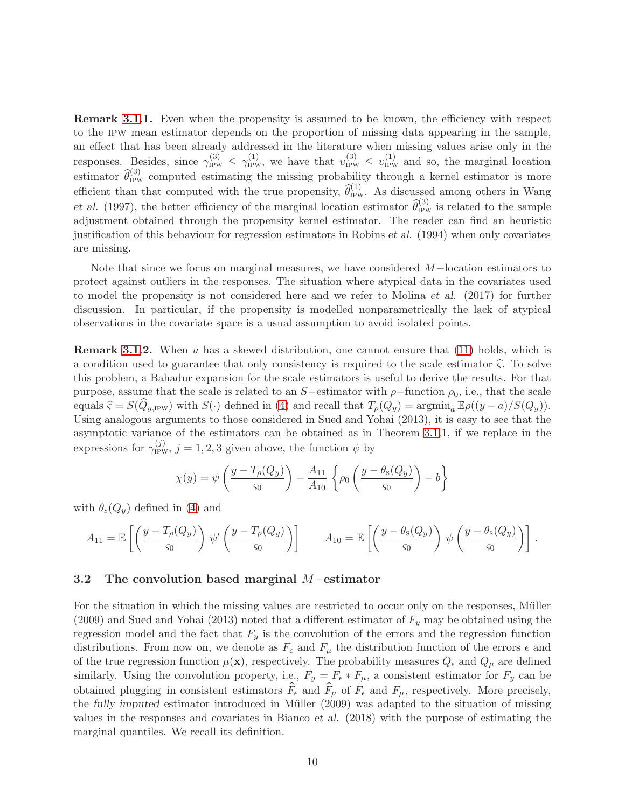Remark [3.1.](#page-6-0)1. Even when the propensity is assumed to be known, the efficiency with respect to the ipw mean estimator depends on the proportion of missing data appearing in the sample, an effect that has been already addressed in the literature when missing values arise only in the responses. Besides, since  $\gamma_{IPW}^{(3)} \leq \gamma_{IPW}^{(1)}$ , we have that  $v_{IPW}^{(3)} \leq v_{IPW}^{(1)}$  and so, the marginal location estimator  $\hat{\theta}_{IPW}^{(3)}$  computed estimating the missing probability through a kernel estimator is more efficient than that computed with the true propensity,  $\hat{\theta}_{IPW}^{(1)}$ . As discussed among others in Wang et al. (1997), the better efficiency of the marginal location estimator  $\hat{\theta}_{IPW}^{(3)}$  is related to the sample adjustment obtained through the propensity kernel estimator. The reader can find an heuristic justification of this behaviour for regression estimators in Robins et al. (1994) when only covariates are missing.

Note that since we focus on marginal measures, we have considered M−location estimators to protect against outliers in the responses. The situation where atypical data in the covariates used to model the propensity is not considered here and we refer to Molina et al. (2017) for further discussion. In particular, if the propensity is modelled nonparametrically the lack of atypical observations in the covariate space is a usual assumption to avoid isolated points.

**Remark [3.1.](#page-6-0)2.** When u has a skewed distribution, one cannot ensure that  $(11)$  holds, which is a condition used to guarantee that only consistency is required to the scale estimator  $\hat{\zeta}$ . To solve this problem, a Bahadur expansion for the scale estimators is useful to derive the results. For that purpose, assume that the scale is related to an S−estimator with  $\rho$ −function  $\rho_0$ , i.e., that the scale equals  $\hat{\zeta} = S(Q_{y,\text{IPW}})$  with  $S(\cdot)$  defined in [\(4\)](#page-4-1) and recall that  $T_{\rho}(Q_y) = \operatorname{argmin}_a \mathbb{E}\rho((y - a)/S(Q_y)).$ Using analogous arguments to those considered in Sued and Yohai (2013), it is easy to see that the asymptotic variance of the estimators can be obtained as in Theorem [3.1.](#page-6-0)1, if we replace in the expressions for  $\gamma_{\text{IPW}}^{(j)}$ ,  $j = 1, 2, 3$  given above, the function  $\psi$  by

$$
\chi(y) = \psi\left(\frac{y - T_{\rho}(Q_y)}{\varsigma_0}\right) - \frac{A_{11}}{A_{10}} \left\{\rho_0\left(\frac{y - \theta_{\rm s}(Q_y)}{\varsigma_0}\right) - b\right\}
$$

with  $\theta_{\rm s}(Q_y)$  defined in [\(4\)](#page-4-1) and

$$
A_{11} = \mathbb{E}\left[\left(\frac{y - T_{\rho}(Q_y)}{\varsigma_0}\right) \psi'\left(\frac{y - T_{\rho}(Q_y)}{\varsigma_0}\right)\right] \qquad A_{10} = \mathbb{E}\left[\left(\frac{y - \theta_{\rm s}(Q_y)}{\varsigma_0}\right) \psi\left(\frac{y - \theta_{\rm s}(Q_y)}{\varsigma_0}\right)\right].
$$

#### <span id="page-9-0"></span>3.2 The convolution based marginal <sup>M</sup>−estimator

For the situation in which the missing values are restricted to occur only on the responses, Müller  $(2009)$  and Sued and Yohai (2013) noted that a different estimator of  $F_y$  may be obtained using the regression model and the fact that  $F_y$  is the convolution of the errors and the regression function distributions. From now on, we denote as  $F_{\epsilon}$  and  $F_{\mu}$  the distribution function of the errors  $\epsilon$  and of the true regression function  $\mu(\mathbf{x})$ , respectively. The probability measures  $Q_{\epsilon}$  and  $Q_{\mu}$  are defined similarly. Using the convolution property, i.e.,  $F_y = F_\epsilon * F_\mu$ , a consistent estimator for  $F_y$  can be obtained plugging–in consistent estimators  $\widehat{F}_{\epsilon}$  and  $\widehat{F}_{\mu}$  of  $F_{\epsilon}$  and  $F_{\mu}$ , respectively. More precisely, the fully imputed estimator introduced in Müller (2009) was adapted to the situation of missing values in the responses and covariates in Bianco et al. (2018) with the purpose of estimating the marginal quantiles. We recall its definition.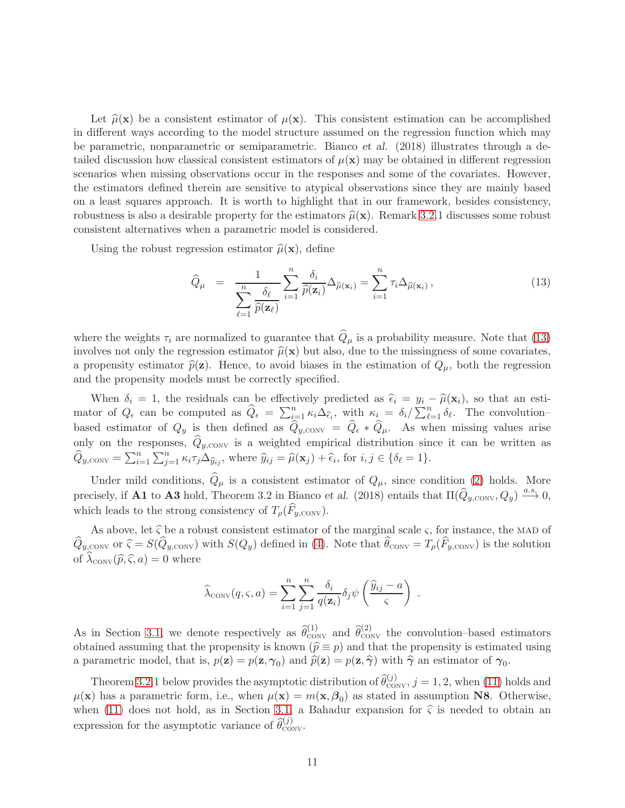Let  $\hat{\mu}(\mathbf{x})$  be a consistent estimator of  $\mu(\mathbf{x})$ . This consistent estimation can be accomplished in different ways according to the model structure assumed on the regression function which may be parametric, nonparametric or semiparametric. Bianco et al. (2018) illustrates through a detailed discussion how classical consistent estimators of  $\mu(\mathbf{x})$  may be obtained in different regression scenarios when missing observations occur in the responses and some of the covariates. However, the estimators defined therein are sensitive to atypical observations since they are mainly based on a least squares approach. It is worth to highlight that in our framework, besides consistency, robustness is also a desirable property for the estimators  $\hat{\mu}(\mathbf{x})$ . Remark [3.2.](#page-9-0)1 discusses some robust consistent alternatives when a parametric model is considered.

Using the robust regression estimator  $\hat{\mu}(\mathbf{x})$ , define

<span id="page-10-0"></span>
$$
\widehat{Q}_{\mu} = \frac{1}{\sum_{\ell=1}^{n} \frac{\delta_{\ell}}{\widehat{p}(\mathbf{z}_{\ell})}} \sum_{i=1}^{n} \frac{\delta_{i}}{\widehat{p}(\mathbf{z}_{i})} \Delta_{\widehat{\mu}(\mathbf{x}_{i})} = \sum_{i=1}^{n} \tau_{i} \Delta_{\widehat{\mu}(\mathbf{x}_{i})},
$$
\n(13)

where the weights  $\tau_i$  are normalized to guarantee that  $\hat{Q}_{\mu}$  is a probability measure. Note that [\(13\)](#page-10-0) involves not only the regression estimator  $\hat{\mu}(\mathbf{x})$  but also, due to the missingness of some covariates, a propensity estimator  $\hat{p}(\mathbf{z})$ . Hence, to avoid biases in the estimation of  $Q_{\mu}$ , both the regression and the propensity models must be correctly specified.

When  $\delta_i = 1$ , the residuals can be effectively predicted as  $\hat{\epsilon}_i = y_i - \hat{\mu}(\mathbf{x}_i)$ , so that an estimator of  $Q_{\epsilon}$  can be computed as  $\widehat{Q}_{\epsilon} = \sum_{i=1}^{n} \kappa_i \Delta_{\widehat{\epsilon}_i}$ , with  $\kappa_i = \delta_i / \sum_{\ell=1}^{n} \delta_{\ell}$ . The convolutionbased estimator of  $Q_y$  is then defined as  $\hat{Q}_{y,\text{conv}} = \hat{Q}_{\epsilon} * \hat{Q}_{\mu}$ . As when missing values arise only on the responses,  $Q_{\nu,\text{conv}}$  is a weighted empirical distribution since it can be written as  $\widehat{Q}_{y, \text{conv}} = \sum_{i=1}^n \sum_{j=1}^n \kappa_i \tau_j \Delta_{\widehat{y}_{ij}}$ , where  $\widehat{y}_{ij} = \widehat{\mu}(\mathbf{x}_j) + \widehat{\epsilon}_i$ , for  $i, j \in \{\delta_\ell = 1\}$ .

Under mild conditions,  $\hat{Q}_{\mu}$  is a consistent estimator of  $Q_{\mu}$ , since condition [\(2\)](#page-30-0) holds. More precisely, if **A1** to **A3** hold, Theorem 3.2 in Bianco *et al.* (2018) entails that  $\Pi(\widehat{Q}_{y, \text{conv}}, Q_y) \xrightarrow{a.s} 0$ , which leads to the strong consistency of  $T_{\rho}(\widehat{F}_{u,\text{CONV}})$ .

As above, let  $\hat{\zeta}$  be a robust consistent estimator of the marginal scale  $\zeta$ , for instance, the MAD of  $Q_{y,\text{conv}}$  or  $\hat{\varsigma} = S(Q_{y,\text{conv}})$  with  $S(Q_y)$  defined in [\(4\)](#page-4-1). Note that  $\theta_{\text{conv}} = T_{\rho}(F_{y,\text{conv}})$  is the solution of  $\lambda_{\text{conv}}(\widehat{p}, \widehat{\varsigma}, a) = 0$  where

$$
\widehat{\lambda}_{\text{conv}}(q, \varsigma, a) = \sum_{i=1}^{n} \sum_{j=1}^{n} \frac{\delta_i}{q(\mathbf{z}_i)} \delta_j \psi\left(\frac{\widehat{y}_{ij} - a}{\varsigma}\right) .
$$

As in Section [3.1,](#page-6-0) we denote respectively as  $\hat{\theta}_{\text{conv}}^{(1)}$  and  $\hat{\theta}_{\text{conv}}^{(2)}$  the convolution–based estimators obtained assuming that the propensity is known ( $\hat{p} \equiv p$ ) and that the propensity is estimated using a parametric model, that is,  $p(\mathbf{z}) = p(\mathbf{z}, \gamma_0)$  and  $\widehat{p}(\mathbf{z}) = p(\mathbf{z}, \widehat{\gamma})$  with  $\widehat{\gamma}$  an estimator of  $\gamma_0$ .

Theorem [3.2.](#page-9-0)1 below provides the asymptotic distribution of  $\hat{\theta}_{\text{CONV}}^{(j)}$ ,  $j = 1, 2$ , when [\(11\)](#page-8-0) holds and  $\mu(\mathbf{x})$  has a parametric form, i.e., when  $\mu(\mathbf{x}) = m(\mathbf{x}, \beta_0)$  as stated in assumption N8. Otherwise, when [\(11\)](#page-8-0) does not hold, as in Section [3.1,](#page-6-0) a Bahadur expansion for  $\hat{\zeta}$  is needed to obtain an expression for the asymptotic variance of  $\widehat{\theta}_{\text{conv}}^{(j)}$ .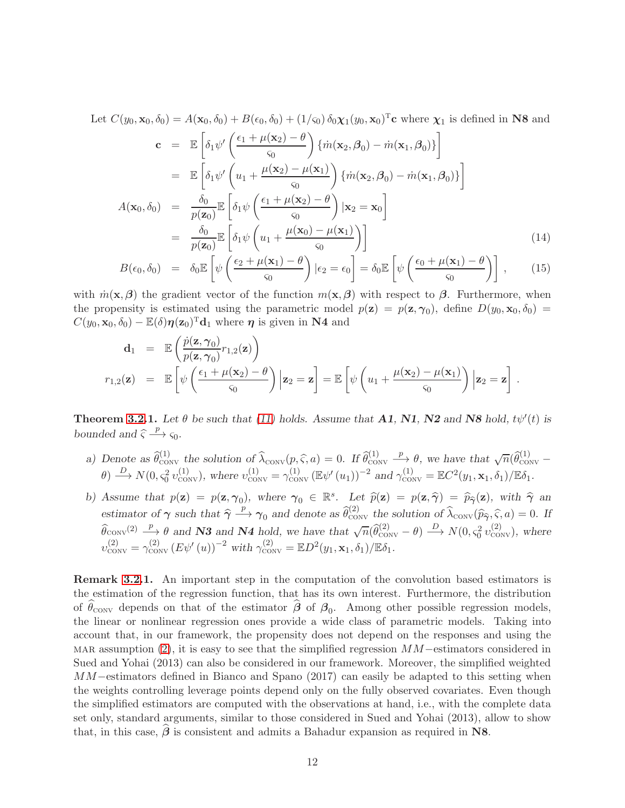Let  $C(y_0, \mathbf{x}_0, \delta_0) = A(\mathbf{x}_0, \delta_0) + B(\epsilon_0, \delta_0) + (1/\varsigma_0) \delta_0 \chi_1(y_0, \mathbf{x}_0)^T \mathbf{c}$  where  $\chi_1$  is defined in N8 and

<span id="page-11-0"></span>
$$
\mathbf{c} = \mathbb{E}\left[\delta_1\psi'\left(\frac{\epsilon_1 + \mu(\mathbf{x}_2) - \theta}{\varsigma_0}\right)\left\{\dot{m}(\mathbf{x}_2, \beta_0) - \dot{m}(\mathbf{x}_1, \beta_0)\right\}\right]
$$
  
\n
$$
= \mathbb{E}\left[\delta_1\psi'\left(u_1 + \frac{\mu(\mathbf{x}_2) - \mu(\mathbf{x}_1)}{\varsigma_0}\right)\left\{\dot{m}(\mathbf{x}_2, \beta_0) - \dot{m}(\mathbf{x}_1, \beta_0)\right\}\right]
$$
  
\n
$$
A(\mathbf{x}_0, \delta_0) = \frac{\delta_0}{p(\mathbf{z}_0)}\mathbb{E}\left[\delta_1\psi\left(\frac{\epsilon_1 + \mu(\mathbf{x}_2) - \theta}{\varsigma_0}\right)|\mathbf{x}_2 = \mathbf{x}_0\right]
$$
  
\n
$$
= \frac{\delta_0}{p(\mathbf{z}_0)}\mathbb{E}\left[\delta_1\psi\left(u_1 + \frac{\mu(\mathbf{x}_0) - \mu(\mathbf{x}_1)}{\varsigma_0}\right)\right]
$$
  
\n
$$
\left[\left(\epsilon_0 + \mu(\mathbf{x}_1) - \theta\right) - \mu(\mathbf{x}_1)\right]
$$
  
\n(14)

$$
B(\epsilon_0, \delta_0) = \delta_0 \mathbb{E} \left[ \psi \left( \frac{\epsilon_2 + \mu(\mathbf{x}_1) - \theta}{\varsigma_0} \right) | \epsilon_2 = \epsilon_0 \right] = \delta_0 \mathbb{E} \left[ \psi \left( \frac{\epsilon_0 + \mu(\mathbf{x}_1) - \theta}{\varsigma_0} \right) \right], \qquad (15)
$$

with  $\dot{m}(\mathbf{x},\boldsymbol{\beta})$  the gradient vector of the function  $m(\mathbf{x},\boldsymbol{\beta})$  with respect to  $\boldsymbol{\beta}$ . Furthermore, when the propensity is estimated using the parametric model  $p(\mathbf{z}) = p(\mathbf{z}, \gamma_0)$ , define  $D(y_0, \mathbf{x}_0, \delta_0) =$  $C(y_0, \mathbf{x}_0, \delta_0) - \mathbb{E}(\delta) \boldsymbol{\eta}(\mathbf{z}_0)^{\mathrm{T}} \mathbf{d}_1$  where  $\boldsymbol{\eta}$  is given in N4 and

$$
\mathbf{d}_1 = \mathbb{E}\left(\frac{\dot{p}(\mathbf{z}, \boldsymbol{\gamma}_0)}{p(\mathbf{z}, \boldsymbol{\gamma}_0)} r_{1,2}(\mathbf{z})\right)
$$
  

$$
r_{1,2}(\mathbf{z}) = \mathbb{E}\left[\psi\left(\frac{\epsilon_1 + \mu(\mathbf{x}_2) - \theta}{\varsigma_0}\right) | \mathbf{z}_2 = \mathbf{z}\right] = \mathbb{E}\left[\psi\left(u_1 + \frac{\mu(\mathbf{x}_2) - \mu(\mathbf{x}_1)}{\varsigma_0}\right) | \mathbf{z}_2 = \mathbf{z}\right].
$$

**Theorem [3.2.](#page-9-0)1.** Let  $\theta$  be such that [\(11\)](#page-8-0) holds. Assume that **A1**, **N1**, **N2** and **N8** hold,  $t\psi'(t)$  is bounded and  $\hat{\varsigma} \stackrel{p}{\longrightarrow} \varsigma_0$ .

- a) Denote as  $\widehat{\theta}_{\text{conv}}^{(1)}$  the solution of  $\widehat{\lambda}_{\text{conv}}(p, \widehat{\varsigma}, a) = 0$ . If  $\widehat{\theta}_{\text{conv}}^{(1)} \xrightarrow{p} \theta$ , we have that  $\sqrt{n}(\widehat{\theta}_{\text{conv}}^{(1)} a)$  $\theta$ )  $\stackrel{D}{\longrightarrow} N(0, \varsigma_0^2 v_{\text{conv}}^{(1)})$ , where  $v_{\text{conv}}^{(1)} = \gamma_{\text{conv}}^{(1)} (\mathbb{E} \psi'(u_1))^{-2}$  and  $\gamma_{\text{conv}}^{(1)} = \mathbb{E} C^2(y_1, \mathbf{x}_1, \delta_1)/\mathbb{E} \delta_1$ .
- b) Assume that  $p(\mathbf{z}) = p(\mathbf{z}, \gamma_0)$ , where  $\gamma_0 \in \mathbb{R}^s$ . Let  $\widehat{p}(\mathbf{z}) = p(\mathbf{z}, \widehat{\gamma}) = \widehat{p}_{\widehat{\gamma}}(\mathbf{z})$ , with  $\widehat{\gamma}$  and estimator of  $\gamma$  such that  $\hat{\gamma} \stackrel{p}{\longrightarrow} \gamma_0$  and denote as  $\hat{\theta}_{\text{conv}}^{(2)}$  the solution of  $\hat{\lambda}_{\text{conv}}(\hat{p}_{\hat{\gamma}}, \hat{\varsigma}, a) = 0$ . If  $\hat{\theta}_{\text{conv}}^{(2)} \xrightarrow{p} \theta$  and **N3** and **N4** hold, we have that  $\sqrt{n}(\hat{\theta}_{\text{conv}}^{(2)} - \theta) \xrightarrow{D} N(0, \varsigma_0^2 v_{\text{conv}}^{(2)}),$  where  $v_{\text{conv}}^{(2)} = \gamma_{\text{conv}}^{(2)} \left( E \psi'(u) \right)^{-2} \text{ with } \gamma_{\text{conv}}^{(2)} = \mathbb{E} D^2(y_1, \mathbf{x}_1, \delta_1) / \mathbb{E} \delta_1.$

Remark [3.2.](#page-9-0)1. An important step in the computation of the convolution based estimators is the estimation of the regression function, that has its own interest. Furthermore, the distribution of  $\theta_{\text{conv}}$  depends on that of the estimator  $\beta$  of  $\beta_0$ . Among other possible regression models, the linear or nonlinear regression ones provide a wide class of parametric models. Taking into account that, in our framework, the propensity does not depend on the responses and using the MAR assumption [\(2\)](#page-30-0), it is easy to see that the simplified regression  $MM$ –estimators considered in Sued and Yohai (2013) can also be considered in our framework. Moreover, the simplified weighted MM–estimators defined in Bianco and Spano (2017) can easily be adapted to this setting when the weights controlling leverage points depend only on the fully observed covariates. Even though the simplified estimators are computed with the observations at hand, i.e., with the complete data set only, standard arguments, similar to those considered in Sued and Yohai (2013), allow to show that, in this case,  $\beta$  is consistent and admits a Bahadur expansion as required in N8.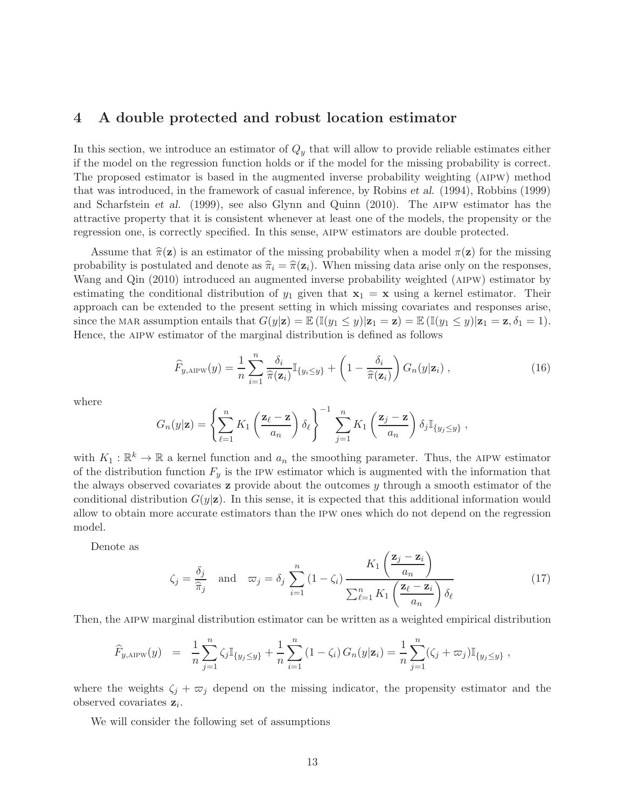### <span id="page-12-0"></span>4 A double protected and robust location estimator

In this section, we introduce an estimator of  $Q_y$  that will allow to provide reliable estimates either if the model on the regression function holds or if the model for the missing probability is correct. The proposed estimator is based in the augmented inverse probability weighting (aipw) method that was introduced, in the framework of casual inference, by Robins et al. (1994), Robbins (1999) and Scharfstein et al. (1999), see also Glynn and Quinn (2010). The aipw estimator has the attractive property that it is consistent whenever at least one of the models, the propensity or the regression one, is correctly specified. In this sense, aipw estimators are double protected.

Assume that  $\hat{\pi}(\mathbf{z})$  is an estimator of the missing probability when a model  $\pi(\mathbf{z})$  for the missing probability is postulated and denote as  $\hat{\pi}_i = \hat{\pi}(\mathbf{z}_i)$ . When missing data arise only on the responses, Wang and Qin (2010) introduced an augmented inverse probability weighted (aipw) estimator by estimating the conditional distribution of  $y_1$  given that  $x_1 = x$  using a kernel estimator. Their approach can be extended to the present setting in which missing covariates and responses arise, since the MAR assumption entails that  $G(y|\mathbf{z}) = \mathbb{E} (\mathbb{I}(y_1 \le y) | \mathbf{z}_1 = \mathbf{z}) = \mathbb{E} (\mathbb{I}(y_1 \le y) | \mathbf{z}_1 = \mathbf{z}, \delta_1 = 1).$ Hence, the aipw estimator of the marginal distribution is defined as follows

$$
\widehat{F}_{y,\text{AIPW}}(y) = \frac{1}{n} \sum_{i=1}^{n} \frac{\delta_i}{\widehat{\pi}(\mathbf{z}_i)} \mathbb{I}_{\{y_i \le y\}} + \left(1 - \frac{\delta_i}{\widehat{\pi}(\mathbf{z}_i)}\right) G_n(y|\mathbf{z}_i) ,\qquad (16)
$$

where

$$
G_n(y|\mathbf{z}) = \left\{ \sum_{\ell=1}^n K_1 \left( \frac{\mathbf{z}_{\ell} - \mathbf{z}}{a_n} \right) \delta_{\ell} \right\}^{-1} \sum_{j=1}^n K_1 \left( \frac{\mathbf{z}_j - \mathbf{z}}{a_n} \right) \delta_j \mathbb{I}_{\{y_j \leq y\}},
$$

with  $K_1 : \mathbb{R}^k \to \mathbb{R}$  a kernel function and  $a_n$  the smoothing parameter. Thus, the AIPW estimator of the distribution function  $F_y$  is the IPW estimator which is augmented with the information that the always observed covariates  $z$  provide about the outcomes  $y$  through a smooth estimator of the conditional distribution  $G(y|z)$ . In this sense, it is expected that this additional information would allow to obtain more accurate estimators than the ipw ones which do not depend on the regression model.

Denote as

<span id="page-12-1"></span>
$$
\zeta_j = \frac{\delta_j}{\hat{\pi}_j} \quad \text{and} \quad \varpi_j = \delta_j \sum_{i=1}^n (1 - \zeta_i) \frac{K_1\left(\frac{\mathbf{z}_j - \mathbf{z}_i}{a_n}\right)}{\sum_{\ell=1}^n K_1\left(\frac{\mathbf{z}_\ell - \mathbf{z}_i}{a_n}\right) \delta_\ell} \tag{17}
$$

Then, the aipw marginal distribution estimator can be written as a weighted empirical distribution

$$
\widehat{F}_{y,\text{AIPW}}(y) = \frac{1}{n} \sum_{j=1}^{n} \zeta_j \mathbb{I}_{\{y_j \leq y\}} + \frac{1}{n} \sum_{i=1}^{n} (1 - \zeta_i) G_n(y|\mathbf{z}_i) = \frac{1}{n} \sum_{j=1}^{n} (\zeta_j + \varpi_j) \mathbb{I}_{\{y_j \leq y\}} ,
$$

where the weights  $\zeta_j + \overline{\omega}_j$  depend on the missing indicator, the propensity estimator and the observed covariates  $z_i$ .

We will consider the following set of assumptions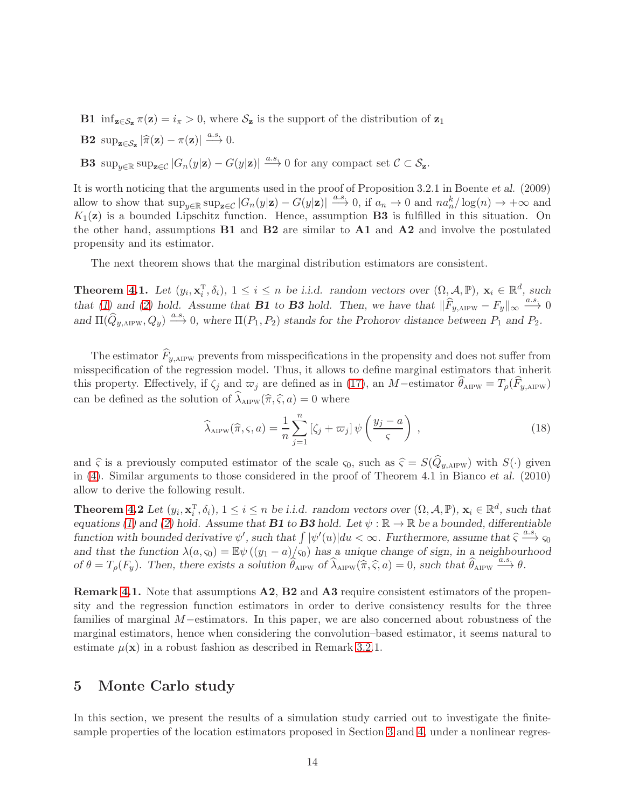**B1** inf<sub> $z \in S_z \pi(z) = i_\pi > 0$ , where  $S_z$  is the support of the distribution of  $z_1$ </sub>

**B2** sup<sub> $z \in S_z$ </sub>  $|\hat{\pi}(\mathbf{z}) - \pi(\mathbf{z})| \stackrel{a.s.}{\longrightarrow} 0.$ 

**B3** sup<sub>y∈R</sub> sup<sub>z∈C</sub>  $|G_n(y|\mathbf{z}) - G(y|\mathbf{z})| \stackrel{a.s.}{\longrightarrow} 0$  for any compact set  $C \subset S_{\mathbf{z}}$ .

It is worth noticing that the arguments used in the proof of Proposition 3.2.1 in Boente et al. (2009) allow to show that  $\sup_{y\in\mathbb{R}} \sup_{\mathbf{z}\in\mathcal{C}} |G_n(y|\mathbf{z}) - G(y|\mathbf{z})| \stackrel{a.s.}{\longrightarrow} 0$ , if  $a_n \to 0$  and  $n a_n^k / \log(n) \to +\infty$  and  $K_1(\mathbf{z})$  is a bounded Lipschitz function. Hence, assumption **B3** is fulfilled in this situation. On the other hand, assumptions  $B1$  and  $B2$  are similar to  $A1$  and  $A2$  and involve the postulated propensity and its estimator.

The next theorem shows that the marginal distribution estimators are consistent.

**Theorem [4.](#page-12-0)1.** Let  $(y_i, \mathbf{x}_i^T)$  $\{(\mathbf{x}_i^{\mathrm{T}}, \delta_i), 1 \leq i \leq n \text{ be } i.i.d. \text{ random vectors over } (\Omega, \mathcal{A}, \mathbb{P}), \mathbf{x}_i \in \mathbb{R}^d, \text{ such that } \mathcal{A} \in \mathbb{R}^d \text{ such that } \mathcal{A} \in \mathbb{R}^d \text{ such that } \mathcal{A} \in \mathbb{R}^d \text{ such that } \mathcal{A} \in \mathbb{R}^d \text{ such that } \mathcal{A} \in \mathbb{R}^d \text{ such that } \mathcal{A} \in \mathbb{R}^d \text{ such that } \mathcal{A} \$ that [\(1\)](#page-28-0) and [\(2\)](#page-30-0) hold. Assume that **B1** to **B3** hold. Then, we have that  $\|\widehat{F}_{y, \text{AIPW}} - F_y\|_{\infty} \xrightarrow{a.s.} 0$ and  $\Pi(\widehat{Q}_{y, \text{AIPW}}, Q_y) \stackrel{a.s.}{\longrightarrow} 0$ , where  $\Pi(P_1, P_2)$  stands for the Prohorov distance between  $P_1$  and  $P_2$ .

The estimator  $\widehat{F}_{u,\text{AIPW}}$  prevents from misspecifications in the propensity and does not suffer from misspecification of the regression model. Thus, it allows to define marginal estimators that inherit this property. Effectively, if  $\zeta_j$  and  $\varpi_j$  are defined as in [\(17\)](#page-12-1), an M−estimator  $\theta_{\text{AIPW}} = T_\rho(F_{y,\text{AIPW}})$ can be defined as the solution of  $\lambda_{\text{AIPW}}(\hat{\pi}, \hat{\varsigma}, a) = 0$  where

$$
\widehat{\lambda}_{\text{AIPW}}(\widehat{\pi}, \varsigma, a) = \frac{1}{n} \sum_{j=1}^{n} \left[ \zeta_j + \varpi_j \right] \psi \left( \frac{y_j - a}{\varsigma} \right) , \qquad (18)
$$

and  $\hat{\varsigma}$  is a previously computed estimator of the scale  $\varsigma_0$ , such as  $\hat{\varsigma} = S(\hat{Q}_{y,APW})$  with  $S(\cdot)$  given in [\(4\)](#page-4-1). Similar arguments to those considered in the proof of Theorem 4.1 in Bianco et al. (2010) allow to derive the following result.

Theorem [4.](#page-12-0)2 Let  $(y_i, \mathbf{x}_i^T)$  $\{(\mathbf{x}_i^T, \delta_i), 1 \leq i \leq n \text{ be } i.i.d. \text{ random vectors over } (\Omega, \mathcal{A}, \mathbb{P}), \mathbf{x}_i \in \mathbb{R}^d, \text{ such that }$ equations [\(1\)](#page-28-0) and [\(2\)](#page-30-0) hold. Assume that **B1** to **B3** hold. Let  $\psi : \mathbb{R} \to \mathbb{R}$  be a bounded, differentiable function with bounded derivative  $\psi'$ , such that  $\int |\psi'(u)|du < \infty$ . Furthermore, assume that  $\hat{\zeta} \stackrel{a.s.}{\longrightarrow} \zeta_0$ and that the function  $\lambda(a, s_0) = \mathbb{E}\psi((y_1 - a)/s_0)$  has a unique change of sign, in a neighbourhood of  $\theta = T_{\rho}(F_y)$ . Then, there exists a solution  $\widehat{\theta}_{\text{AIPW}}$  of  $\widehat{\lambda}_{\text{AIPW}}(\hat{\pi}, \hat{\varsigma}, a) = 0$ , such that  $\widehat{\theta}_{\text{AIPW}} \stackrel{a.s.}{\longrightarrow} \theta$ .

Remark [4.](#page-12-0)1. Note that assumptions A2, B2 and A3 require consistent estimators of the propensity and the regression function estimators in order to derive consistency results for the three families of marginal M−estimators. In this paper, we are also concerned about robustness of the marginal estimators, hence when considering the convolution–based estimator, it seems natural to estimate  $\mu(\mathbf{x})$  in a robust fashion as described in Remark [3.2.](#page-9-0)1.

## <span id="page-13-0"></span>5 Monte Carlo study

In this section, we present the results of a simulation study carried out to investigate the finitesample properties of the location estimators proposed in Section [3](#page-5-0) and [4,](#page-12-0) under a nonlinear regres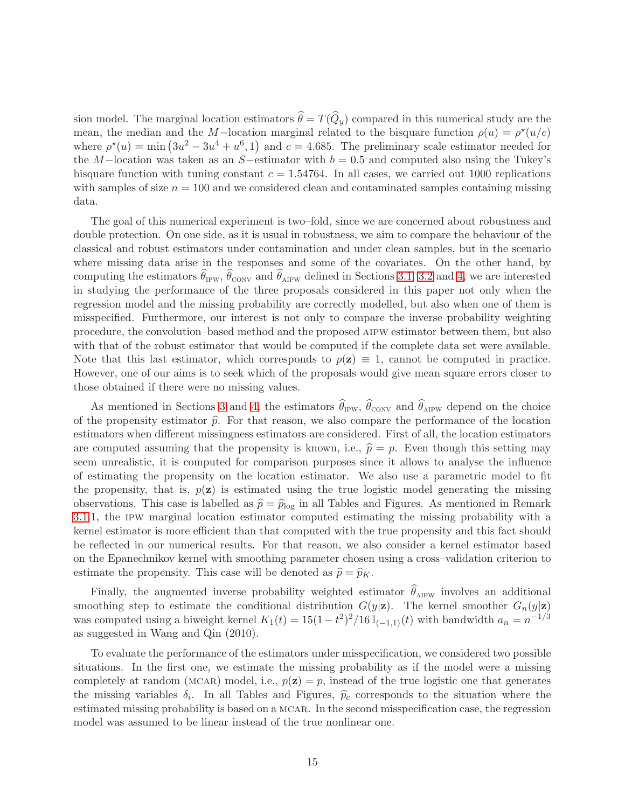sion model. The marginal location estimators  $\widehat{\theta} = T(\widehat{Q}_y)$  compared in this numerical study are the mean, the median and the M-location marginal related to the bisquare function  $\rho(u) = \rho^*(u/c)$ where  $\rho^*(u) = \min(3u^2 - 3u^4 + u^6, 1)$  and  $c = 4.685$ . The preliminary scale estimator needed for the M−location was taken as an S−estimator with  $b = 0.5$  and computed also using the Tukey's bisquare function with tuning constant  $c = 1.54764$ . In all cases, we carried out 1000 replications with samples of size  $n = 100$  and we considered clean and contaminated samples containing missing data.

The goal of this numerical experiment is two–fold, since we are concerned about robustness and double protection. On one side, as it is usual in robustness, we aim to compare the behaviour of the classical and robust estimators under contamination and under clean samples, but in the scenario where missing data arise in the responses and some of the covariates. On the other hand, by computing the estimators  $\theta_{IPW}$ ,  $\theta_{CONV}$  and  $\theta_{APW}$  defined in Sections [3.1,](#page-6-0) [3.2](#page-9-0) and [4,](#page-12-0) we are interested in studying the performance of the three proposals considered in this paper not only when the regression model and the missing probability are correctly modelled, but also when one of them is misspecified. Furthermore, our interest is not only to compare the inverse probability weighting procedure, the convolution–based method and the proposed aipw estimator between them, but also with that of the robust estimator that would be computed if the complete data set were available. Note that this last estimator, which corresponds to  $p(z) \equiv 1$ , cannot be computed in practice. However, one of our aims is to seek which of the proposals would give mean square errors closer to those obtained if there were no missing values.

As mentioned in Sections [3](#page-5-0) and [4,](#page-12-0) the estimators  $\theta_{IPW}$ ,  $\theta_{CONV}$  and  $\theta_{AIPW}$  depend on the choice of the propensity estimator  $\hat{p}$ . For that reason, we also compare the performance of the location estimators when different missingness estimators are considered. First of all, the location estimators are computed assuming that the propensity is known, i.e.,  $\hat{p} = p$ . Even though this setting may seem unrealistic, it is computed for comparison purposes since it allows to analyse the influence of estimating the propensity on the location estimator. We also use a parametric model to fit the propensity, that is,  $p(z)$  is estimated using the true logistic model generating the missing observations. This case is labelled as  $\hat{p} = \hat{p}_{\text{log}}$  in all Tables and Figures. As mentioned in Remark [3.1.](#page-6-0)1, the ipw marginal location estimator computed estimating the missing probability with a kernel estimator is more efficient than that computed with the true propensity and this fact should be reflected in our numerical results. For that reason, we also consider a kernel estimator based on the Epanechnikov kernel with smoothing parameter chosen using a cross–validation criterion to estimate the propensity. This case will be denoted as  $\hat{p} = \hat{p}_K$ .

Finally, the augmented inverse probability weighted estimator  $\theta_{\text{AIPW}}$  involves an additional smoothing step to estimate the conditional distribution  $G(y|\mathbf{z})$ . The kernel smoother  $G_n(y|\mathbf{z})$ was computed using a biweight kernel  $K_1(t) = 15(1-t^2)^2/16 \mathbb{I}_{(-1,1)}(t)$  with bandwidth  $a_n = n^{-1/3}$ as suggested in Wang and Qin (2010).

To evaluate the performance of the estimators under misspecification, we considered two possible situations. In the first one, we estimate the missing probability as if the model were a missing completely at random (MCAR) model, i.e.,  $p(z) = p$ , instead of the true logistic one that generates the missing variables  $\delta_i$ . In all Tables and Figures,  $\hat{p}_c$  corresponds to the situation where the estimated missing probability is based on a mcar. In the second misspecification case, the regression model was assumed to be linear instead of the true nonlinear one.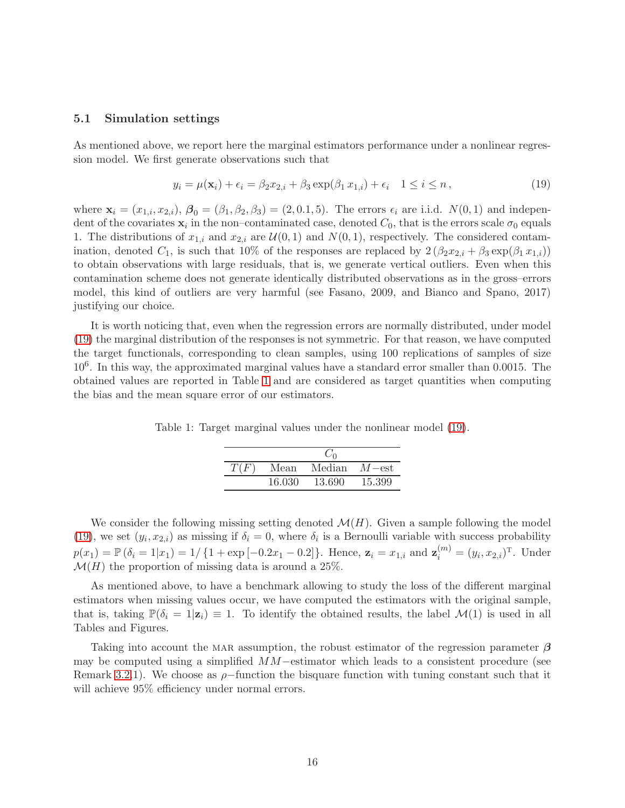#### 5.1 Simulation settings

As mentioned above, we report here the marginal estimators performance under a nonlinear regression model. We first generate observations such that

<span id="page-15-0"></span>
$$
y_i = \mu(\mathbf{x}_i) + \epsilon_i = \beta_2 x_{2,i} + \beta_3 \exp(\beta_1 x_{1,i}) + \epsilon_i \quad 1 \le i \le n,
$$
\n(19)

where  $\mathbf{x}_i = (x_{1,i}, x_{2,i}), \boldsymbol{\beta}_0 = (\beta_1, \beta_2, \beta_3) = (2, 0.1, 5)$ . The errors  $\epsilon_i$  are i.i.d.  $N(0, 1)$  and independent of the covariates  $\mathbf{x}_i$  in the non–contaminated case, denoted  $C_0$ , that is the errors scale  $\sigma_0$  equals 1. The distributions of  $x_{1,i}$  and  $x_{2,i}$  are  $\mathcal{U}(0,1)$  and  $N(0,1)$ , respectively. The considered contamination, denoted  $C_1$ , is such that 10% of the responses are replaced by  $2(\beta_2 x_{2,i} + \beta_3 \exp(\beta_1 x_{1,i}))$ to obtain observations with large residuals, that is, we generate vertical outliers. Even when this contamination scheme does not generate identically distributed observations as in the gross–errors model, this kind of outliers are very harmful (see Fasano, 2009, and Bianco and Spano, 2017) justifying our choice.

It is worth noticing that, even when the regression errors are normally distributed, under model [\(19\)](#page-15-0) the marginal distribution of the responses is not symmetric. For that reason, we have computed the target functionals, corresponding to clean samples, using 100 replications of samples of size 10<sup>6</sup> . In this way, the approximated marginal values have a standard error smaller than 0.0015. The obtained values are reported in Table [1](#page-15-1) and are considered as target quantities when computing the bias and the mean square error of our estimators.

Table 1: Target marginal values under the nonlinear model [\(19\)](#page-15-0).

<span id="page-15-1"></span>

| T(F) | Mean   | Median | $M$ – est. |
|------|--------|--------|------------|
|      | 16.030 | 13.690 | 15.399     |

We consider the following missing setting denoted  $\mathcal{M}(H)$ . Given a sample following the model [\(19\)](#page-15-0), we set  $(y_i, x_{2,i})$  as missing if  $\delta_i = 0$ , where  $\delta_i$  is a Bernoulli variable with success probability  $p(x_1) = \mathbb{P}(\delta_i = 1 | x_1) = 1 / \{1 + \exp[-0.2x_1 - 0.2]\}.$  Hence,  $\mathbf{z}_i = x_{1,i}$  and  $\mathbf{z}_i^{(m)} = (y_i, x_{2,i})^{\mathrm{T}}.$  Under  $\mathcal{M}(H)$  the proportion of missing data is around a 25%.

As mentioned above, to have a benchmark allowing to study the loss of the different marginal estimators when missing values occur, we have computed the estimators with the original sample, that is, taking  $\mathbb{P}(\delta_i = 1 | \mathbf{z}_i) \equiv 1$ . To identify the obtained results, the label  $\mathcal{M}(1)$  is used in all Tables and Figures.

Taking into account the MAR assumption, the robust estimator of the regression parameter  $\beta$ may be computed using a simplified MM−estimator which leads to a consistent procedure (see Remark [3.2.](#page-9-0)1). We choose as  $\rho$ -function the bisquare function with tuning constant such that it will achieve  $95\%$  efficiency under normal errors.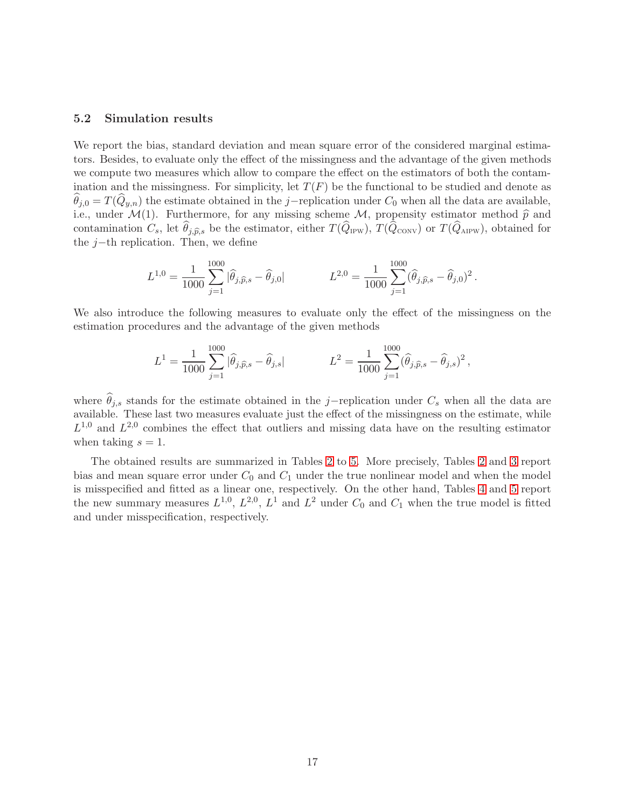#### 5.2 Simulation results

We report the bias, standard deviation and mean square error of the considered marginal estimators. Besides, to evaluate only the effect of the missingness and the advantage of the given methods we compute two measures which allow to compare the effect on the estimators of both the contamination and the missingness. For simplicity, let  $T(F)$  be the functional to be studied and denote as  $\theta_{j,0} = T(Q_{y,n})$  the estimate obtained in the j−replication under  $C_0$  when all the data are available, i.e., under  $\mathcal{M}(1)$ . Furthermore, for any missing scheme  $\mathcal{M}$ , propensity estimator method  $\hat{p}$  and contamination  $C_s$ , let  $\theta_{j,\widehat{p},s}$  be the estimator, either  $T(Q_{IPW})$ ,  $T(Q_{CONV})$  or  $T(Q_{APW})$ , obtained for the  $j$ −th replication. Then, we define

$$
L^{1,0} = \frac{1}{1000} \sum_{j=1}^{1000} |\hat{\theta}_{j,\widehat{p},s} - \widehat{\theta}_{j,0}| \qquad L^{2,0} = \frac{1}{1000} \sum_{j=1}^{1000} (\widehat{\theta}_{j,\widehat{p},s} - \widehat{\theta}_{j,0})^2.
$$

We also introduce the following measures to evaluate only the effect of the missingness on the estimation procedures and the advantage of the given methods

$$
L^{1} = \frac{1}{1000} \sum_{j=1}^{1000} |\hat{\theta}_{j,\hat{p},s} - \hat{\theta}_{j,s}| \qquad L^{2} = \frac{1}{1000} \sum_{j=1}^{1000} (\hat{\theta}_{j,\hat{p},s} - \hat{\theta}_{j,s})^{2},
$$

where  $\theta_{j,s}$  stands for the estimate obtained in the j-replication under  $C_s$  when all the data are available. These last two measures evaluate just the effect of the missingness on the estimate, while  $L^{1,0}$  and  $L^{2,0}$  combines the effect that outliers and missing data have on the resulting estimator when taking  $s = 1$ .

The obtained results are summarized in Tables [2](#page-17-0) to [5.](#page-22-1) More precisely, Tables [2](#page-17-0) and [3](#page-18-0) report bias and mean square error under  $C_0$  and  $C_1$  under the true nonlinear model and when the model is misspecified and fitted as a linear one, respectively. On the other hand, Tables [4](#page-21-0) and [5](#page-22-1) report the new summary measures  $L^{1,0}$ ,  $L^{2,0}$ ,  $L^{1}$  and  $L^{2}$  under  $C_{0}$  and  $C_{1}$  when the true model is fitted and under misspecification, respectively.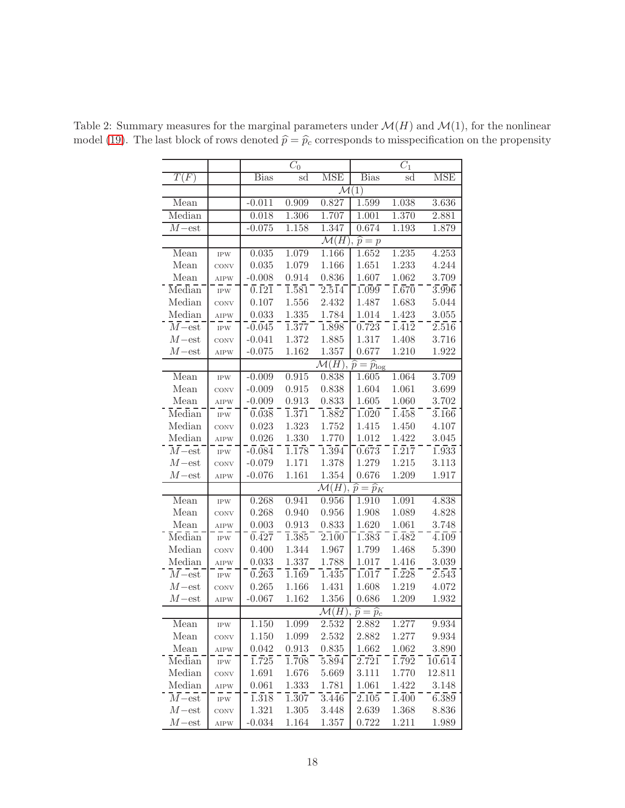|                                   |                   |                     | $C_0$              |                      |                                                                        | $\overline{C_1}$   |                     |
|-----------------------------------|-------------------|---------------------|--------------------|----------------------|------------------------------------------------------------------------|--------------------|---------------------|
| T(F)                              |                   | <b>Bias</b>         | sd                 | $\overline{\rm MSE}$ | <b>Bias</b>                                                            | sd                 | <b>MSE</b>          |
|                                   |                   |                     |                    |                      | $\mathcal{M}(1)$                                                       |                    |                     |
| Mean                              |                   | $-0.011$            | 0.909              | 0.827                | 1.599                                                                  | 1.038              | 3.636               |
| Median                            |                   | 0.018               | 1.306              | 1.707                | 1.001                                                                  | 1.370              | 2.881               |
| $M$ -est                          |                   | $-0.075$            | 1.158              | 1.347                | 0.674                                                                  | 1.193              | 1.879               |
|                                   |                   |                     |                    |                      |                                                                        |                    |                     |
|                                   |                   |                     |                    |                      | $\mathcal{M}(H)$ , $\widehat{p} = p$                                   | 1.235              |                     |
| Mean                              | <b>IPW</b>        | 0.035               | 1.079              | 1.166                | 1.652                                                                  |                    | 4.253               |
| Mean                              | CONV              | $\,0.035\,$         | 1.079              | 1.166                | 1.651                                                                  | 1.233              | 4.244               |
| Mean                              | AIPW              | $-0.008$<br>0.121   | 0.914              | 0.836                | 1.607<br>1.099                                                         | 1.062              | 3.709               |
| Median                            | $\mathrm{IPW}$    |                     | $1.\overline{581}$ | $2.\overline{514}$   |                                                                        | $1.\overline{670}$ | 3.996               |
| Median                            | CONV              | 0.107               | 1.556              | 2.432                | 1.487                                                                  | 1.683              | 5.044               |
| Median                            | AIPW              | 0.033               | 1.335              | 1.784                | 1.014                                                                  | 1.423              | 3.055               |
| $\overline{M}$ -est               | $\mathrm{IPW}$    | $-0.045$            | $\overline{1.377}$ | 1.898                | 0.723                                                                  | $1.\overline{412}$ | 2.516               |
| $M$ -est                          | CONV              | $-0.041$            | 1.372              | 1.885                | 1.317                                                                  | 1.408              | 3.716               |
| $M$ – est                         | AIPW              | $-0.075$            | 1.162              | 1.357                | 0.677                                                                  | 1.210              | 1.922               |
|                                   |                   |                     |                    |                      | $\overline{\mathcal{M}(H)}$ , $\widehat{p} = \widehat{p}_{\text{log}}$ |                    |                     |
| Mean                              | <b>IPW</b>        | $-0.009$            | 0.915              | 0.838                | 1.605                                                                  | 1.064              | 3.709               |
| Mean                              | CONV              | $-0.009$            | 0.915              | 0.838                | 1.604                                                                  | $1.061\,$          | 3.699               |
| Mean                              | AIPW              | $-0.009$            | 0.913              | 0.833                | 1.605                                                                  | 1.060              | 3.702               |
| Median                            | $\mathrm{IPW}$    | 0.038               | $\overline{1.371}$ | $1.\overline{882}$   | 1.020                                                                  | $1.\overline{458}$ | $3.\overline{166}$  |
| Median                            | CONV              | 0.023               | $1.323\,$          | 1.752                | 1.415                                                                  | 1.450              | 4.107               |
| Median                            | <b>AIPW</b>       | 0.026               | $1.330\,$          | 1.770                | 1.012                                                                  | 1.422              | 3.045               |
| $\overline{M}$ -est               | $IPW$             | $-0.084$            | $1.\overline{178}$ | $1.\overline{394}$   | 0.673                                                                  | $1.\overline{217}$ | 1.933               |
| $M$ – est                         | CONV              | $-0.079$            | 1.171              | 1.378                | 1.279                                                                  | 1.215              | 3.113               |
| $M$ -est                          | AIPW              | $-0.076$            | 1.161              | 1.354                | 0.676                                                                  | 1.209              | 1.917               |
|                                   |                   |                     |                    | $\mathcal{M}(H),$    | $\widehat{p}=\widehat{p}_K$                                            |                    |                     |
| Mean                              | $\mathrm{IPW}$    | 0.268               | 0.941              | 0.956                | 1.910                                                                  | 1.091              | 4.838               |
| Mean                              | CONV              | 0.268               | 0.940              | 0.956                | 1.908                                                                  | 1.089              | 4.828               |
| Mean                              | AIPW              | 0.003               | 0.913              | 0.833                | 1.620                                                                  | 1.061              | 3.748               |
| Median                            | $\mathrm{IPW}$    | $0.\bar{4}2\bar{7}$ | $\overline{1.385}$ | 2.100                | $1.\overline{383}$                                                     | $\overline{1.482}$ | $\sqrt{4.109}$      |
| Median                            | CONV              | 0.400               | 1.344              | 1.967                | 1.799                                                                  | 1.468              | 5.390               |
| Median                            | AIPW              | 0.033               | 1.337              | 1.788                | 1.017                                                                  | 1.416              | 3.039               |
| $\overline{M-{\textnormal{est}}}$ | $\mathrm{IPW}$    | 0.263               | $\overline{1.169}$ | 1.435                | 1.017                                                                  | 1.228              | $2.\overline{543}$  |
| $M$ -est                          | CONV              | 0.265               | 1.166              | 1.431                | 1.608                                                                  | 1.219              | 4.072               |
| $M$ -est                          | <b>AIPW</b>       | $-0.067$            | 1.162              | 1.356                | 0.686                                                                  | 1.209              | 1.932               |
|                                   |                   |                     |                    | $\mathcal{M}(H)$     | $\widehat{p} = \widehat{p}_c$                                          |                    |                     |
| Mean                              | $\mathrm{IPW}$    | 1.150               | 1.099              | 2.532                | 2.882                                                                  | 1.277              | 9.934               |
| Mean                              | CONV              | 1.150               | 1.099              | 2.532                | 2.882                                                                  | 1.277              | 9.934               |
| Mean                              | AIPW              | 0.042               | 0.913              | 0.835                | 1.662                                                                  | 1.062              | 3.890               |
| Median                            | $_{\mathrm{IPW}}$ | 1.725               | $\overline{1.708}$ | $5.\overline{894}$   | 2.721                                                                  | $\overline{1.792}$ | $\overline{10.614}$ |
| Median                            | CONV              | 1.691               | 1.676              | 5.669                | 3.111                                                                  | 1.770              | 12.811              |
| Median                            | AIPW              | 0.061               | 1.333              | 1.781                | 1.061                                                                  | 1.422              | 3.148               |
| $\overline{M}$ -est               | $_{\mathrm{IPW}}$ | $1.\overline{318}$  | $1.307\,$          | 3.446                | 2.105                                                                  | $1.\overline{400}$ | $6.\overline{389}$  |
| $M$ -est                          | CONV              | 1.321               | $1.305\,$          | 3.448                | 2.639                                                                  | 1.368              | 8.836               |
| $M$ -est                          | AIPW              | $-0.034$            | $1.164\,$          | 1.357                | 0.722                                                                  | 1.211              | 1.989               |
|                                   |                   |                     |                    |                      |                                                                        |                    |                     |

<span id="page-17-0"></span>Table 2: Summary measures for the marginal parameters under  $\mathcal{M}(H)$  and  $\mathcal{M}(1)$ , for the nonlinear model [\(19\)](#page-15-0). The last block of rows denoted  $\hat{p} = \hat{p}_c$  corresponds to misspecification on the propensity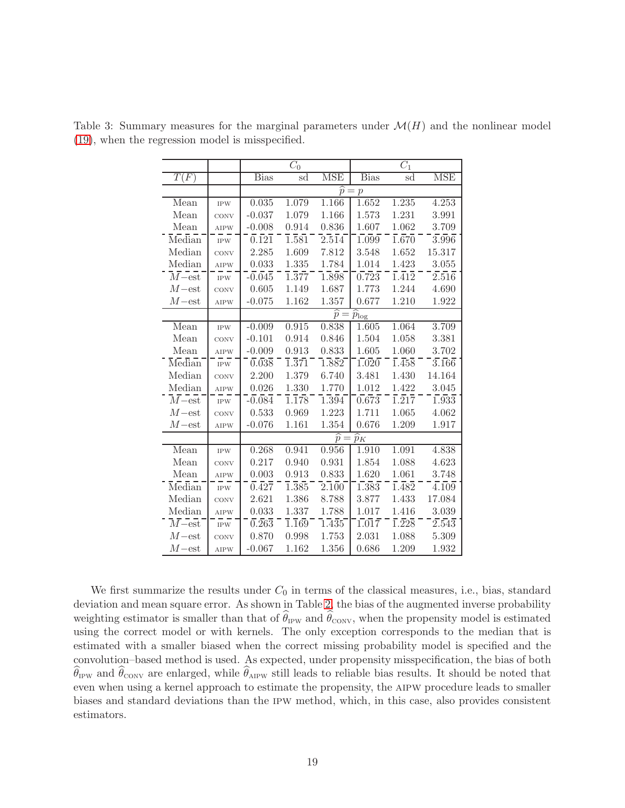|                                   |             | $\overline{C_0}$   |                    |                    | $\overline{C_1}$                   |                    |                    |  |
|-----------------------------------|-------------|--------------------|--------------------|--------------------|------------------------------------|--------------------|--------------------|--|
| $\overline{T(F)}$                 |             | <b>Bias</b>        | sd                 | <b>MSE</b>         | <b>Bias</b>                        | sd                 | <b>MSE</b>         |  |
|                                   |             |                    |                    | $\widehat{p} =$    | $\mathcal{P}$                      |                    |                    |  |
| Mean                              | <b>IPW</b>  | 0.035              | 1.079              | 1.166              | 1.652                              | 1.235              | 4.253              |  |
| Mean                              | CONV        | $-0.037$           | 1.079              | 1.166              | 1.573                              | 1.231              | 3.991              |  |
| Mean                              | <b>AIPW</b> | $-0.008$           | 0.914              | 0.836              | 1.607                              | 1.062              | 3.709              |  |
| Median                            | <b>IPW</b>  | 0.121              | $1.\overline{581}$ | $2.\overline{514}$ | 1.099                              | 1.670              | 3.996              |  |
| Median                            | CONV        | 2.285              | 1.609              | 7.812              | 3.548                              | 1.652              | 15.317             |  |
| Median                            | <b>AIPW</b> | 0.033              | 1.335              | 1.784              | 1.014                              | 1.423              | 3.055              |  |
| $\overline{M}$ –est               | <b>IPW</b>  | $-0.045$           | $\overline{1.377}$ | 1.898              | 0.723                              | $1.\overline{412}$ | $2.\overline{516}$ |  |
| $M$ – est                         | CONV        | 0.605              | 1.149              | 1.687              | 1.773                              | 1.244              | 4.690              |  |
| $M$ -est                          | <b>AIPW</b> | $-0.075$           | 1.162              | 1.357              | 0.677                              | 1.210              | 1.922              |  |
|                                   |             |                    |                    |                    | $\widehat{p} = \widehat{p}_{\log}$ |                    |                    |  |
| Mean                              | <b>IPW</b>  | $-0.009$           | 0.915              | 0.838              | 1.605                              | 1.064              | 3.709              |  |
| Mean                              | CONV        | $-0.101$           | 0.914              | 0.846              | 1.504                              | 1.058              | 3.381              |  |
| Mean                              | <b>AIPW</b> | $-0.009$           | 0.913              | 0.833              | 1.605                              | 1.060              | 3.702              |  |
| Median                            | <b>IPW</b>  | 0.038              | $\overline{1.371}$ | $1.\overline{882}$ | 1.020                              | 1.458              | $3.\overline{166}$ |  |
| Median                            | CONV        | 2.200              | 1.379              | 6.740              | 3.481                              | 1.430              | 14.164             |  |
| Median                            | <b>AIPW</b> | 0.026              | 1.330              | 1.770              | 1.012                              | 1.422              | 3.045              |  |
| $\overline{M-{\textnormal{est}}}$ | <b>IPW</b>  | $-0.084$           | $\overline{1.178}$ | $1.\overline{394}$ | 0.673                              | $1.\overline{217}$ | 1.933              |  |
| $M$ – est                         | CONV        | 0.533              | 0.969              | 1.223              | 1.711                              | 1.065              | 4.062              |  |
| $M$ —est                          | <b>AIPW</b> | $-0.076$           | 1.161              | 1.354              | 0.676                              | 1.209              | 1.917              |  |
|                                   |             |                    |                    |                    | $\widehat{p} = \widehat{p}_K$      |                    |                    |  |
| Mean                              | <b>IPW</b>  | 0.268              | 0.941              | 0.956              | 1.910                              | 1.091              | 4.838              |  |
| Mean                              | CONV        | 0.217              | 0.940              | 0.931              | 1.854                              | 1.088              | 4.623              |  |
| Mean                              | <b>AIPW</b> | 0.003              | 0.913              | 0.833              | 1.620                              | 1.061              | 3.748              |  |
| Median                            | $IPW$       | $0.\overline{427}$ | $1.\overline{385}$ | 2.100              | $1.\overline{383}$                 | 1.482              | 4.109              |  |
| Median                            | CONV        | 2.621              | 1.386              | 8.788              | 3.877                              | 1.433              | 17.084             |  |
| Median                            | <b>AIPW</b> | 0.033              | 1.337              | 1.788              | 1.017                              | 1.416              | 3.039              |  |
| $\overline{M}$ -est               | $IPW$       | $\overline{0.263}$ | $\overline{1.169}$ | 1.435              | 1.017                              | $1.\overline{228}$ | $2.\overline{543}$ |  |
| $M$ -est                          | CONV        | 0.870              | 0.998              | 1.753              | 2.031                              | 1.088              | 5.309              |  |
| $M$ -est                          | <b>AIPW</b> | $-0.067$           | 1.162              | 1.356              | 0.686                              | 1.209              | 1.932              |  |

<span id="page-18-0"></span>Table 3: Summary measures for the marginal parameters under  $\mathcal{M}(H)$  and the nonlinear model [\(19\)](#page-15-0), when the regression model is misspecified.

We first summarize the results under  $C_0$  in terms of the classical measures, i.e., bias, standard deviation and mean square error. As shown in Table [2,](#page-17-0) the bias of the augmented inverse probability weighting estimator is smaller than that of  $\theta_{IPW}$  and  $\theta_{CONV}$ , when the propensity model is estimated using the correct model or with kernels. The only exception corresponds to the median that is estimated with a smaller biased when the correct missing probability model is specified and the convolution–based method is used. As expected, under propensity misspecification, the bias of both  $\theta_{\rm IPW}$  and  $\theta_{\rm CONV}$  are enlarged, while  $\theta_{\rm AIPW}$  still leads to reliable bias results. It should be noted that even when using a kernel approach to estimate the propensity, the aipw procedure leads to smaller biases and standard deviations than the ipw method, which, in this case, also provides consistent estimators.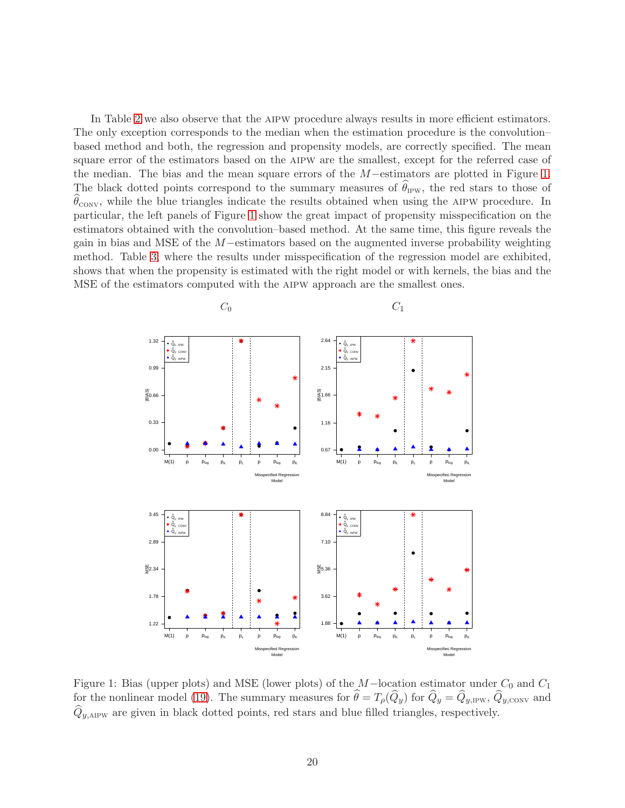In Table [2](#page-17-0) we also observe that the AIPW procedure always results in more efficient estimators. The only exception corresponds to the median when the estimation procedure is the convolution– based method and both, the regression and propensity models, are correctly specified. The mean square error of the estimators based on the aipw are the smallest, except for the referred case of the median. The bias and the mean square errors of the M−estimators are plotted in Figure [1.](#page-19-0) The black dotted points correspond to the summary measures of  $\theta_{IPW}$ , the red stars to those of  $\widehat{\theta}_{\text{conv}}$ , while the blue triangles indicate the results obtained when using the AIPW procedure. In particular, the left panels of Figure [1](#page-19-0) show the great impact of propensity misspecification on the estimators obtained with the convolution–based method. At the same time, this figure reveals the gain in bias and MSE of the M−estimators based on the augmented inverse probability weighting method. Table [3,](#page-18-0) where the results under misspecification of the regression model are exhibited, shows that when the propensity is estimated with the right model or with kernels, the bias and the MSE of the estimators computed with the aipw approach are the smallest ones.



<span id="page-19-0"></span>Figure 1: Bias (upper plots) and MSE (lower plots) of the  $M-$ location estimator under  $C_0$  and  $C_1$ for the nonlinear model [\(19\)](#page-15-0). The summary measures for  $\hat{\theta} = T_{\rho}(\hat{Q}_y)$  for  $\hat{Q}_y = \hat{Q}_{y,\text{IPW}}, \hat{Q}_{y,\text{CONV}}$  and  $\hat{Q}_{\nu,\text{AIPW}}$  are given in black dotted points, red stars and blue filled triangles, respectively.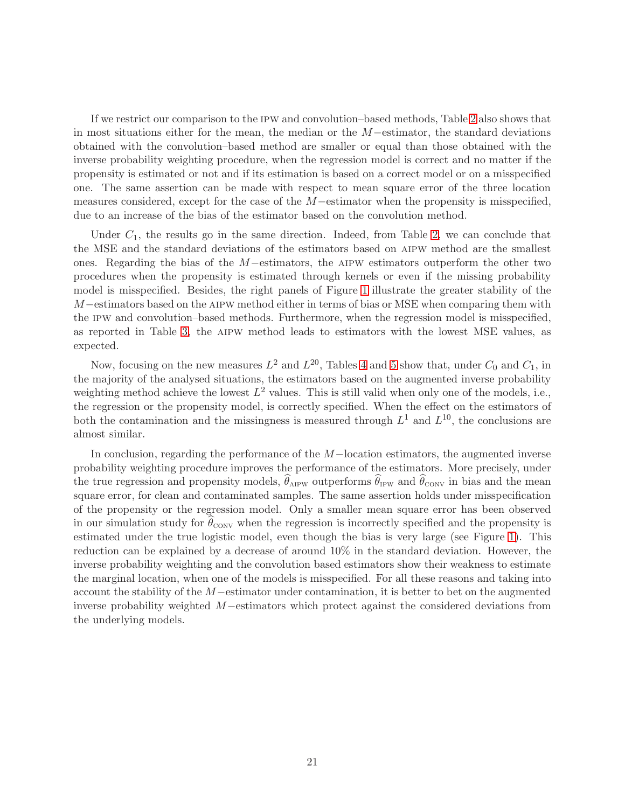If we restrict our comparison to the ipw and convolution–based methods, Table [2](#page-17-0) also shows that in most situations either for the mean, the median or the M−estimator, the standard deviations obtained with the convolution–based method are smaller or equal than those obtained with the inverse probability weighting procedure, when the regression model is correct and no matter if the propensity is estimated or not and if its estimation is based on a correct model or on a misspecified one. The same assertion can be made with respect to mean square error of the three location measures considered, except for the case of the M−estimator when the propensity is misspecified, due to an increase of the bias of the estimator based on the convolution method.

Under  $C_1$ , the results go in the same direction. Indeed, from Table [2,](#page-17-0) we can conclude that the MSE and the standard deviations of the estimators based on aipw method are the smallest ones. Regarding the bias of the <sup>M</sup>−estimators, the aipw estimators outperform the other two procedures when the propensity is estimated through kernels or even if the missing probability model is misspecified. Besides, the right panels of Figure [1](#page-19-0) illustrate the greater stability of the M−estimators based on the AIPW method either in terms of bias or MSE when comparing them with the ipw and convolution–based methods. Furthermore, when the regression model is misspecified, as reported in Table [3,](#page-18-0) the aipw method leads to estimators with the lowest MSE values, as expected.

Now, focusing on the new measures  $L^2$  and  $L^{20}$ , Tables [4](#page-21-0) and [5](#page-22-1) show that, under  $C_0$  and  $C_1$ , in the majority of the analysed situations, the estimators based on the augmented inverse probability weighting method achieve the lowest  $L^2$  values. This is still valid when only one of the models, i.e., the regression or the propensity model, is correctly specified. When the effect on the estimators of both the contamination and the missingness is measured through  $L^1$  and  $L^{10}$ , the conclusions are almost similar.

In conclusion, regarding the performance of the M−location estimators, the augmented inverse probability weighting procedure improves the performance of the estimators. More precisely, under the true regression and propensity models,  $\theta_{\text{APW}}$  outperforms  $\theta_{\text{IPW}}$  and  $\theta_{\text{CONV}}$  in bias and the mean square error, for clean and contaminated samples. The same assertion holds under misspecification of the propensity or the regression model. Only a smaller mean square error has been observed in our simulation study for  $\theta_{\rm conv}$  when the regression is incorrectly specified and the propensity is estimated under the true logistic model, even though the bias is very large (see Figure [1\)](#page-19-0). This reduction can be explained by a decrease of around 10% in the standard deviation. However, the inverse probability weighting and the convolution based estimators show their weakness to estimate the marginal location, when one of the models is misspecified. For all these reasons and taking into account the stability of the M−estimator under contamination, it is better to bet on the augmented inverse probability weighted M−estimators which protect against the considered deviations from the underlying models.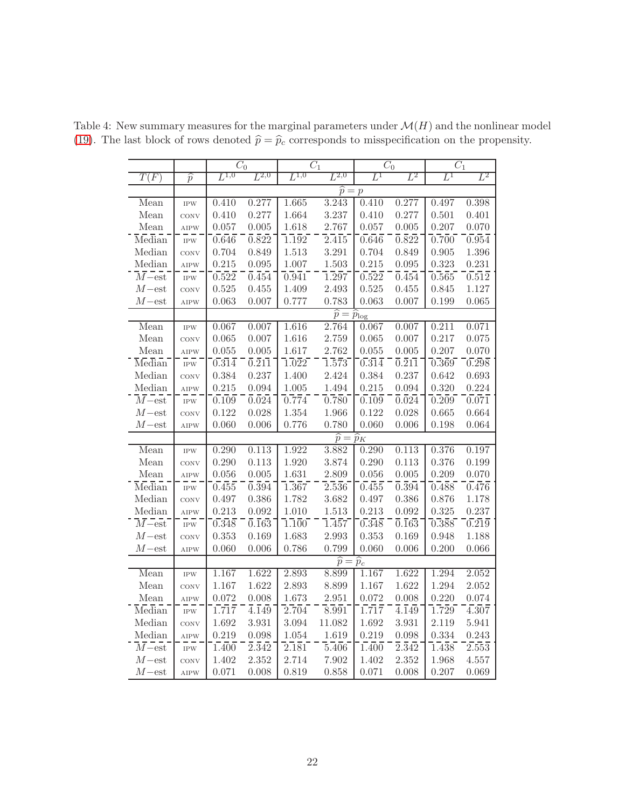<span id="page-21-0"></span>

|                     |                | $\overline{C_0}$ |                    | $\overline{C_1}$   |                                      | $\overline{C_0}$ |                    | $\overline{C_1}$ |       |
|---------------------|----------------|------------------|--------------------|--------------------|--------------------------------------|------------------|--------------------|------------------|-------|
| $\overline{T(F)}$   | $\widehat{p}$  | $L^{1,0}$        | $L^{2,0}$          | $L^{1,0}$          | $L^{2,0}$                            | $L^1$            | $L^2$              | $L^1$            | $L^2$ |
|                     |                |                  |                    |                    | $\widehat{p} = p$                    |                  |                    |                  |       |
| Mean                | <b>IPW</b>     | 0.410            | 0.277              | 1.665              | 3.243                                | 0.410            | 0.277              | 0.497            | 0.398 |
| Mean                | CONV           | 0.410            | 0.277              | 1.664              | 3.237                                | 0.410            | 0.277              | 0.501            | 0.401 |
| Mean                | AIPW           | 0.057            | 0.005              | 1.618              | 2.767                                | 0.057            | 0.005              | 0.207            | 0.070 |
| Median              | $\mathrm{IPW}$ | 0.646            | $0.\overline{822}$ | $1.\overline{192}$ | 2.415                                | 0.646            | $0.\overline{822}$ | 0.700            | 0.954 |
| Median              | CONV           | 0.704            | 0.849              | 1.513              | 3.291                                | 0.704            | 0.849              | 0.905            | 1.396 |
| Median              | <b>AIPW</b>    | 0.215            | 0.095              | 1.007              | 1.503                                | 0.215            | 0.095              | 0.323            | 0.231 |
| $\overline{M}$ -est | $IPW$          | 0.522            | $0.\overline{454}$ | 0.941              | 1.297                                | 0.522            | $0.\overline{454}$ | 0.565            | 0.512 |
| $M$ – est           | CONV           | 0.525            | 0.455              | 1.409              | 2.493                                | 0.525            | 0.455              | 0.845            | 1.127 |
| $M$ -est            | <b>AIPW</b>    | 0.063            | 0.007              | 0.777              | 0.783                                | 0.063            | 0.007              | 0.199            | 0.065 |
|                     |                |                  |                    |                    | $\widehat{p} = \widehat{p}_{\log}$   |                  |                    |                  |       |
| Mean                | <b>IPW</b>     | 0.067            | 0.007              | 1.616              | 2.764                                | 0.067            | 0.007              | 0.211            | 0.071 |
| Mean                | CONV           | 0.065            | 0.007              | 1.616              | 2.759                                | 0.065            | 0.007              | 0.217            | 0.075 |
| Mean                | AIPW           | 0.055            | 0.005              | 1.617              | 2.762                                | 0.055            | 0.005              | 0.207            | 0.070 |
| Median              | <b>IPW</b>     | 0.314            | $\overline{0.211}$ | 1.022              | 1.573                                | 0.314            | 0.211              | 0.369            | 0.298 |
| Median              | <b>CONV</b>    | 0.384            | 0.237              | 1.400              | 2.424                                | 0.384            | 0.237              | 0.642            | 0.693 |
| Median              | AIPW           | 0.215            | 0.094              | 1.005              | 1.494                                | 0.215            | 0.094              | 0.320            | 0.224 |
| $\overline{M}$ -est | $\mathrm{IPW}$ | 0.109            | $\overline{0.024}$ | 0.774              | 0.780                                | 0.109            | $\overline{0.024}$ | 0.209            | 0.071 |
| $M$ -est            | CONV           | 0.122            | $0.028\,$          | 1.354              | 1.966                                | 0.122            | 0.028              | 0.665            | 0.664 |
| $M$ -est            | <b>AIPW</b>    | 0.060            | 0.006              | 0.776              | 0.780                                | 0.060            | 0.006              | 0.198            | 0.064 |
|                     |                |                  |                    |                    | $\widehat{p} = \widehat{p}_K$        |                  |                    |                  |       |
| Mean                | <b>IPW</b>     | 0.290            | 0.113              | 1.922              | 3.882                                | 0.290            | 0.113              | 0.376            | 0.197 |
| Mean                | CONV           | 0.290            | 0.113              | 1.920              | 3.874                                | 0.290            | 0.113              | 0.376            | 0.199 |
| Mean                | AIPW           | 0.056            | 0.005              | 1.631              | 2.809                                | 0.056            | 0.005              | 0.209            | 0.070 |
| Median              | $IPW$          | 0.455            | $0.\overline{394}$ | $1.\overline{367}$ | $2.\overline{536}$                   | 0.455            | $\overline{0.394}$ | 0.488            | 0.476 |
| Median              | CONV           | 0.497            | 0.386              | 1.782              | 3.682                                | 0.497            | 0.386              | 0.876            | 1.178 |
| Median              | <b>AIPW</b>    | 0.213            | 0.092              | 1.010              | 1.513                                | 0.213            | 0.092              | 0.325            | 0.237 |
| $\overline{M}$ -est | <b>IPW</b>     | 0.348            | $0.\overline{163}$ | 1.100              | 1.457                                | 0.348            | $0.\overline{163}$ | 0.388            | 0.219 |
| $M$ -est            | CONV           | 0.353            | 0.169              | 1.683              | 2.993                                | 0.353            | 0.169              | 0.948            | 1.188 |
| $M$ -est            | <b>AIPW</b>    | 0.060            | 0.006              | 0.786              | 0.799                                | 0.060            | 0.006              | 0.200            | 0.066 |
|                     |                |                  |                    |                    | $\overline{\hat{p}} = \widehat{p}_c$ |                  |                    |                  |       |
| Mean                | <b>IPW</b>     | 1.167            | 1.622              | 2.893              | 8.899                                | 1.167            | 1.622              | 1.294            | 2.052 |
| Mean                | CONV           | 1.167            | 1.622              | 2.893              | 8.899                                | 1.167            | 1.622              | 1.294            | 2.052 |
| Mean                | <b>AIPW</b>    | 0.072            | 0.008              | 1.673              | 2.951                                | 0.072            | 0.008              | 0.220            | 0.074 |
| Median              | <b>IPW</b>     | 1.717            | $\overline{4.149}$ | 2.704              | 8.991                                | 1.717            | $\overline{4.149}$ | 1.729            | 4.307 |
| Median              | CONV           | 1.692            | 3.931              | 3.094              | 11.082                               | 1.692            | 3.931              | 2.119            | 5.941 |
| Median              | <b>AIPW</b>    | 0.219            | 0.098              | 1.054              | 1.619                                | 0.219            | 0.098              | 0.334            | 0.243 |
| $\overline{M}$ -est | <b>IPW</b>     | 1.400            | $2.\overline{342}$ | $2.\overline{181}$ | $5.\overline{406}$                   | 1.400            | $2.\overline{342}$ | 1.438            | 2.553 |
| $M$ -est            | CONV           | 1.402            | 2.352              | 2.714              | 7.902                                | 1.402            | 2.352              | 1.968            | 4.557 |
| $M$ -est            | <b>AIPW</b>    | 0.071            | 0.008              | 0.819              | 0.858                                | 0.071            | 0.008              | 0.207            | 0.069 |

Table 4: New summary measures for the marginal parameters under  $\mathcal{M}(H)$  and the nonlinear model [\(19\)](#page-15-0). The last block of rows denoted  $\hat{p} = \hat{p}_c$  corresponds to misspecification on the propensity.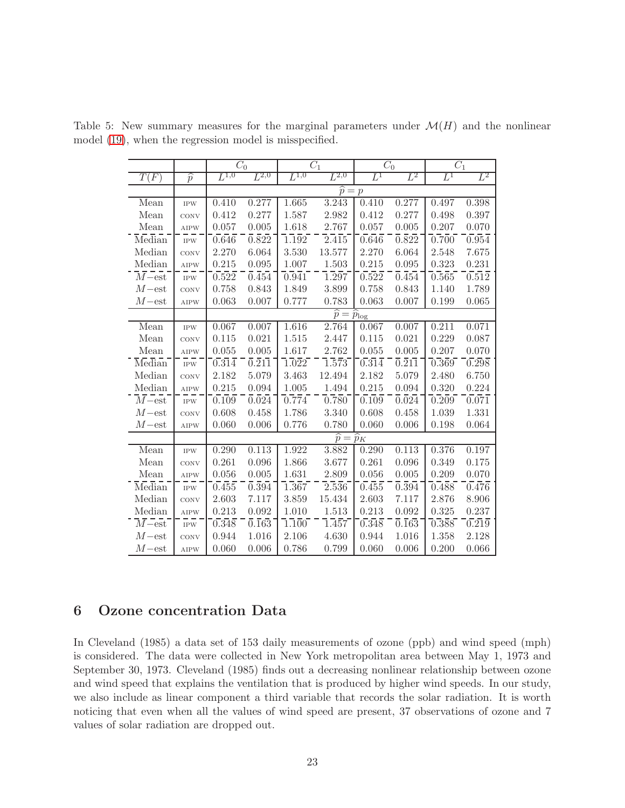<span id="page-22-1"></span>

|                                    |                          |                  | $\overline{C}_0$   |                    | $\overline{C}_1$                   |       | $\overline{C_0}$                         | $\overline{C}_1$ |       |
|------------------------------------|--------------------------|------------------|--------------------|--------------------|------------------------------------|-------|------------------------------------------|------------------|-------|
| T(F)                               | $\overline{\widehat{p}}$ | ${\cal L}^{1,0}$ | $L^{2,0}$          | ${\cal L}^{1,0}$   | $L^{2,0}$                          | $L^1$ | $\,L^2$                                  | $L^1$            | $L^2$ |
|                                    |                          |                  |                    |                    | $\widehat{p} = p$                  |       |                                          |                  |       |
| Mean                               | <b>IPW</b>               | 0.410            | 0.277              | 1.665              | 3.243                              | 0.410 | 0.277                                    | 0.497            | 0.398 |
| Mean                               | CONV                     | 0.412            | 0.277              | 1.587              | 2.982                              | 0.412 | 0.277                                    | 0.498            | 0.397 |
| Mean                               | <b>AIPW</b>              | 0.057            | 0.005              | 1.618              | 2.767                              | 0.057 | 0.005                                    | 0.207            | 0.070 |
| Median                             | <b>IPW</b>               | 0.646            | $\overline{0.822}$ | 1.192              | 2.415                              | 0.646 | $\overline{0.822}$                       | 0.700            | 0.954 |
| Median                             | CONV                     | 2.270            | 6.064              | 3.530              | 13.577                             | 2.270 | 6.064                                    | 2.548            | 7.675 |
| Median                             | AIPW                     | 0.215            | 0.095              | 1.007              | 1.503                              | 0.215 | 0.095                                    | 0.323            | 0.231 |
| $\overline{M-{\textnormal{est}} }$ | <b>IPW</b>               | 0.522            | $0.\overline{454}$ | 0.941              | 1.297                              | 0.522 | $0.\overline{454}$                       | 0.565            | 0.512 |
| $M$ -est                           | CONV                     | 0.758            | 0.843              | 1.849              | 3.899                              | 0.758 | 0.843                                    | 1.140            | 1.789 |
| $M$ -est                           | <b>AIPW</b>              | 0.063            | 0.007              | 0.777              | 0.783                              | 0.063 | 0.007                                    | 0.199            | 0.065 |
|                                    |                          |                  |                    |                    | $\widehat{p} = \widehat{p}_{\log}$ |       |                                          |                  |       |
| Mean                               | <b>IPW</b>               | 0.067            | 0.007              | 1.616              | 2.764                              | 0.067 | 0.007                                    | 0.211            | 0.071 |
| Mean                               | CONV                     | 0.115            | 0.021              | 1.515              | 2.447                              | 0.115 | 0.021                                    | 0.229            | 0.087 |
| Mean                               | <b>AIPW</b>              | 0.055            | 0.005              | 1.617              | 2.762                              | 0.055 | 0.005                                    | 0.207            | 0.070 |
| Median                             | <b>IPW</b>               | 0.314            | $\overline{0.211}$ | 1.022              | 1.573                              | 0.314 | $\overline{0.211}$                       | 0.369            | 0.298 |
| Median                             | CONV                     | 2.182            | 5.079              | 3.463              | 12.494                             | 2.182 | 5.079                                    | 2.480            | 6.750 |
| Median                             | <b>AIPW</b>              | 0.215            | 0.094              | 1.005              | 1.494                              | 0.215 | 0.094                                    | 0.320            | 0.224 |
| $\overline{M}$ –est                | <b>IPW</b>               | 0.109            | $\overline{0.024}$ | 0.774              | 0.780                              | 0.109 | $\overline{0.024}$                       | 0.209            | 0.071 |
| $M$ -est                           | CONV                     | 0.608            | 0.458              | 1.786              | 3.340                              | 0.608 | 0.458                                    | 1.039            | 1.331 |
| $M$ -est                           | <b>AIPW</b>              | 0.060            | 0.006              | 0.776              | 0.780                              | 0.060 | 0.006                                    | 0.198            | 0.064 |
|                                    |                          |                  |                    |                    | $\widehat{p} = \widehat{p}_K$      |       |                                          |                  |       |
| Mean                               | <b>IPW</b>               | 0.290            | 0.113              | 1.922              | 3.882                              | 0.290 | 0.113                                    | 0.376            | 0.197 |
| Mean                               | CONV                     | 0.261            | 0.096              | 1.866              | 3.677                              | 0.261 | 0.096                                    | 0.349            | 0.175 |
| Mean                               | <b>AIPW</b>              | 0.056            | 0.005              | 1.631              | 2.809                              | 0.056 | 0.005                                    | 0.209            | 0.070 |
| Median                             | <b>IPW</b>               | 0.455            | $\overline{0.394}$ | $1.\overline{367}$ | $2.\overline{536}$                 | 0.455 | $\overline{0.394}$                       | 0.488            | 0.476 |
| Median                             | CONV                     | 2.603            | 7.117              | 3.859              | 15.434                             | 2.603 | 7.117                                    | 2.876            | 8.906 |
| Median                             | <b>AIPW</b>              | 0.213            | 0.092              | 1.010              | 1.513                              | 0.213 | 0.092                                    | 0.325            | 0.237 |
| $\overline{M}$ –est                | <b>IPW</b>               | 0.348            | $\overline{0.163}$ | 1.100              | $1.\overline{457}$                 | 0.348 | $\overline{0}.\overline{1}6\overline{3}$ | 0.388            | 0.219 |
| $M$ -est                           | CONV                     | 0.944            | 1.016              | 2.106              | 4.630                              | 0.944 | 1.016                                    | 1.358            | 2.128 |
| $M$ -est                           | <b>AIPW</b>              | 0.060            | 0.006              | 0.786              | 0.799                              | 0.060 | 0.006                                    | 0.200            | 0.066 |

Table 5: New summary measures for the marginal parameters under  $\mathcal{M}(H)$  and the nonlinear model [\(19\)](#page-15-0), when the regression model is misspecified.

# <span id="page-22-0"></span>6 Ozone concentration Data

In Cleveland (1985) a data set of 153 daily measurements of ozone (ppb) and wind speed (mph) is considered. The data were collected in New York metropolitan area between May 1, 1973 and September 30, 1973. Cleveland (1985) finds out a decreasing nonlinear relationship between ozone and wind speed that explains the ventilation that is produced by higher wind speeds. In our study, we also include as linear component a third variable that records the solar radiation. It is worth noticing that even when all the values of wind speed are present, 37 observations of ozone and 7 values of solar radiation are dropped out.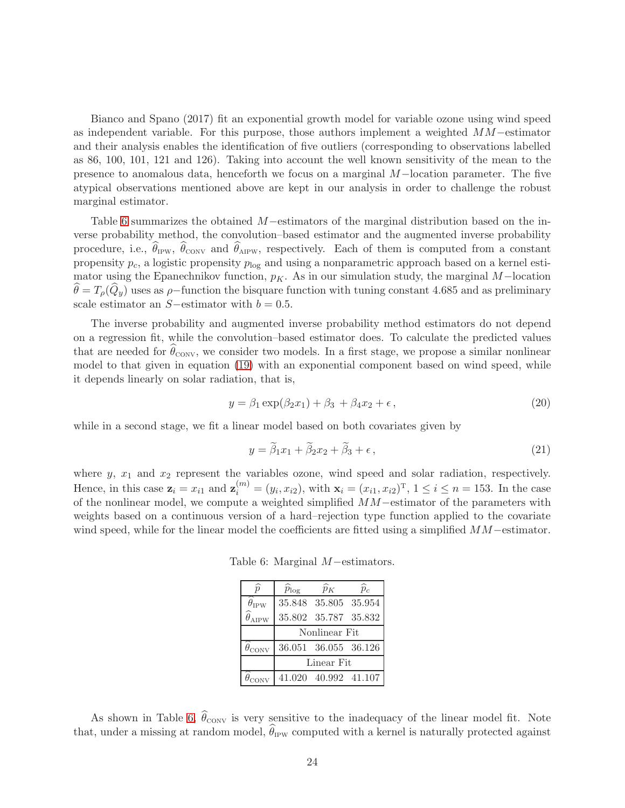Bianco and Spano (2017) fit an exponential growth model for variable ozone using wind speed as independent variable. For this purpose, those authors implement a weighted MM−estimator and their analysis enables the identification of five outliers (corresponding to observations labelled as 86, 100, 101, 121 and 126). Taking into account the well known sensitivity of the mean to the presence to anomalous data, henceforth we focus on a marginal M−location parameter. The five atypical observations mentioned above are kept in our analysis in order to challenge the robust marginal estimator.

Table [6](#page-23-0) summarizes the obtained M−estimators of the marginal distribution based on the inverse probability method, the convolution–based estimator and the augmented inverse probability procedure, i.e.,  $\theta_{IPW}$ ,  $\theta_{CONV}$  and  $\theta_{AIPW}$ , respectively. Each of them is computed from a constant propensity  $p_c$ , a logistic propensity  $p_{\text{log}}$  and using a nonparametric approach based on a kernel estimator using the Epanechnikov function,  $p<sub>K</sub>$ . As in our simulation study, the marginal M-location  $\hat{\theta} = T_{\rho}(\hat{Q}_y)$  uses as  $\rho$ −function the bisquare function with tuning constant 4.685 and as preliminary scale estimator an  $S$ −estimator with  $b = 0.5$ .

The inverse probability and augmented inverse probability method estimators do not depend on a regression fit, while the convolution–based estimator does. To calculate the predicted values that are needed for  $\theta_{\text{CONV}}$ , we consider two models. In a first stage, we propose a similar nonlinear model to that given in equation [\(19\)](#page-15-0) with an exponential component based on wind speed, while it depends linearly on solar radiation, that is,

<span id="page-23-1"></span>
$$
y = \beta_1 \exp(\beta_2 x_1) + \beta_3 + \beta_4 x_2 + \epsilon, \qquad (20)
$$

while in a second stage, we fit a linear model based on both covariates given by

$$
y = \widetilde{\beta}_1 x_1 + \widetilde{\beta}_2 x_2 + \widetilde{\beta}_3 + \epsilon, \qquad (21)
$$

where  $y, x_1$  and  $x_2$  represent the variables ozone, wind speed and solar radiation, respectively. Hence, in this case  $\mathbf{z}_i = x_{i1}$  and  $\mathbf{z}_i^{(m)} = (y_i, x_{i2})$ , with  $\mathbf{x}_i = (x_{i1}, x_{i2})^T$ ,  $1 \le i \le n = 153$ . In the case of the nonlinear model, we compute a weighted simplified MM−estimator of the parameters with weights based on a continuous version of a hard–rejection type function applied to the covariate wind speed, while for the linear model the coefficients are fitted using a simplified  $MM-estimator$ .

Table 6: Marginal M−estimators.

<span id="page-23-0"></span>

| $\overline{p}$                   | $\widehat{p}_{\text{log}}$ | $\widehat{p}_K$                                   | $\widehat{p}_{c}$ |  |  |  |  |  |
|----------------------------------|----------------------------|---------------------------------------------------|-------------------|--|--|--|--|--|
| $\theta_{\mathrm{IPW}}$          |                            | 35.848 35.805 35.954                              |                   |  |  |  |  |  |
| $\widehat{\theta}_{\text{AIPW}}$ |                            | 35.802 35.787 35.832                              |                   |  |  |  |  |  |
|                                  | Nonlinear Fit              |                                                   |                   |  |  |  |  |  |
| $\theta_{\rm conv}$              |                            | 36.051 36.055 36.126                              |                   |  |  |  |  |  |
|                                  |                            | Linear Fit                                        |                   |  |  |  |  |  |
|                                  |                            | $\hat{\theta}_{\text{CONV}}$ 41.020 40.992 41.107 |                   |  |  |  |  |  |

As shown in Table [6,](#page-23-0)  $\theta_{\text{conv}}$  is very sensitive to the inadequacy of the linear model fit. Note that, under a missing at random model,  $\theta_{\rm IPW}$  computed with a kernel is naturally protected against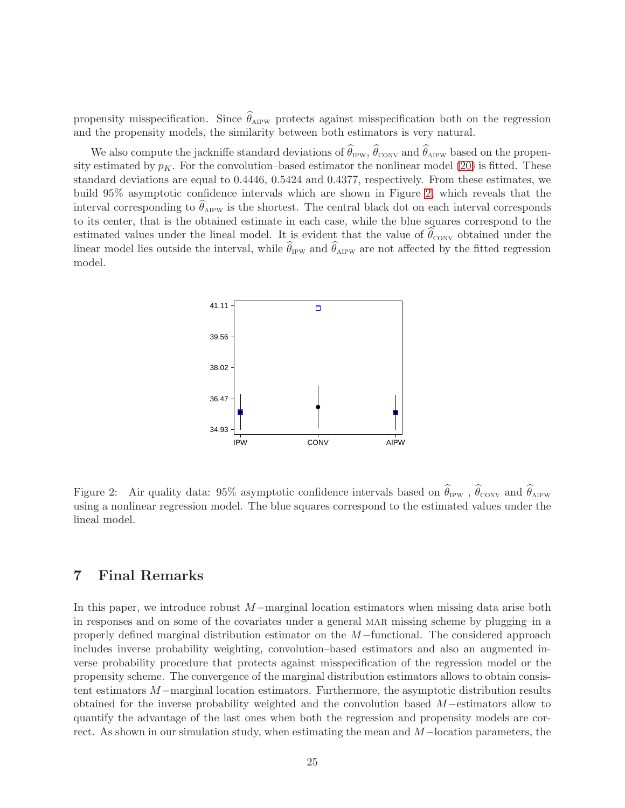propensity misspecification. Since  $\theta_{\text{AIPW}}$  protects against misspecification both on the regression and the propensity models, the similarity between both estimators is very natural.

We also compute the jackniffe standard deviations of  $\theta_{IPW}$ ,  $\theta_{CONV}$  and  $\theta_{AIPW}$  based on the propensity estimated by  $p<sub>K</sub>$ . For the convolution–based estimator the nonlinear model [\(20\)](#page-23-1) is fitted. These standard deviations are equal to 0.4446, 0.5424 and 0.4377, respectively. From these estimates, we build 95% asymptotic confidence intervals which are shown in Figure [2,](#page-24-1) which reveals that the interval corresponding to  $\theta_{\rm AIPW}$  is the shortest. The central black dot on each interval corresponds to its center, that is the obtained estimate in each case, while the blue squares correspond to the estimated values under the lineal model. It is evident that the value of  $\theta_{\rm conv}$  obtained under the linear model lies outside the interval, while  $\theta_{IPW}$  and  $\theta_{APW}$  are not affected by the fitted regression model.



<span id="page-24-1"></span>Figure 2: Air quality data: 95% asymptotic confidence intervals based on  $\theta_{IPW}$ ,  $\theta_{CONV}$  and  $\theta_{APW}$ using a nonlinear regression model. The blue squares correspond to the estimated values under the lineal model.

## <span id="page-24-0"></span>7 Final Remarks

In this paper, we introduce robust M−marginal location estimators when missing data arise both in responses and on some of the covariates under a general MAR missing scheme by plugging–in a properly defined marginal distribution estimator on the M−functional. The considered approach includes inverse probability weighting, convolution–based estimators and also an augmented inverse probability procedure that protects against misspecification of the regression model or the propensity scheme. The convergence of the marginal distribution estimators allows to obtain consistent estimators M−marginal location estimators. Furthermore, the asymptotic distribution results obtained for the inverse probability weighted and the convolution based M−estimators allow to quantify the advantage of the last ones when both the regression and propensity models are correct. As shown in our simulation study, when estimating the mean and M−location parameters, the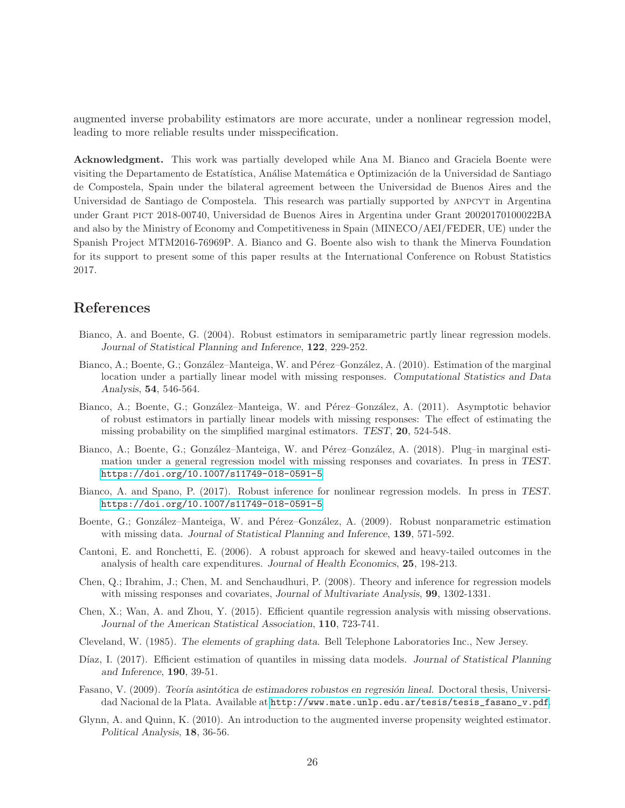augmented inverse probability estimators are more accurate, under a nonlinear regression model, leading to more reliable results under misspecification.

Acknowledgment. This work was partially developed while Ana M. Bianco and Graciela Boente were visiting the Departamento de Estatística, Análise Matemática e Optimización de la Universidad de Santiago de Compostela, Spain under the bilateral agreement between the Universidad de Buenos Aires and the Universidad de Santiago de Compostela. This research was partially supported by anpcyt in Argentina under Grant pict 2018-00740, Universidad de Buenos Aires in Argentina under Grant 20020170100022BA and also by the Ministry of Economy and Competitiveness in Spain (MINECO/AEI/FEDER, UE) under the Spanish Project MTM2016-76969P. A. Bianco and G. Boente also wish to thank the Minerva Foundation for its support to present some of this paper results at the International Conference on Robust Statistics 2017.

## References

- Bianco, A. and Boente, G. (2004). Robust estimators in semiparametric partly linear regression models. Journal of Statistical Planning and Inference, 122, 229-252.
- Bianco, A.; Boente, G.; González–Manteiga, W. and Pérez–González, A. (2010). Estimation of the marginal location under a partially linear model with missing responses. Computational Statistics and Data Analysis, 54, 546-564.
- Bianco, A.; Boente, G.; González–Manteiga, W. and Pérez–González, A. (2011). Asymptotic behavior of robust estimators in partially linear models with missing responses: The effect of estimating the missing probability on the simplified marginal estimators. TEST, 20, 524-548.
- Bianco, A.; Boente, G.; González–Manteiga, W. and Pérez–González, A. (2018). Plug–in marginal estimation under a general regression model with missing responses and covariates. In press in TEST. <https://doi.org/10.1007/s11749-018-0591-5>
- Bianco, A. and Spano, P. (2017). Robust inference for nonlinear regression models. In press in TEST. [https://doi.org/10.1007/s11749-018-0591-5]( https://doi.org/10.1007/s11749-018-0591-5)
- Boente, G.; González–Manteiga, W. and Pérez–González, A. (2009). Robust nonparametric estimation with missing data. Journal of Statistical Planning and Inference, 139, 571-592.
- Cantoni, E. and Ronchetti, E. (2006). A robust approach for skewed and heavy-tailed outcomes in the analysis of health care expenditures. Journal of Health Economics, 25, 198-213.
- Chen, Q.; Ibrahim, J.; Chen, M. and Senchaudhuri, P. (2008). Theory and inference for regression models with missing responses and covariates, Journal of Multivariate Analysis, **99**, 1302-1331.
- Chen, X.; Wan, A. and Zhou, Y. (2015). Efficient quantile regression analysis with missing observations. Journal of the American Statistical Association, 110, 723-741.
- Cleveland, W. (1985). The elements of graphing data. Bell Telephone Laboratories Inc., New Jersey.
- Díaz, I. (2017). Efficient estimation of quantiles in missing data models. Journal of Statistical Planning and Inference, 190, 39-51.
- Fasano, V. (2009). Teoría asintótica de estimadores robustos en regresión lineal. Doctoral thesis, Universidad Nacional de la Plata. Available at [http://www.mate.unlp.edu.ar/tesis/tesis\\_fasano\\_v.pdf](http://www.mate.unlp.edu.ar/tesis/tesis_fasano_v.pdf).
- Glynn, A. and Quinn, K. (2010). An introduction to the augmented inverse propensity weighted estimator. Political Analysis, 18, 36-56.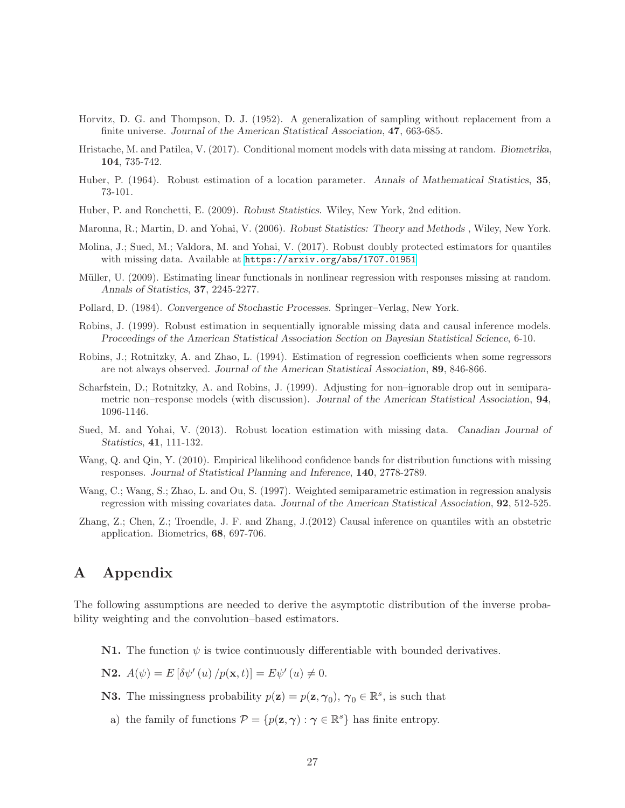- Horvitz, D. G. and Thompson, D. J. (1952). A generalization of sampling without replacement from a finite universe. Journal of the American Statistical Association, 47, 663-685.
- Hristache, M. and Patilea, V. (2017). Conditional moment models with data missing at random. Biometrika, 104, 735-742.
- Huber, P. (1964). Robust estimation of a location parameter. Annals of Mathematical Statistics, 35, 73-101.
- Huber, P. and Ronchetti, E. (2009). Robust Statistics. Wiley, New York, 2nd edition.
- Maronna, R.; Martin, D. and Yohai, V. (2006). Robust Statistics: Theory and Methods , Wiley, New York.
- Molina, J.; Sued, M.; Valdora, M. and Yohai, V. (2017). Robust doubly protected estimators for quantiles with missing data. Available at <https://arxiv.org/abs/1707.01951>
- Müller, U. (2009). Estimating linear functionals in nonlinear regression with responses missing at random. Annals of Statistics, 37, 2245-2277.
- Pollard, D. (1984). Convergence of Stochastic Processes. Springer–Verlag, New York.
- Robins, J. (1999). Robust estimation in sequentially ignorable missing data and causal inference models. Proceedings of the American Statistical Association Section on Bayesian Statistical Science, 6-10.
- Robins, J.; Rotnitzky, A. and Zhao, L. (1994). Estimation of regression coefficients when some regressors are not always observed. Journal of the American Statistical Association, 89, 846-866.
- Scharfstein, D.; Rotnitzky, A. and Robins, J. (1999). Adjusting for non–ignorable drop out in semiparametric non–response models (with discussion). Journal of the American Statistical Association, 94, 1096-1146.
- Sued, M. and Yohai, V. (2013). Robust location estimation with missing data. Canadian Journal of Statistics, 41, 111-132.
- Wang, Q. and Qin, Y. (2010). Empirical likelihood confidence bands for distribution functions with missing responses. Journal of Statistical Planning and Inference, 140, 2778-2789.
- Wang, C.; Wang, S.; Zhao, L. and Ou, S. (1997). Weighted semiparametric estimation in regression analysis regression with missing covariates data. Journal of the American Statistical Association, 92, 512-525.
- Zhang, Z.; Chen, Z.; Troendle, J. F. and Zhang, J.(2012) Causal inference on quantiles with an obstetric application. Biometrics, 68, 697-706.

## <span id="page-26-0"></span>A Appendix

The following assumptions are needed to derive the asymptotic distribution of the inverse probability weighting and the convolution–based estimators.

**N1.** The function  $\psi$  is twice continuously differentiable with bounded derivatives.

**N2.**  $A(\psi) = E[\delta \psi'(u) / p(\mathbf{x}, t)] = E\psi'(u) \neq 0.$ 

- **N3.** The missingness probability  $p(\mathbf{z}) = p(\mathbf{z}, \gamma_0)$ ,  $\gamma_0 \in \mathbb{R}^s$ , is such that
	- a) the family of functions  $\mathcal{P} = \{p(\mathbf{z}, \boldsymbol{\gamma}) : \boldsymbol{\gamma} \in \mathbb{R}^s\}$  has finite entropy.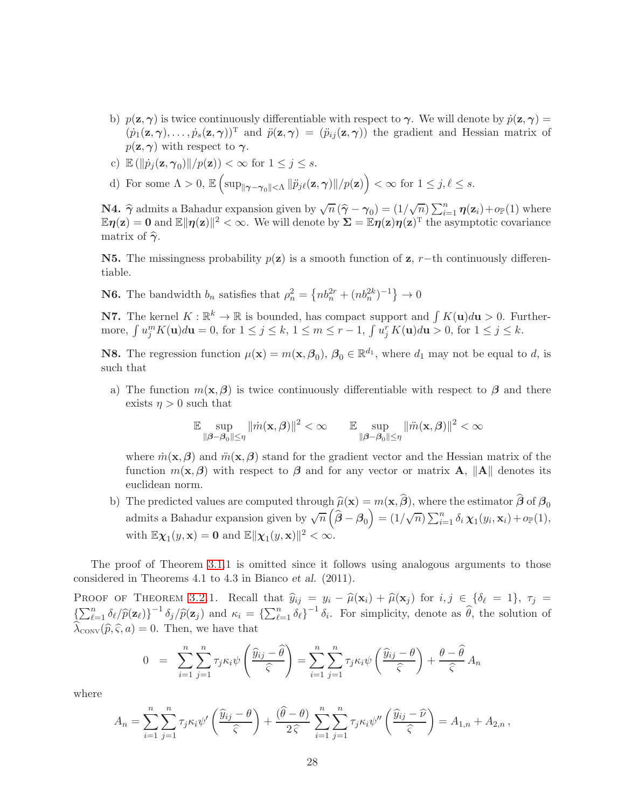- b)  $p(\mathbf{z}, \gamma)$  is twice continuously differentiable with respect to  $\gamma$ . We will denote by  $\dot{p}(\mathbf{z}, \gamma) =$  $(\dot{p}_1(\mathbf{z}, \boldsymbol{\gamma}), \ldots, \dot{p}_s(\mathbf{z}, \boldsymbol{\gamma}))^T$  and  $\ddot{p}(\mathbf{z}, \boldsymbol{\gamma}) = (\ddot{p}_{ij}(\mathbf{z}, \boldsymbol{\gamma}))$  the gradient and Hessian matrix of  $p(\mathbf{z}, \boldsymbol{\gamma})$  with respect to  $\boldsymbol{\gamma}$ .
- c)  $\mathbb{E} \left( \left\| \dot{p}_j(\mathbf{z}, \gamma_0) \right\| / p(\mathbf{z}) \right) < \infty$  for  $1 \leq j \leq s$ .
- d) For some  $\Lambda > 0$ ,  $\mathbb{E}\left[\sup_{\|\boldsymbol{\gamma}-\boldsymbol{\gamma}_0\|<\Lambda}\|\ddot{p}_{j\ell}(\mathbf{z},\boldsymbol{\gamma})\|/p(\mathbf{z})\right]<\infty$  for  $1 \leq j,\ell \leq s$ .

**N4.**  $\hat{\gamma}$  admits a Bahadur expansion given by  $\sqrt{n} (\hat{\gamma} - \gamma_0) = (1/\sqrt{n}) \sum_{i=1}^n \eta(\mathbf{z}_i) + o_{\mathbb{P}}(1)$  where  $\mathbb{E} \eta(z) = 0$  and  $\mathbb{E} \|\eta(z)\|^2 < \infty$ . We will denote by  $\Sigma = \mathbb{E} \eta(z) \eta(z)^T$  the asymptotic covariance matrix of  $\hat{\gamma}$ .

N5. The missingness probability  $p(z)$  is a smooth function of z, r–th continuously differentiable.

**N6.** The bandwidth  $b_n$  satisfies that  $\rho_n^2 = \{nb_n^{2r} + (nb_n^{2k})^{-1}\} \to 0$ 

**N7.** The kernel  $K : \mathbb{R}^k \to \mathbb{R}$  is bounded, has compact support and  $\int K(\mathbf{u})d\mathbf{u} > 0$ . Furthermore,  $\int u_j^m K(\mathbf{u}) d\mathbf{u} = 0$ , for  $1 \le j \le k$ ,  $1 \le m \le r - 1$ ,  $\int u_j^r K(\mathbf{u}) d\mathbf{u} > 0$ , for  $1 \le j \le k$ .

**N8.** The regression function  $\mu(\mathbf{x}) = m(\mathbf{x}, \beta_0)$ ,  $\beta_0 \in \mathbb{R}^{d_1}$ , where  $d_1$  may not be equal to d, is such that

a) The function  $m(\mathbf{x}, \beta)$  is twice continuously differentiable with respect to  $\beta$  and there exists  $\eta > 0$  such that

$$
\mathbb{E}\sup_{\|\boldsymbol{\beta}-\boldsymbol{\beta}_0\|\leq \eta} \|\dot{m}(\mathbf{x},\boldsymbol{\beta})\|^2 < \infty \qquad \mathbb{E}\sup_{\|\boldsymbol{\beta}-\boldsymbol{\beta}_0\|\leq \eta} \|\ddot{m}(\mathbf{x},\boldsymbol{\beta})\|^2 < \infty
$$

where  $\dot{m}(\mathbf{x},\boldsymbol{\beta})$  and  $\ddot{m}(\mathbf{x},\boldsymbol{\beta})$  stand for the gradient vector and the Hessian matrix of the function  $m(\mathbf{x}, \boldsymbol{\beta})$  with respect to  $\boldsymbol{\beta}$  and for any vector or matrix **A**,  $\|\mathbf{A}\|$  denotes its euclidean norm.

b) The predicted values are computed through  $\hat{\mu}(\mathbf{x}) = m(\mathbf{x}, \hat{\boldsymbol{\beta}})$ , where the estimator  $\hat{\boldsymbol{\beta}}$  of  $\boldsymbol{\beta}_0$ admits a Bahadur expansion given by  $\sqrt{n} \left( \hat{\boldsymbol{\beta}} - \boldsymbol{\beta}_0 \right) = (1/\sqrt{n}) \sum_{i=1}^n \delta_i \chi_1(y_i, \mathbf{x}_i) + o_{\mathbb{P}}(1),$ with  $\mathbb{E} \chi_1(y, \mathbf{x}) = \mathbf{0}$  and  $\mathbb{E} \|\chi_1(y, \mathbf{x})\|^2 < \infty$ .

The proof of Theorem [3.1.](#page-6-0)1 is omitted since it follows using analogous arguments to those considered in Theorems 4.1 to 4.3 in Bianco et al. (2011).

PROOF OF THEOREM [3.2.](#page-9-0)1. Recall that  $\hat{y}_{ij} = y_i - \hat{\mu}(\mathbf{x}_i) + \hat{\mu}(\mathbf{x}_j)$  for  $i, j \in \{\delta_\ell = 1\}, \tau_j =$  $\left\{\sum_{\ell=1}^n \delta_\ell/\hat{p}(\mathbf{z}_\ell)\right\}^{-1} \delta_j/\hat{p}(\mathbf{z}_j)$  and  $\kappa_i = \left\{\sum_{\ell=1}^n \delta_\ell\right\}^{-1} \delta_i$ . For simplicity, denote as  $\hat{\theta}$ , the solution of  $\lambda_{\text{conv}}(\widehat{p}, \widehat{\varsigma}, a) = 0$ . Then, we have that

$$
0 = \sum_{i=1}^{n} \sum_{j=1}^{n} \tau_j \kappa_i \psi \left( \frac{\widehat{y}_{ij} - \widehat{\theta}}{\widehat{\zeta}} \right) = \sum_{i=1}^{n} \sum_{j=1}^{n} \tau_j \kappa_i \psi \left( \frac{\widehat{y}_{ij} - \theta}{\widehat{\zeta}} \right) + \frac{\theta - \widehat{\theta}}{\widehat{\zeta}} A_n
$$

where

$$
A_n = \sum_{i=1}^n \sum_{j=1}^n \tau_j \kappa_i \psi' \left( \frac{\widehat{y}_{ij} - \theta}{\widehat{\varsigma}} \right) + \frac{(\widehat{\theta} - \theta)}{2 \widehat{\varsigma}} \sum_{i=1}^n \sum_{j=1}^n \tau_j \kappa_i \psi'' \left( \frac{\widehat{y}_{ij} - \widehat{\nu}}{\widehat{\varsigma}} \right) = A_{1,n} + A_{2,n},
$$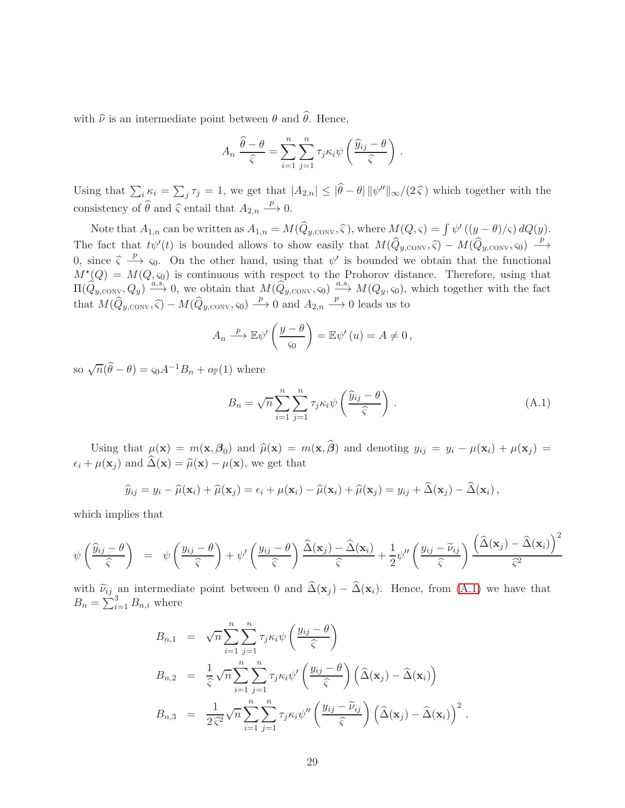with  $\hat{\nu}$  is an intermediate point between  $\theta$  and  $\hat{\theta}$ . Hence,

$$
A_n \frac{\widehat{\theta} - \theta}{\widehat{\varsigma}} = \sum_{i=1}^n \sum_{j=1}^n \tau_j \kappa_i \psi \left( \frac{\widehat{y}_{ij} - \theta}{\widehat{\varsigma}} \right).
$$

Using that  $\sum_i \kappa_i = \sum_j \tau_j = 1$ , we get that  $|A_{2,n}| \leq |\hat{\theta} - \theta| \|\psi''\|_{\infty} / (2\hat{\zeta})$  which together with the consistency of  $\widehat{\theta}$  and  $\widehat{\varsigma}$  entail that  $A_{2,n} \stackrel{p}{\longrightarrow} 0$ .

Note that  $A_{1,n}$  can be written as  $A_{1,n} = M(\widehat{Q}_{y, \text{conv}}, \widehat{\varsigma})$ , where  $M(Q, \varsigma) = \int \psi'(y - \theta)/\varsigma dQ(y)$ . The fact that  $t\psi'(t)$  is bounded allows to show easily that  $M(\widehat{Q}_{y, \text{conv}}, \widehat{\varsigma}) - M(\widehat{Q}_{y, \text{conv}}, \varsigma_0) \longrightarrow$ 0, since  $\hat{\zeta} \xrightarrow{p} \zeta_0$ . On the other hand, using that  $\psi'$  is bounded we obtain that the functional  $M^{\star}(Q) = M(Q, \varsigma_0)$  is continuous with respect to the Prohorov distance. Therefore, using that  $\Pi(\hat{Q}_{y, \text{conv}}, Q_y) \stackrel{a.s.}{\longrightarrow} 0$ , we obtain that  $M(\hat{Q}_{y, \text{conv}}, \varsigma_0) \stackrel{a.s.}{\longrightarrow} M(Q_y, \varsigma_0)$ , which together with the fact that  $M(\hat{Q}_{y, \text{conv}}, \hat{\varsigma}) - M(\hat{Q}_{y, \text{conv}}, \varsigma_0) \stackrel{p}{\longrightarrow} 0$  and  $A_{2,n} \stackrel{p}{\longrightarrow} 0$  leads us to

$$
A_n \xrightarrow{p} \mathbb{E} \psi' \left( \frac{y - \theta}{\varsigma_0} \right) = \mathbb{E} \psi'(u) = A \neq 0,
$$

so  $\sqrt{n}(\widehat{\theta}-\theta) = s_0 A^{-1}B_n + o_{\mathbb{P}}(1)$  where

<span id="page-28-0"></span>
$$
B_n = \sqrt{n} \sum_{i=1}^n \sum_{j=1}^n \tau_j \kappa_i \psi \left( \frac{\widehat{y}_{ij} - \theta}{\widehat{\varsigma}} \right).
$$
 (A.1)

Using that  $\mu(\mathbf{x}) = m(\mathbf{x}, \beta_0)$  and  $\hat{\mu}(\mathbf{x}) = m(\mathbf{x}, \beta)$  and denoting  $y_{ij} = y_i - \mu(\mathbf{x}_i) + \mu(\mathbf{x}_j) =$  $\epsilon_i + \mu(\mathbf{x}_i)$  and  $\widehat{\Delta}(\mathbf{x}) = \widehat{\mu}(\mathbf{x}) - \mu(\mathbf{x})$ , we get that

$$
\widehat{y}_{ij} = y_i - \widehat{\mu}(\mathbf{x}_i) + \widehat{\mu}(\mathbf{x}_j) = \epsilon_i + \mu(\mathbf{x}_i) - \widehat{\mu}(\mathbf{x}_i) + \widehat{\mu}(\mathbf{x}_j) = y_{ij} + \widehat{\Delta}(\mathbf{x}_j) - \widehat{\Delta}(\mathbf{x}_i),
$$

which implies that

$$
\psi\left(\frac{\widehat{y}_{ij} - \theta}{\widehat{\varsigma}}\right) = \psi\left(\frac{y_{ij} - \theta}{\widehat{\varsigma}}\right) + \psi'\left(\frac{y_{ij} - \theta}{\widehat{\varsigma}}\right) \frac{\widehat{\Delta}(\mathbf{x}_j) - \widehat{\Delta}(\mathbf{x}_i)}{\widehat{\varsigma}} + \frac{1}{2}\psi''\left(\frac{y_{ij} - \widetilde{\nu}_{ij}}{\widehat{\varsigma}}\right) \frac{\left(\widehat{\Delta}(\mathbf{x}_j) - \widehat{\Delta}(\mathbf{x}_i)\right)^2}{\widehat{\varsigma}^2}
$$

with  $\tilde{\nu}_{ij}$  an intermediate point between 0 and  $\hat{\Delta}(\mathbf{x}_j) - \hat{\Delta}(\mathbf{x}_i)$ . Hence, from [\(A.1\)](#page-28-0) we have that  $B_n = \sum_{i=1}^{3} B_{n,i}$  where

$$
B_{n,1} = \sqrt{n} \sum_{i=1}^{n} \sum_{j=1}^{n} \tau_j \kappa_i \psi \left( \frac{y_{ij} - \theta}{\hat{\zeta}} \right)
$$
  
\n
$$
B_{n,2} = \frac{1}{\hat{\zeta}} \sqrt{n} \sum_{i=1}^{n} \sum_{j=1}^{n} \tau_j \kappa_i \psi' \left( \frac{y_{ij} - \theta}{\hat{\zeta}} \right) \left( \hat{\Delta}(\mathbf{x}_j) - \hat{\Delta}(\mathbf{x}_i) \right)
$$
  
\n
$$
B_{n,3} = \frac{1}{2 \hat{\zeta}^2} \sqrt{n} \sum_{i=1}^{n} \sum_{j=1}^{n} \tau_j \kappa_i \psi'' \left( \frac{y_{ij} - \tilde{\nu}_{ij}}{\hat{\zeta}} \right) \left( \hat{\Delta}(\mathbf{x}_j) - \hat{\Delta}(\mathbf{x}_i) \right)^2.
$$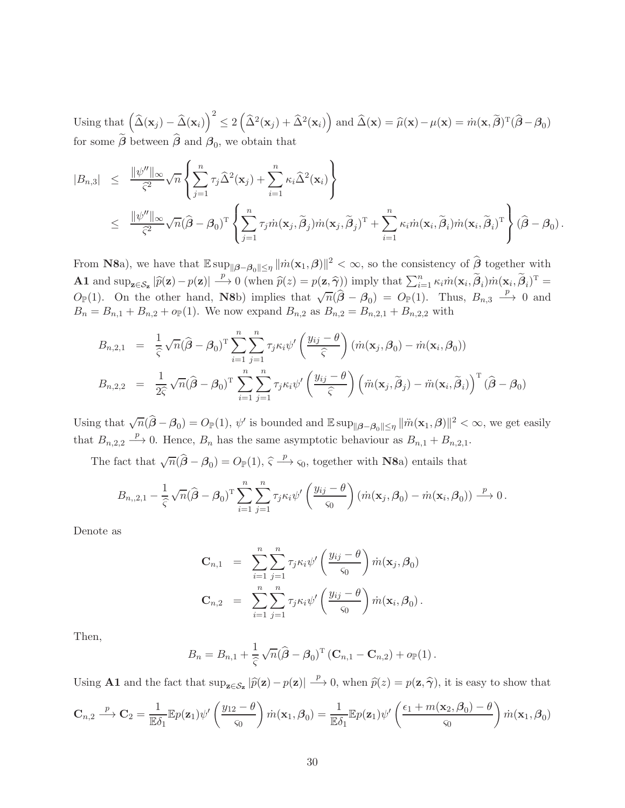Using that  $(\hat{\Delta}(\mathbf{x}_j) - \hat{\Delta}(\mathbf{x}_i))^2 \le 2(\hat{\Delta}^2(\mathbf{x}_j) + \hat{\Delta}^2(\mathbf{x}_i))$  and  $\hat{\Delta}(\mathbf{x}) = \hat{\mu}(\mathbf{x}) - \mu(\mathbf{x}) = \hat{m}(\mathbf{x}, \tilde{\beta})^T(\hat{\beta} - \beta_0)$ for some  $\beta$  between  $\beta$  and  $\beta_0$ , we obtain that

$$
|B_{n,3}| \leq \frac{\|\psi''\|_{\infty}}{\hat{\zeta}^2} \sqrt{n} \left\{ \sum_{j=1}^n \tau_j \widehat{\Delta}^2(\mathbf{x}_j) + \sum_{i=1}^n \kappa_i \widehat{\Delta}^2(\mathbf{x}_i) \right\}
$$
  

$$
\leq \frac{\|\psi''\|_{\infty}}{\hat{\zeta}^2} \sqrt{n} (\widehat{\beta} - \beta_0)^{\mathrm{T}} \left\{ \sum_{j=1}^n \tau_j \dot{m}(\mathbf{x}_j, \widetilde{\beta}_j) \dot{m}(\mathbf{x}_j, \widetilde{\beta}_j)^{\mathrm{T}} + \sum_{i=1}^n \kappa_i \dot{m}(\mathbf{x}_i, \widetilde{\beta}_i) \dot{m}(\mathbf{x}_i, \widetilde{\beta}_i)^{\mathrm{T}} \right\} (\widehat{\beta} - \beta_0).
$$

From N8a), we have that  $\mathbb{E} \sup_{\|\boldsymbol{\beta}-\boldsymbol{\beta}_0\| \leq \eta} \|\dot{m}(\mathbf{x}_1,\boldsymbol{\beta})\|^2 < \infty$ , so the consistency of  $\hat{\boldsymbol{\beta}}$  together with **A1** and  $\sup_{z \in S_z} |\widehat{p}(z) - p(z)| \stackrel{p}{\longrightarrow} 0$  (when  $\widehat{p}(z) = p(z, \widehat{\gamma})$ ) imply that  $\sum_{i=1}^n \kappa_i m(\mathbf{x}_i, \widetilde{\beta}_i) \dot{m}(\mathbf{x}_i, \widetilde{\beta}_i)^T =$  $O_{\mathbb{P}}(1)$ . On the other hand, N8b) implies that  $\sqrt{n}(\hat{\beta} - \beta_0) = O_{\mathbb{P}}(1)$ . Thus,  $B_{n,3} \stackrel{p}{\longrightarrow} 0$  and  $B_n = B_{n,1} + B_{n,2} + o_{\mathbb{P}}(1)$ . We now expand  $B_{n,2}$  as  $B_{n,2} = B_{n,2,1} + B_{n,2,2}$  with

$$
B_{n,2,1} = \frac{1}{\hat{\zeta}} \sqrt{n} (\hat{\beta} - \beta_0)^{\mathrm{T}} \sum_{i=1}^n \sum_{j=1}^n \tau_j \kappa_i \psi' \left(\frac{y_{ij} - \theta}{\hat{\zeta}}\right) (\dot{m}(\mathbf{x}_j, \beta_0) - \dot{m}(\mathbf{x}_i, \beta_0))
$$
  
\n
$$
B_{n,2,2} = \frac{1}{2\hat{\zeta}} \sqrt{n} (\hat{\beta} - \beta_0)^{\mathrm{T}} \sum_{i=1}^n \sum_{j=1}^n \tau_j \kappa_i \psi' \left(\frac{y_{ij} - \theta}{\hat{\zeta}}\right) \left(\ddot{m}(\mathbf{x}_j, \tilde{\beta}_j) - \ddot{m}(\mathbf{x}_i, \tilde{\beta}_i)\right)^{\mathrm{T}} (\hat{\beta} - \beta_0)
$$

Using that  $\sqrt{n}(\hat{\beta}-\beta_0) = O_{\mathbb{P}}(1)$ ,  $\psi'$  is bounded and  $\mathbb{E} \sup_{\|\beta-\beta_0\| \leq \eta} \|\ddot{m}(\mathbf{x}_1, \beta)\|^2 < \infty$ , we get easily that  $B_{n,2,2} \xrightarrow{p} 0$ . Hence,  $B_n$  has the same asymptotic behaviour as  $B_{n,1} + B_{n,2,1}$ .

The fact that  $\sqrt{n}(\hat{\boldsymbol{\beta}} - \boldsymbol{\beta}_0) = O_{\mathbb{P}}(1), \hat{\varsigma} \stackrel{p}{\longrightarrow} \varsigma_0$ , together with **N8a**) entails that

$$
B_{n,2,1} - \frac{1}{\hat{\zeta}} \sqrt{n} (\hat{\beta} - \beta_0)^{\mathrm{T}} \sum_{i=1}^n \sum_{j=1}^n \tau_j \kappa_i \psi' \left( \frac{y_{ij} - \theta}{\varsigma_0} \right) (\dot{m}(\mathbf{x}_j, \beta_0) - \dot{m}(\mathbf{x}_i, \beta_0)) \xrightarrow{p} 0.
$$

Denote as

$$
\mathbf{C}_{n,1} = \sum_{i=1}^{n} \sum_{j=1}^{n} \tau_j \kappa_i \psi' \left(\frac{y_{ij} - \theta}{\varsigma_0}\right) \dot{m}(\mathbf{x}_j, \beta_0)
$$

$$
\mathbf{C}_{n,2} = \sum_{i=1}^{n} \sum_{j=1}^{n} \tau_j \kappa_i \psi' \left(\frac{y_{ij} - \theta}{\varsigma_0}\right) \dot{m}(\mathbf{x}_i, \beta_0).
$$

Then,

$$
B_n = B_{n,1} + \frac{1}{\hat{\varsigma}} \sqrt{n} (\hat{\boldsymbol{\beta}} - \boldsymbol{\beta}_0)^{\mathrm{T}} (\mathbf{C}_{n,1} - \mathbf{C}_{n,2}) + o_{\mathbb{P}}(1).
$$

Using **A1** and the fact that  $\sup_{\mathbf{z}\in\mathcal{S}_{\mathbf{z}}}|\widehat{p}(\mathbf{z})-p(\mathbf{z})|\stackrel{p}{\longrightarrow}0$ , when  $\widehat{p}(z)=p(\mathbf{z},\widehat{\boldsymbol{\gamma}})$ , it is easy to show that

$$
\mathbf{C}_{n,2} \stackrel{p}{\longrightarrow} \mathbf{C}_2 = \frac{1}{\mathbb{E}\delta_1} \mathbb{E}p(\mathbf{z}_1)\psi'\left(\frac{y_{12}-\theta}{\varsigma_0}\right)\dot{m}(\mathbf{x}_1,\boldsymbol{\beta}_0) = \frac{1}{\mathbb{E}\delta_1} \mathbb{E}p(\mathbf{z}_1)\psi'\left(\frac{\epsilon_1 + m(\mathbf{x}_2,\boldsymbol{\beta}_0) - \theta}{\varsigma_0}\right)\dot{m}(\mathbf{x}_1,\boldsymbol{\beta}_0)
$$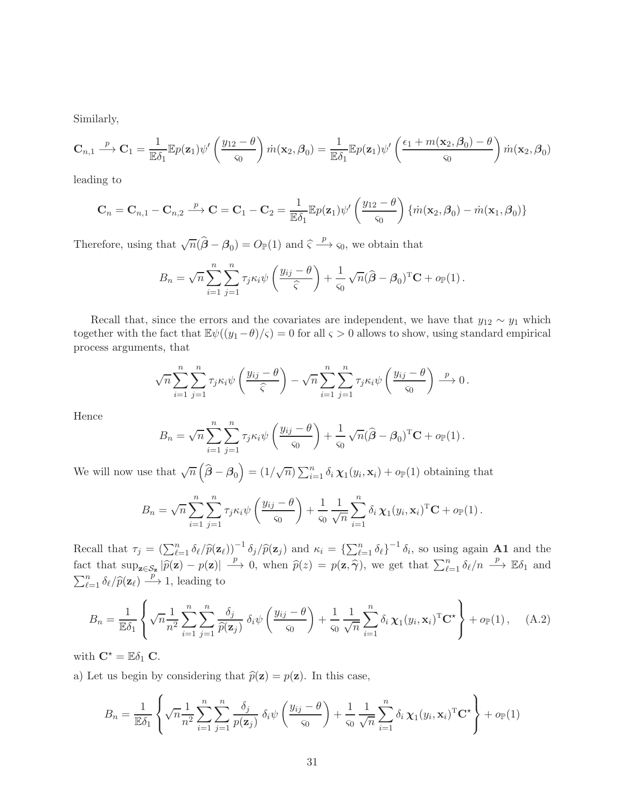Similarly,

$$
\mathbf{C}_{n,1} \stackrel{p}{\longrightarrow} \mathbf{C}_1 = \frac{1}{\mathbb{E}\delta_1} \mathbb{E}p(\mathbf{z}_1)\psi'\left(\frac{y_{12}-\theta}{\varsigma_0}\right)\dot{m}(\mathbf{x}_2,\boldsymbol{\beta}_0) = \frac{1}{\mathbb{E}\delta_1} \mathbb{E}p(\mathbf{z}_1)\psi'\left(\frac{\epsilon_1+m(\mathbf{x}_2,\boldsymbol{\beta}_0)-\theta}{\varsigma_0}\right)\dot{m}(\mathbf{x}_2,\boldsymbol{\beta}_0)
$$

leading to

$$
\mathbf{C}_n = \mathbf{C}_{n,1} - \mathbf{C}_{n,2} \stackrel{p}{\longrightarrow} \mathbf{C} = \mathbf{C}_1 - \mathbf{C}_2 = \frac{1}{\mathbb{E}\delta_1} \mathbb{E}p(\mathbf{z}_1)\psi'\left(\frac{y_{12} - \theta}{\varsigma_0}\right) \{\dot{m}(\mathbf{x}_2, \beta_0) - \dot{m}(\mathbf{x}_1, \beta_0)\}
$$

Therefore, using that  $\sqrt{n}(\hat{\beta} - \beta_0) = O_{\mathbb{P}}(1)$  and  $\hat{\varsigma} \xrightarrow{p} \varsigma_0$ , we obtain that

$$
B_n = \sqrt{n} \sum_{i=1}^n \sum_{j=1}^n \tau_j \kappa_i \psi \left( \frac{y_{ij} - \theta}{\widehat{\varsigma}} \right) + \frac{1}{\varsigma_0} \sqrt{n} (\widehat{\boldsymbol{\beta}} - \boldsymbol{\beta}_0)^{\mathrm{T}} \mathbf{C} + o_{\mathbb{P}}(1).
$$

Recall that, since the errors and the covariates are independent, we have that  $y_{12} \sim y_1$  which together with the fact that  $\mathbb{E}\psi((y_1-\theta)/\varsigma) = 0$  for all  $\varsigma > 0$  allows to show, using standard empirical process arguments, that

$$
\sqrt{n}\sum_{i=1}^n\sum_{j=1}^n\tau_j\kappa_i\psi\left(\frac{y_{ij}-\theta}{\widehat{\varsigma}}\right)-\sqrt{n}\sum_{i=1}^n\sum_{j=1}^n\tau_j\kappa_i\psi\left(\frac{y_{ij}-\theta}{\varsigma_0}\right)\stackrel{p}{\longrightarrow}0.
$$

Hence

$$
B_n = \sqrt{n} \sum_{i=1}^n \sum_{j=1}^n \tau_j \kappa_i \psi \left(\frac{y_{ij} - \theta}{\varsigma_0}\right) + \frac{1}{\varsigma_0} \sqrt{n} (\widehat{\boldsymbol{\beta}} - \boldsymbol{\beta}_0)^{\mathrm{T}} \mathbf{C} + o_{\mathbb{P}}(1).
$$

We will now use that  $\sqrt{n}(\hat{\boldsymbol{\beta}} - \boldsymbol{\beta}_0) = (1/\sqrt{n}) \sum_{i=1}^n \delta_i \chi_1(y_i, \mathbf{x}_i) + o_{\mathbb{P}}(1)$  obtaining that

$$
B_n = \sqrt{n} \sum_{i=1}^n \sum_{j=1}^n \tau_j \kappa_i \psi \left( \frac{y_{ij} - \theta}{\varsigma_0} \right) + \frac{1}{\varsigma_0} \frac{1}{\sqrt{n}} \sum_{i=1}^n \delta_i \chi_1(y_i, \mathbf{x}_i)^\mathrm{T} \mathbf{C} + o_{\mathbb{P}}(1).
$$

Recall that  $\tau_j = \left(\sum_{\ell=1}^n \delta_\ell / \hat{p}(\mathbf{z}_\ell)\right)^{-1} \delta_j / \hat{p}(\mathbf{z}_j)$  and  $\kappa_i = \left\{\sum_{\ell=1}^n \delta_\ell\right\}^{-1} \delta_i$ , so using again **A1** and the fact that  $\sup_{\mathbf{z}\in\mathcal{S}_{\mathbf{z}}}|\widehat{p}(\mathbf{z})-p(\mathbf{z})|\longrightarrow 0$ , when  $\widehat{p}(z)=p(\mathbf{z},\widehat{\boldsymbol{\gamma}})$ , we get that  $\sum_{\ell=1}^n\delta_{\ell}/n\longrightarrow\mathbb{E}\delta_1$  and  $\sum_{\ell=1}^n \delta_\ell / \widehat{p}(\mathbf{z}_\ell) \stackrel{p}{\longrightarrow} 1$ , leading to

<span id="page-30-0"></span>
$$
B_n = \frac{1}{\mathbb{E}\delta_1} \left\{ \sqrt{n} \frac{1}{n^2} \sum_{i=1}^n \sum_{j=1}^n \frac{\delta_j}{\hat{p}(\mathbf{z}_j)} \delta_i \psi \left( \frac{y_{ij} - \theta}{\varsigma_0} \right) + \frac{1}{\varsigma_0} \frac{1}{\sqrt{n}} \sum_{i=1}^n \delta_i \chi_1(y_i, \mathbf{x}_i)^{\mathrm{T}} \mathbf{C}^{\star} \right\} + o_{\mathbb{P}}(1), \quad (A.2)
$$

with  $\mathbf{C}^* = \mathbb{E} \delta_1 \mathbf{C}$ .

a) Let us begin by considering that  $\hat{p}(\mathbf{z}) = p(\mathbf{z})$ . In this case,

$$
B_n = \frac{1}{\mathbb{E}\delta_1} \left\{ \sqrt{n} \frac{1}{n^2} \sum_{i=1}^n \sum_{j=1}^n \frac{\delta_j}{p(\mathbf{z}_j)} \delta_i \psi \left( \frac{y_{ij} - \theta}{\varsigma_0} \right) + \frac{1}{\varsigma_0} \frac{1}{\sqrt{n}} \sum_{i=1}^n \delta_i \chi_1(y_i, \mathbf{x}_i)^{\mathrm{T}} \mathbf{C}^{\star} \right\} + o_{\mathbb{P}}(1)
$$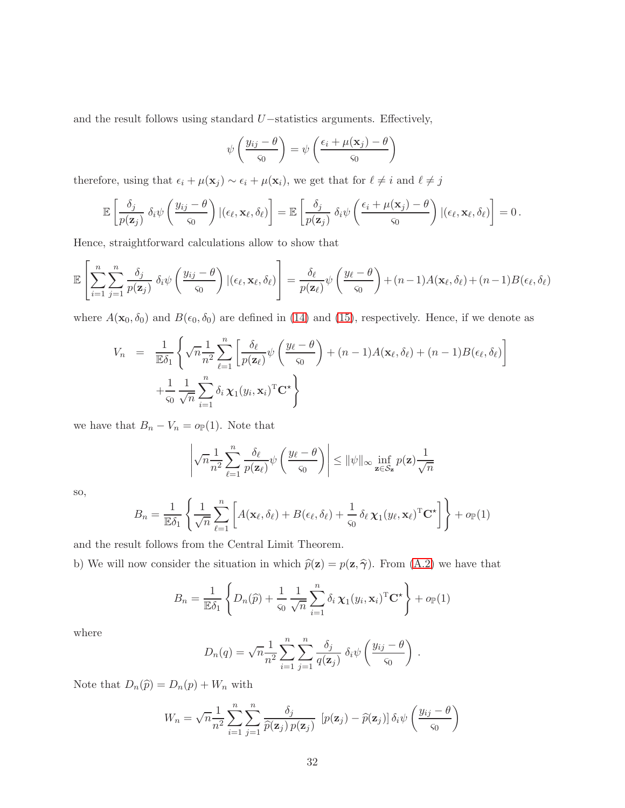and the result follows using standard U−statistics arguments. Effectively,

$$
\psi\left(\frac{y_{ij} - \theta}{\varsigma_0}\right) = \psi\left(\frac{\epsilon_i + \mu(\mathbf{x}_j) - \theta}{\varsigma_0}\right)
$$

therefore, using that  $\epsilon_i + \mu(\mathbf{x}_j) \sim \epsilon_i + \mu(\mathbf{x}_i)$ , we get that for  $\ell \neq i$  and  $\ell \neq j$ 

$$
\mathbb{E}\left[\frac{\delta_j}{p(\mathbf{z}_j)}\,\delta_i\psi\left(\frac{y_{ij}-\theta}{\varsigma_0}\right)|(\epsilon_\ell,\mathbf{x}_\ell,\delta_\ell)\right] = \mathbb{E}\left[\frac{\delta_j}{p(\mathbf{z}_j)}\,\delta_i\psi\left(\frac{\epsilon_i+\mu(\mathbf{x}_j)-\theta}{\varsigma_0}\right)|(\epsilon_\ell,\mathbf{x}_\ell,\delta_\ell)\right] = 0.
$$

Hence, straightforward calculations allow to show that

$$
\mathbb{E}\left[\sum_{i=1}^{n}\sum_{j=1}^{n}\frac{\delta_{j}}{p(\mathbf{z}_{j})}\delta_{i}\psi\left(\frac{y_{ij}-\theta}{\varsigma_{0}}\right)|(\epsilon_{\ell},\mathbf{x}_{\ell},\delta_{\ell})\right]=\frac{\delta_{\ell}}{p(\mathbf{z}_{\ell})}\psi\left(\frac{y_{\ell}-\theta}{\varsigma_{0}}\right)+(n-1)A(\mathbf{x}_{\ell},\delta_{\ell})+(n-1)B(\epsilon_{\ell},\delta_{\ell})
$$

where  $A(\mathbf{x}_0, \delta_0)$  and  $B(\epsilon_0, \delta_0)$  are defined in [\(14\)](#page-11-0) and [\(15\)](#page-11-0), respectively. Hence, if we denote as

$$
V_n = \frac{1}{\mathbb{E}\delta_1} \left\{ \sqrt{n} \frac{1}{n^2} \sum_{\ell=1}^n \left[ \frac{\delta_\ell}{p(\mathbf{z}_\ell)} \psi \left( \frac{y_\ell - \theta}{\varsigma_0} \right) + (n-1) A(\mathbf{x}_\ell, \delta_\ell) + (n-1) B(\epsilon_\ell, \delta_\ell) \right] + \frac{1}{\varsigma_0} \frac{1}{\sqrt{n}} \sum_{i=1}^n \delta_i \chi_1(y_i, \mathbf{x}_i)^\mathrm{T} \mathbf{C}^\star \right\}
$$

we have that  $B_n - V_n = o_{\mathbb{P}}(1)$ . Note that

$$
\left|\sqrt{n}\frac{1}{n^2}\sum_{\ell=1}^n\frac{\delta_\ell}{p(\mathbf{z}_\ell)}\psi\left(\frac{y_\ell-\theta}{\varsigma_0}\right)\right|\leq \|\psi\|_\infty \inf_{\mathbf{z}\in\mathcal{S}_{\mathbf{z}}}p(\mathbf{z})\frac{1}{\sqrt{n}}
$$

so,

$$
B_n = \frac{1}{\mathbb{E}\delta_1} \left\{ \frac{1}{\sqrt{n}} \sum_{\ell=1}^n \left[ A(\mathbf{x}_{\ell}, \delta_{\ell}) + B(\epsilon_{\ell}, \delta_{\ell}) + \frac{1}{\varsigma_0} \delta_{\ell} \chi_1(y_{\ell}, \mathbf{x}_{\ell})^{\mathrm{T}} \mathbf{C}^{\star} \right] \right\} + o_{\mathbb{P}}(1)
$$

and the result follows from the Central Limit Theorem.

b) We will now consider the situation in which  $\hat{p}(\mathbf{z}) = p(\mathbf{z}, \hat{\boldsymbol{\gamma}})$ . From [\(A.2\)](#page-30-0) we have that

$$
B_n = \frac{1}{\mathbb{E}\delta_1} \left\{ D_n(\hat{p}) + \frac{1}{\varsigma_0} \frac{1}{\sqrt{n}} \sum_{i=1}^n \delta_i \chi_1(y_i, \mathbf{x}_i)^\mathrm{T} \mathbf{C}^\star \right\} + o_{\mathbb{P}}(1)
$$

where

$$
D_n(q) = \sqrt{n} \frac{1}{n^2} \sum_{i=1}^n \sum_{j=1}^n \frac{\delta_j}{q(\mathbf{z}_j)} \delta_i \psi \left(\frac{y_{ij} - \theta}{\varsigma_0}\right).
$$

Note that  $D_n(\widehat{p}) = D_n(p) + W_n$  with

$$
W_n = \sqrt{n} \frac{1}{n^2} \sum_{i=1}^n \sum_{j=1}^n \frac{\delta_j}{\hat{p}(\mathbf{z}_j) p(\mathbf{z}_j)} \left[ p(\mathbf{z}_j) - \hat{p}(\mathbf{z}_j) \right] \delta_i \psi \left( \frac{y_{ij} - \theta}{\varsigma_0} \right)
$$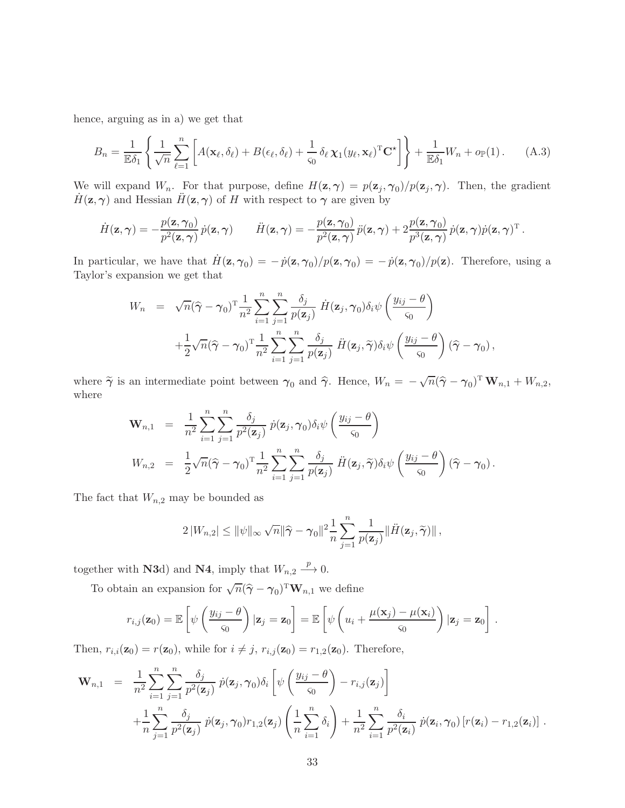hence, arguing as in a) we get that

<span id="page-32-0"></span>
$$
B_n = \frac{1}{\mathbb{E}\delta_1} \left\{ \frac{1}{\sqrt{n}} \sum_{\ell=1}^n \left[ A(\mathbf{x}_\ell, \delta_\ell) + B(\epsilon_\ell, \delta_\ell) + \frac{1}{\varsigma_0} \delta_\ell \, \mathbf{\chi}_1(y_\ell, \mathbf{x}_\ell)^{\mathrm{T}} \mathbf{C}^\star \right] \right\} + \frac{1}{\mathbb{E}\delta_1} W_n + o_{\mathbb{P}}(1). \tag{A.3}
$$

We will expand  $W_n$ . For that purpose, define  $H(\mathbf{z}, \gamma) = p(\mathbf{z}_j, \gamma_0)/p(\mathbf{z}_j, \gamma)$ . Then, the gradient  $H(z, \gamma)$  and Hessian  $H(z, \gamma)$  of H with respect to  $\gamma$  are given by

$$
\dot{H}(\mathbf{z},\boldsymbol{\gamma})=-\frac{p(\mathbf{z},\boldsymbol{\gamma}_0)}{p^2(\mathbf{z},\boldsymbol{\gamma})}\dot{p}(\mathbf{z},\boldsymbol{\gamma})\qquad\ddot{H}(\mathbf{z},\boldsymbol{\gamma})=-\frac{p(\mathbf{z},\boldsymbol{\gamma}_0)}{p^2(\mathbf{z},\boldsymbol{\gamma})}\ddot{p}(\mathbf{z},\boldsymbol{\gamma})+2\frac{p(\mathbf{z},\boldsymbol{\gamma}_0)}{p^3(\mathbf{z},\boldsymbol{\gamma})}\dot{p}(\mathbf{z},\boldsymbol{\gamma})^{\mathrm{T}}.
$$

In particular, we have that  $\dot{H}(\mathbf{z}, \gamma_0) = -\dot{p}(\mathbf{z}, \gamma_0)/p(\mathbf{z}, \gamma_0) = -\dot{p}(\mathbf{z}, \gamma_0)/p(\mathbf{z})$ . Therefore, using a Taylor's expansion we get that

$$
W_n = \sqrt{n}(\widehat{\gamma} - \gamma_0)^{\mathrm{T}} \frac{1}{n^2} \sum_{i=1}^n \sum_{j=1}^n \frac{\delta_j}{p(\mathbf{z}_j)} \dot{H}(\mathbf{z}_j, \gamma_0) \delta_i \psi \left(\frac{y_{ij} - \theta}{\varsigma_0}\right) + \frac{1}{2} \sqrt{n}(\widehat{\gamma} - \gamma_0)^{\mathrm{T}} \frac{1}{n^2} \sum_{i=1}^n \sum_{j=1}^n \frac{\delta_j}{p(\mathbf{z}_j)} \ddot{H}(\mathbf{z}_j, \widetilde{\gamma}) \delta_i \psi \left(\frac{y_{ij} - \theta}{\varsigma_0}\right) (\widehat{\gamma} - \gamma_0),
$$

where  $\widetilde{\gamma}$  is an intermediate point between  $\gamma_0$  and  $\widehat{\gamma}$ . Hence,  $W_n = -\sqrt{n}(\widehat{\gamma} - \gamma_0)^T \mathbf{W}_{n,1} + W_{n,2}$ , where

$$
\mathbf{W}_{n,1} = \frac{1}{n^2} \sum_{i=1}^n \sum_{j=1}^n \frac{\delta_j}{p^2(\mathbf{z}_j)} \, \dot{p}(\mathbf{z}_j, \gamma_0) \delta_i \psi \left( \frac{y_{ij} - \theta}{\varsigma_0} \right)
$$
\n
$$
W_{n,2} = \frac{1}{2} \sqrt{n} (\hat{\gamma} - \gamma_0)^{\mathrm{T}} \frac{1}{n^2} \sum_{i=1}^n \sum_{j=1}^n \frac{\delta_j}{p(\mathbf{z}_j)} \, \ddot{H}(\mathbf{z}_j, \tilde{\gamma}) \delta_i \psi \left( \frac{y_{ij} - \theta}{\varsigma_0} \right) (\hat{\gamma} - \gamma_0).
$$

The fact that  $W_{n,2}$  may be bounded as

$$
2|W_{n,2}| \leq ||\psi||_{\infty} \sqrt{n} ||\widehat{\gamma} - \gamma_0||^2 \frac{1}{n} \sum_{j=1}^n \frac{1}{p(\mathbf{z}_j)} ||\ddot{H}(\mathbf{z}_j, \widetilde{\gamma})||,
$$

together with **N3**d) and **N4**, imply that  $W_{n,2} \xrightarrow{p} 0$ .

To obtain an expansion for  $\sqrt{n}(\hat{\gamma}-\gamma_0)^{\mathrm{T}}\mathbf{W}_{n,1}$  we define

$$
r_{i,j}(\mathbf{z}_0) = \mathbb{E}\left[\psi\left(\frac{y_{ij} - \theta}{\varsigma_0}\right)|\mathbf{z}_j = \mathbf{z}_0\right] = \mathbb{E}\left[\psi\left(u_i + \frac{\mu(\mathbf{x}_j) - \mu(\mathbf{x}_i)}{\varsigma_0}\right)|\mathbf{z}_j = \mathbf{z}_0\right].
$$

Then,  $r_{i,i}(\mathbf{z}_0) = r(\mathbf{z}_0)$ , while for  $i \neq j$ ,  $r_{i,j}(\mathbf{z}_0) = r_{1,2}(\mathbf{z}_0)$ . Therefore,

$$
\mathbf{W}_{n,1} = \frac{1}{n^2} \sum_{i=1}^n \sum_{j=1}^n \frac{\delta_j}{p^2(\mathbf{z}_j)} \dot{p}(\mathbf{z}_j, \gamma_0) \delta_i \left[ \psi \left( \frac{y_{ij} - \theta}{\varsigma_0} \right) - r_{i,j}(\mathbf{z}_j) \right] + \frac{1}{n} \sum_{j=1}^n \frac{\delta_j}{p^2(\mathbf{z}_j)} \dot{p}(\mathbf{z}_j, \gamma_0) r_{1,2}(\mathbf{z}_j) \left( \frac{1}{n} \sum_{i=1}^n \delta_i \right) + \frac{1}{n^2} \sum_{i=1}^n \frac{\delta_i}{p^2(\mathbf{z}_i)} \dot{p}(\mathbf{z}_i, \gamma_0) \left[ r(\mathbf{z}_i) - r_{1,2}(\mathbf{z}_i) \right].
$$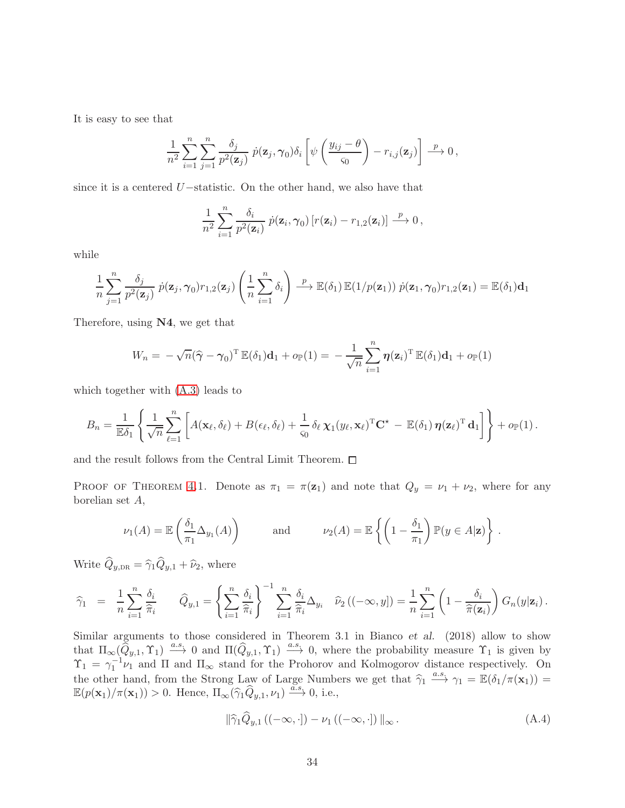It is easy to see that

$$
\frac{1}{n^2}\sum_{i=1}^n\sum_{j=1}^n\frac{\delta_j}{p^2(\mathbf{z}_j)}\; \dot{p}(\mathbf{z}_j,\boldsymbol{\gamma}_0)\delta_i\left[\psi\left(\frac{y_{ij}-\theta}{\varsigma_0}\right)-r_{i,j}(\mathbf{z}_j)\right]\stackrel{p}{\longrightarrow} 0\,,
$$

since it is a centered U−statistic. On the other hand, we also have that

$$
\frac{1}{n^2}\sum_{i=1}^n\frac{\delta_i}{p^2(\mathbf{z}_i)}\,\dot{p}(\mathbf{z}_i,\boldsymbol{\gamma}_0)\left[r(\mathbf{z}_i)-r_{1,2}(\mathbf{z}_i)\right]\stackrel{p}{\longrightarrow}0\,,
$$

while

$$
\frac{1}{n}\sum_{j=1}^{n}\frac{\delta_j}{p^2(\mathbf{z}_j)}\,\dot{p}(\mathbf{z}_j,\boldsymbol{\gamma}_0)r_{1,2}(\mathbf{z}_j)\left(\frac{1}{n}\sum_{i=1}^{n}\delta_i\right)\stackrel{p}{\longrightarrow}\mathbb{E}(\delta_1)\,\mathbb{E}(1/p(\mathbf{z}_1))\,\dot{p}(\mathbf{z}_1,\boldsymbol{\gamma}_0)r_{1,2}(\mathbf{z}_1)=\mathbb{E}(\delta_1)\mathbf{d}_1
$$

Therefore, using N4, we get that

$$
W_n = -\sqrt{n}(\widehat{\gamma} - \gamma_0)^{\mathrm{T}} \mathbb{E}(\delta_1) \mathbf{d}_1 + o_{\mathbb{P}}(1) = -\frac{1}{\sqrt{n}} \sum_{i=1}^n \boldsymbol{\eta}(\mathbf{z}_i)^{\mathrm{T}} \mathbb{E}(\delta_1) \mathbf{d}_1 + o_{\mathbb{P}}(1)
$$

which together with [\(A.3\)](#page-32-0) leads to

$$
B_n = \frac{1}{\mathbb{E}\delta_1} \left\{ \frac{1}{\sqrt{n}} \sum_{\ell=1}^n \left[ A(\mathbf{x}_{\ell}, \delta_{\ell}) + B(\epsilon_{\ell}, \delta_{\ell}) + \frac{1}{\varsigma_0} \delta_{\ell} \chi_1(y_{\ell}, \mathbf{x}_{\ell})^{\mathrm{T}} \mathbf{C}^{\star} - \mathbb{E}(\delta_1) \boldsymbol{\eta}(\mathbf{z}_{\ell})^{\mathrm{T}} \mathbf{d}_1 \right] \right\} + o_{\mathbb{P}}(1).
$$

and the result follows from the Central Limit Theorem.  $\square$ 

PROOF OF THEOREM [4.](#page-12-0)1. Denote as  $\pi_1 = \pi(\mathbf{z}_1)$  and note that  $Q_y = \nu_1 + \nu_2$ , where for any borelian set A,

$$
\nu_1(A) = \mathbb{E}\left(\frac{\delta_1}{\pi_1}\Delta_{y_1}(A)\right) \quad \text{and} \quad \nu_2(A) = \mathbb{E}\left\{\left(1 - \frac{\delta_1}{\pi_1}\right)\mathbb{P}(y \in A|\mathbf{z})\right\}.
$$

Write  $\widehat{Q}_{y,\text{DR}} = \widehat{\gamma}_1 \widehat{Q}_{y,1} + \widehat{\nu}_2$ , where

$$
\widehat{\gamma}_1 = \frac{1}{n} \sum_{i=1}^n \frac{\delta_i}{\widehat{\pi}_i} \qquad \widehat{Q}_{y,1} = \left\{ \sum_{i=1}^n \frac{\delta_i}{\widehat{\pi}_i} \right\}^{-1} \sum_{i=1}^n \frac{\delta_i}{\widehat{\pi}_i} \Delta_{y_i} \quad \widehat{\nu}_2 \left( (-\infty, y] \right) = \frac{1}{n} \sum_{i=1}^n \left( 1 - \frac{\delta_i}{\widehat{\pi}(\mathbf{z}_i)} \right) G_n(y|\mathbf{z}_i).
$$

Similar arguments to those considered in Theorem 3.1 in Bianco et al. (2018) allow to show that  $\Pi_{\infty}(\tilde{Q}_{y,1}, \Upsilon_1) \stackrel{a.s.}{\longrightarrow} 0$  and  $\Pi(\tilde{Q}_{y,1}, \Upsilon_1) \stackrel{a.s.}{\longrightarrow} 0$ , where the probability measure  $\Upsilon_1$  is given by  $\Upsilon_1 = \gamma_1^{-1} \nu_1$  and  $\Pi$  and  $\Pi_{\infty}$  stand for the Prohorov and Kolmogorov distance respectively. On the other hand, from the Strong Law of Large Numbers we get that  $\hat{\gamma}_1 \stackrel{a.s.}{\longrightarrow} \gamma_1 = \mathbb{E}(\delta_1/\pi(\mathbf{x}_1)) =$  $\mathbb{E}(p(\mathbf{x}_1)/\pi(\mathbf{x}_1)) > 0$ . Hence,  $\Pi_{\infty}(\widehat{\gamma}_1 \widehat{Q}_{y,1}, \nu_1) \xrightarrow{\tilde{a.s}} 0$ , i.e.,

<span id="page-33-0"></span>
$$
\|\widehat{\gamma}_1\widehat{Q}_{y,1}\left((-\infty,\cdot\right])-\nu_1\left((-\infty,\cdot\right))\|_{\infty}.
$$
\n(A.4)